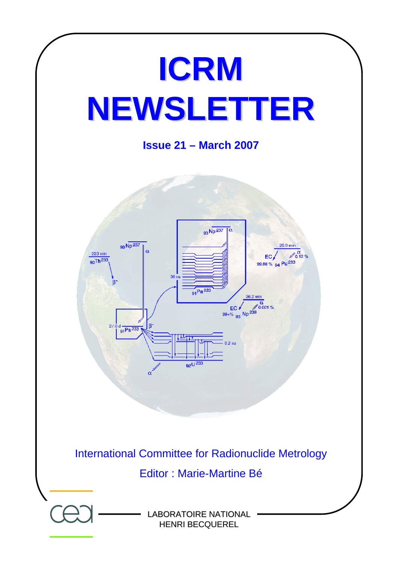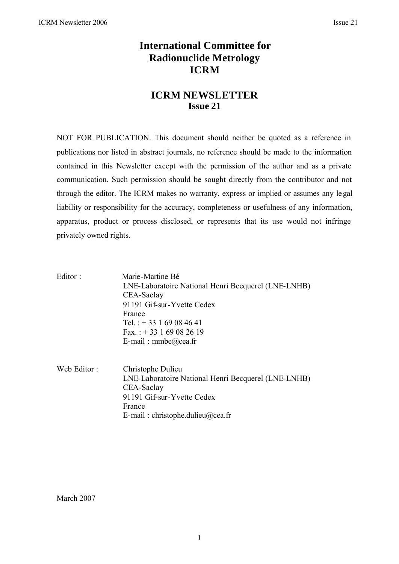# **International Committee for Radionuclide Metrology ICRM**

### **ICRM NEWSLETTER Issue 21**

NOT FOR PUBLICATION. This document should neither be quoted as a reference in publications nor listed in abstract journals, no reference should be made to the information contained in this Newsletter except with the permission of the author and as a private communication. Such permission should be sought directly from the contributor and not through the editor. The ICRM makes no warranty, express or implied or assumes any legal liability or responsibility for the accuracy, completeness or usefulness of any information, apparatus, product or process disclosed, or represents that its use would not infringe privately owned rights.

Editor · Marie-Martine Bé LNE-Laboratoire National Henri Becquerel (LNE-LNHB) CEA-Saclay 91191 Gif-sur-Yvette Cedex France Tel. : + 33 1 69 08 46 41 Fax. : + 33 1 69 08 26 19 E-mail : mmbe@cea.fr

Web Editor : Christophe Dulieu LNE-Laboratoire National Henri Becquerel (LNE-LNHB) CEA-Saclay 91191 Gif-sur-Yvette Cedex France E-mail : christophe.dulieu@cea.fr

March 2007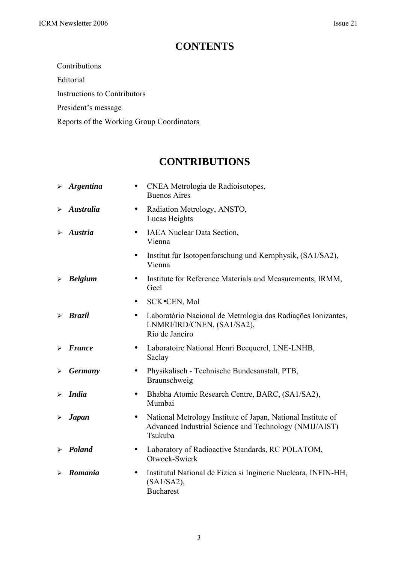# **CONTENTS**

Contributions

Editorial

Instructions to Contributors

President's message

Reports of the Working Group Coordinators

# **CONTRIBUTIONS**

|   | $\triangleright$ Argentina | CNEA Metrologia de Radioisotopes,<br>$\bullet$<br><b>Buenos Aires</b>                                                                          |
|---|----------------------------|------------------------------------------------------------------------------------------------------------------------------------------------|
| ≻ | <b>Australia</b>           | Radiation Metrology, ANSTO,<br>$\bullet$<br>Lucas Heights                                                                                      |
| ⋗ | <b>Austria</b>             | <b>IAEA</b> Nuclear Data Section,<br>$\bullet$<br>Vienna                                                                                       |
|   |                            | Institut für Isotopenforschung und Kernphysik, (SA1/SA2),<br>$\bullet$<br>Vienna                                                               |
| ➤ | <b>Belgium</b>             | Institute for Reference Materials and Measurements, IRMM,<br>$\bullet$<br>Geel                                                                 |
|   |                            | SCK.CEN, Mol<br>$\bullet$                                                                                                                      |
|   | <b>Brazil</b>              | Laboratório Nacional de Metrologia das Radiações Ionizantes,<br>$\bullet$<br>LNMRI/IRD/CNEN, (SA1/SA2),<br>Rio de Janeiro                      |
| ➤ | <b>France</b>              | Laboratoire National Henri Becquerel, LNE-LNHB,<br>$\bullet$<br>Saclay                                                                         |
| ⋗ | <b>Germany</b>             | Physikalisch - Technische Bundesanstalt, PTB,<br>$\bullet$<br>Braunschweig                                                                     |
| ➤ | <b>India</b>               | Bhabha Atomic Research Centre, BARC, (SA1/SA2),<br>$\bullet$<br>Mumbai                                                                         |
|   | <b>Japan</b>               | National Metrology Institute of Japan, National Institute of<br>$\bullet$<br>Advanced Industrial Science and Technology (NMIJ/AIST)<br>Tsukuba |
| ➤ | <b>Poland</b>              | Laboratory of Radioactive Standards, RC POLATOM,<br>$\bullet$<br>Otwock-Swierk                                                                 |
|   | Romania                    | Institutul National de Fizica si Inginerie Nucleara, INFIN-HH,<br>$\bullet$<br>(SA1/SA2),<br><b>Bucharest</b>                                  |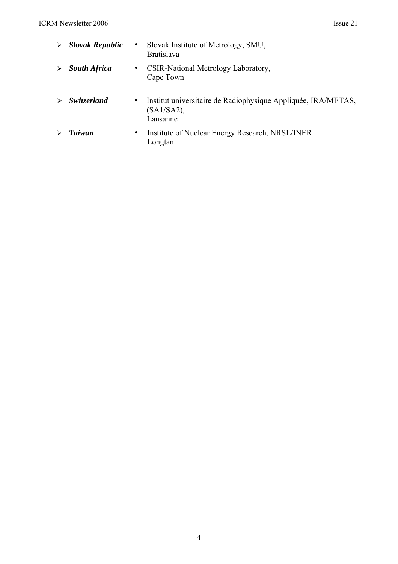|                       | $\triangleright$ Slovak Republic | Slovak Institute of Metrology, SMU,<br>$\bullet$<br><b>Bratislava</b>                                |
|-----------------------|----------------------------------|------------------------------------------------------------------------------------------------------|
| ➤                     | <b>South Africa</b>              | CSIR-National Metrology Laboratory,<br>$\bullet$<br>Cape Town                                        |
| $\blacktriangleright$ | <i>Switzerland</i>               | Institut universitaire de Radiophysique Appliquée, IRA/METAS,<br>$\bullet$<br>(SA1/SA2),<br>Lausanne |
|                       | Taiwan                           | Institute of Nuclear Energy Research, NRSL/INER<br>$\bullet$                                         |

Longtan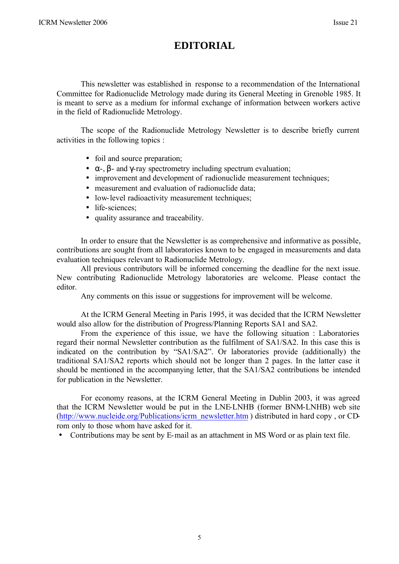# **EDITORIAL**

This newsletter was established in response to a recommendation of the International Committee for Radionuclide Metrology made during its General Meeting in Grenoble 1985. It is meant to serve as a medium for informal exchange of information between workers active in the field of Radionuclide Metrology.

The scope of the Radionuclide Metrology Newsletter is to describe briefly current activities in the following topics :

- foil and source preparation;
- $\alpha$ -,  $\beta$  and γ-ray spectrometry including spectrum evaluation;
- improvement and development of radionuclide measurement techniques;
- measurement and evaluation of radionuclide data:
- low-level radioactivity measurement techniques;
- life-sciences;
- quality assurance and traceability.

In order to ensure that the Newsletter is as comprehensive and informative as possible, contributions are sought from all laboratories known to be engaged in measurements and data evaluation techniques relevant to Radionuclide Metrology.

All previous contributors will be informed concerning the deadline for the next issue. New contributing Radionuclide Metrology laboratories are welcome. Please contact the editor.

Any comments on this issue or suggestions for improvement will be welcome.

At the ICRM General Meeting in Paris 1995, it was decided that the ICRM Newsletter would also allow for the distribution of Progress/Planning Reports SA1 and SA2.

From the experience of this issue, we have the following situation : Laboratories regard their normal Newsletter contribution as the fulfilment of SA1/SA2. In this case this is indicated on the contribution by "SA1/SA2". Or laboratories provide (additionally) the traditional SA1/SA2 reports which should not be longer than 2 pages. In the latter case it should be mentioned in the accompanying letter, that the SA1/SA2 contributions be intended for publication in the Newsletter.

For economy reasons, at the ICRM General Meeting in Dublin 2003, it was agreed that the ICRM Newsletter would be put in the LNE-LNHB (former BNM-LNHB) web site (http://www.nucleide.org/Publications/icrm\_newsletter.htm ) distributed in hard copy , or CDrom only to those whom have asked for it.

• Contributions may be sent by E-mail as an attachment in MS Word or as plain text file.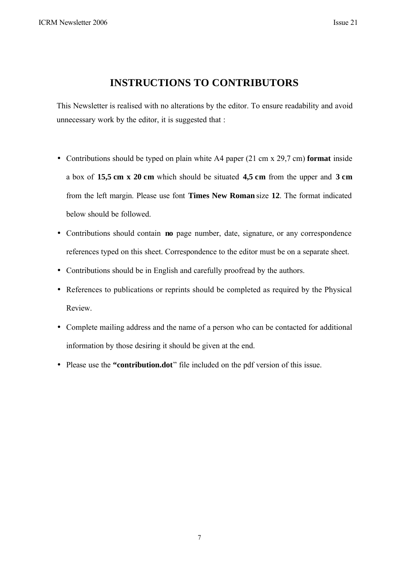# **INSTRUCTIONS TO CONTRIBUTORS**

This Newsletter is realised with no alterations by the editor. To ensure readability and avoid unnecessary work by the editor, it is suggested that :

- Contributions should be typed on plain white A4 paper (21 cm x 29,7 cm) **format** inside a box of **15,5 cm x 20 cm** which should be situated **4,5 cm** from the upper and **3 cm** from the left margin. Please use font **Times New Roman** size **12**. The format indicated below should be followed.
- Contributions should contain **no** page number, date, signature, or any correspondence references typed on this sheet. Correspondence to the editor must be on a separate sheet.
- Contributions should be in English and carefully proofread by the authors.
- References to publications or reprints should be completed as required by the Physical Review.
- Complete mailing address and the name of a person who can be contacted for additional information by those desiring it should be given at the end.
- Please use the **"contribution.dot**" file included on the pdf version of this issue.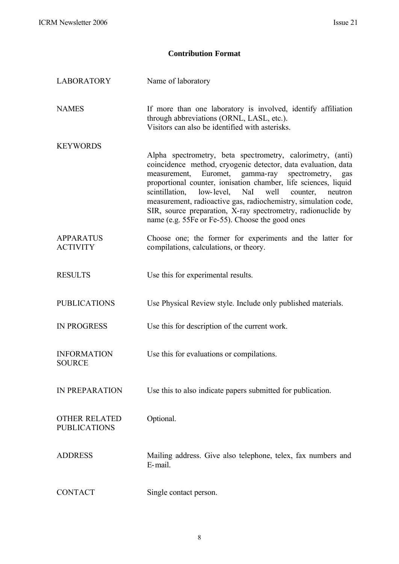### **Contribution Format**

| <b>LABORATORY</b>                           | Name of laboratory                                                                                                                                                                                                                                                                                                                                                                                                                                                                                             |  |  |
|---------------------------------------------|----------------------------------------------------------------------------------------------------------------------------------------------------------------------------------------------------------------------------------------------------------------------------------------------------------------------------------------------------------------------------------------------------------------------------------------------------------------------------------------------------------------|--|--|
| <b>NAMES</b>                                | If more than one laboratory is involved, identify affiliation<br>through abbreviations (ORNL, LASL, etc.).<br>Visitors can also be identified with asterisks.                                                                                                                                                                                                                                                                                                                                                  |  |  |
| <b>KEYWORDS</b>                             | Alpha spectrometry, beta spectrometry, calorimetry, (anti)<br>coincidence method, cryogenic detector, data evaluation, data<br>measurement, Euromet, gamma-ray<br>spectrometry, gas<br>proportional counter, ionisation chamber, life sciences, liquid<br>scintillation,<br>low-level, NaI<br>well<br>counter,<br>neutron<br>measurement, radioactive gas, radiochemistry, simulation code,<br>SIR, source preparation, X-ray spectrometry, radionuclide by<br>name (e.g. 55Fe or Fe-55). Choose the good ones |  |  |
| <b>APPARATUS</b><br><b>ACTIVITY</b>         | Choose one; the former for experiments and the latter for<br>compilations, calculations, or theory.                                                                                                                                                                                                                                                                                                                                                                                                            |  |  |
| <b>RESULTS</b>                              | Use this for experimental results.                                                                                                                                                                                                                                                                                                                                                                                                                                                                             |  |  |
| <b>PUBLICATIONS</b>                         | Use Physical Review style. Include only published materials.                                                                                                                                                                                                                                                                                                                                                                                                                                                   |  |  |
| <b>IN PROGRESS</b>                          | Use this for description of the current work.                                                                                                                                                                                                                                                                                                                                                                                                                                                                  |  |  |
| <b>INFORMATION</b><br><b>SOURCE</b>         | Use this for evaluations or compilations.                                                                                                                                                                                                                                                                                                                                                                                                                                                                      |  |  |
| <b>IN PREPARATION</b>                       | Use this to also indicate papers submitted for publication.                                                                                                                                                                                                                                                                                                                                                                                                                                                    |  |  |
| <b>OTHER RELATED</b><br><b>PUBLICATIONS</b> | Optional.                                                                                                                                                                                                                                                                                                                                                                                                                                                                                                      |  |  |
| <b>ADDRESS</b>                              | Mailing address. Give also telephone, telex, fax numbers and<br>E-mail.                                                                                                                                                                                                                                                                                                                                                                                                                                        |  |  |
| <b>CONTACT</b>                              | Single contact person.                                                                                                                                                                                                                                                                                                                                                                                                                                                                                         |  |  |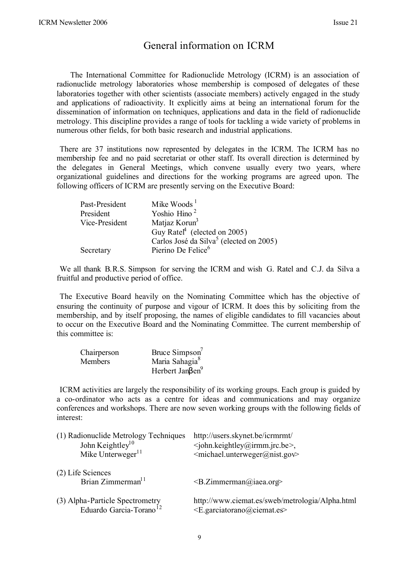### General information on ICRM

The International Committee for Radionuclide Metrology (ICRM) is an association of radionuclide metrology laboratories whose membership is composed of delegates of these laboratories together with other scientists (associate members) actively engaged in the study and applications of radioactivity. It explicitly aims at being an international forum for the dissemination of information on techniques, applications and data in the field of radionuclide metrology. This discipline provides a range of tools for tackling a wide variety of problems in numerous other fields, for both basic research and industrial applications.

There are 37 institutions now represented by delegates in the ICRM. The ICRM has no membership fee and no paid secretariat or other staff. Its overall direction is determined by the delegates in General Meetings, which convene usually every two years, where organizational guidelines and directions for the working programs are agreed upon. The following officers of ICRM are presently serving on the Executive Board:

| Past-President | Mike Woods $1$                                      |
|----------------|-----------------------------------------------------|
| President      | Yoshio Hino <sup>2</sup>                            |
| Vice-President | Matjaz Korun <sup>3</sup>                           |
|                | Guy Ratel <sup>4</sup> (elected on 2005)            |
|                | Carlos José da Silva <sup>5</sup> (elected on 2005) |
| Secretary      | Pierino De Felice <sup>6</sup>                      |

We all thank B.R.S. Simpson for serving the ICRM and wish G. Ratel and C.J. da Silva a fruitful and productive period of office.

The Executive Board heavily on the Nominating Committee which has the objective of ensuring the continuity of purpose and vigour of ICRM. It does this by soliciting from the membership, and by itself proposing, the names of eligible candidates to fill vacancies about to occur on the Executive Board and the Nominating Committee. The current membership of this committee is:

| Chairperson    | Bruce Simpson                       |
|----------------|-------------------------------------|
| <b>Members</b> | Maria Sahagia <sup>8</sup>          |
|                | Herbert Jan $\beta$ en <sup>9</sup> |

ICRM activities are largely the responsibility of its working groups. Each group is guided by a co-ordinator who acts as a centre for ideas and communications and may organize conferences and workshops. There are now seven working groups with the following fields of interest:

| (1) Radionuclide Metrology Techniques<br>John Keightley <sup>10</sup><br>Mike Unterweger <sup>11</sup> | http://users.skynet.be/icrmrmt/<br><john.keightley@irmm.jrc.be>,<br/><michael.unterweger@nist.gov></michael.unterweger@nist.gov></john.keightley@irmm.jrc.be> |
|--------------------------------------------------------------------------------------------------------|---------------------------------------------------------------------------------------------------------------------------------------------------------------|
| (2) Life Sciences<br>Brian Zimmerman <sup>11</sup>                                                     | $\leq$ B.Zimmerman@iaea.org>                                                                                                                                  |
| (3) Alpha-Particle Spectrometry<br>Eduardo Garcia-Torano <sup>12</sup>                                 | http://www.ciemat.es/sweb/metrologia/Alpha.html<br>$\leq$ E.garciatorano@ciemat.es>                                                                           |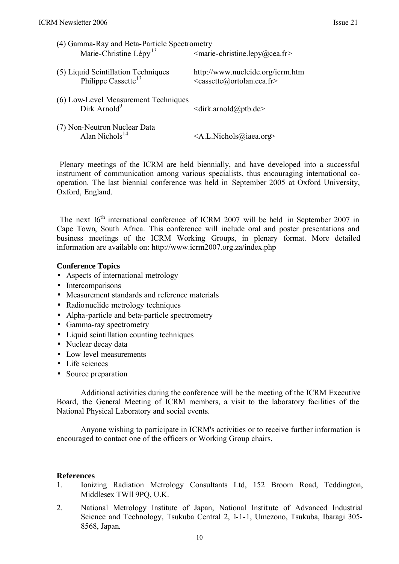| (4) Gamma-Ray and Beta-Particle Spectrometry<br>Marie-Christine Lépy <sup>13</sup> | <marie-christine.lepy@cea.fr></marie-christine.lepy@cea.fr>                             |
|------------------------------------------------------------------------------------|-----------------------------------------------------------------------------------------|
| (5) Liquid Scintillation Techniques<br>Philippe Cassette <sup>13</sup>             | http://www.nucleide.org/icrm.htm<br><cassette@ortolan.cea.fr></cassette@ortolan.cea.fr> |
| (6) Low-Level Measurement Techniques<br>Dirk Arnold <sup>9</sup>                   | $\le$ dirk.arnold@ptb.de>                                                               |
| (7) Non-Neutron Nuclear Data<br>Alan Nichols <sup>14</sup>                         | $\leq$ A.L.Nichols@iaea.org>                                                            |

Plenary meetings of the ICRM are held biennially, and have developed into a successful instrument of communication among various specialists, thus encouraging international cooperation. The last biennial conference was held in September 2005 at Oxford University, Oxford, England.

The next 16<sup>th</sup> international conference of ICRM 2007 will be held in September 2007 in Cape Town, South Africa. This conference will include oral and poster presentations and business meetings of the ICRM Working Groups, in plenary format. More detailed information are available on: http://www.icrm2007.org.za/index.php

### **Conference Topics**

- Aspects of international metrology
- Intercomparisons
- Measurement standards and reference materials
- Radionuclide metrology techniques
- Alpha-particle and beta-particle spectrometry
- Gamma-ray spectrometry
- Liquid scintillation counting techniques
- Nuclear decay data
- Low level measurements
- Life sciences
- Source preparation

Additional activities during the conference will be the meeting of the ICRM Executive Board, the General Meeting of ICRM members, a visit to the laboratory facilities of the National Physical Laboratory and social events.

Anyone wishing to participate in ICRM's activities or to receive further information is encouraged to contact one of the officers or Working Group chairs.

### **References**

- 1. Ionizing Radiation Metrology Consultants Ltd, 152 Broom Road, Teddington, Middlesex TWll 9PQ, U.K.
- 2. National Metrology Institute of Japan, National Institute of Advanced Industrial Science and Technology, Tsukuba Central 2, 1-1-1, Umezono, Tsukuba, Ibaragi 305- 8568, Japan.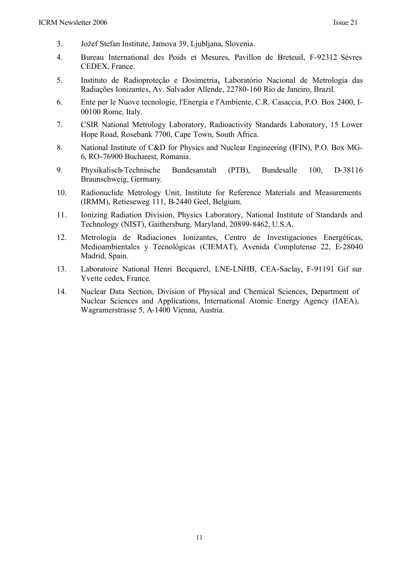- 3. Jožef Stefan Institute, Jamova 39, Ljubljana, Slovenia.
- 4. Bureau International des Poids et Mesures, Pavillon de Breteuil, F-92312 Sèvres CEDEX, France.
- 5. Instituto de Radioproteção e Dosimetria**,** Laboratório Nacional de Metrologia das Radiações Ionizantes, Av. Salvador Allende, 22780-160 Rio de Janeiro, Brazil.
- 6. Ente per le Nuove tecnologie, l'Energia e l'Ambiente, C.R. Casaccia, P.O. Box 2400, I-00100 Rome, Italy.
- 7. CSIR National Metrology Laboratory, Radioactivity Standards Laboratory, 15 Lower Hope Road, Rosebank 7700, Cape Town, South Africa.
- 8. National Institute of C&D for Physics and Nuclear Engineering (IFIN), P.O. Box MG-6, RO-76900 Bucharest, Romania.
- 9. Physikalisch-Technische Bundesanstalt (PTB), Bundesalle 100, D-38116 Braunschweig, Germany.
- 10. Radionuclide Metrology Unit, Institute for Reference Materials and Measurements (IRMM), Retieseweg 111, B-2440 Geel, Belgium.
- 11. Ionizing Radiation Division, Physics Laboratory, National Institute of Standards and Technology (NIST), Gaithersburg, Maryland, 20899-8462, U.S.A.
- 12. Metrología de Radiaciones Ionizantes, Centro de Investigaciones Energéticas, Medioambientales y Tecnológicas (CIEMAT), Avenida Complutense 22, E-28040 Madrid, Spain.
- 13. Laboratoire National Henri Becquerel, LNE-LNHB, CEA-Saclay, F-91191 Gif sur Yvette cedex, France.
- 14. Nuclear Data Section, Division of Physical and Chemical Sciences, Department of Nuclear Sciences and Applications, International Atomic Energy Agency (IAEA), Wagramerstrasse 5, A-1400 Vienna, Austria.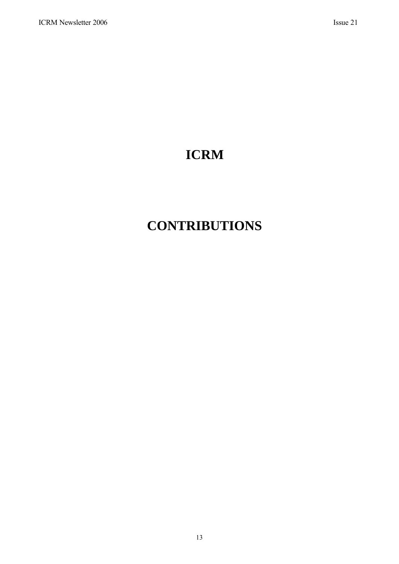# **ICRM**

# **CONTRIBUTIONS**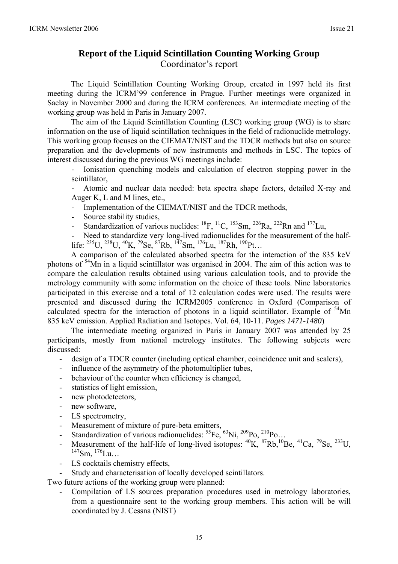### **Report of the Liquid Scintillation Counting Working Group** Coordinator's report

The Liquid Scintillation Counting Working Group, created in 1997 held its first meeting during the ICRM'99 conference in Prague. Further meetings were organized in Saclay in November 2000 and during the ICRM conferences. An intermediate meeting of the working group was held in Paris in January 2007.

The aim of the Liquid Scintillation Counting (LSC) working group (WG) is to share information on the use of liquid scintillation techniques in the field of radionuclide metrology. This working group focuses on the CIEMAT/NIST and the TDCR methods but also on source preparation and the developments of new instruments and methods in LSC. The topics of interest discussed during the previous WG meetings include:

Ionisation quenching models and calculation of electron stopping power in the scintillator,

- Atomic and nuclear data needed: beta spectra shape factors, detailed X-ray and Auger K, L and M lines, etc.,

Implementation of the CIEMAT/NIST and the TDCR methods,

- Source stability studies,
- Standardization of various nuclides:  ${}^{18}F, {}^{11}C, {}^{153}Sm, {}^{226}Ra, {}^{222}Rn$  and  ${}^{177}Lu$ ,

Need to standardize very long-lived radionuclides for the measurement of the halflife:  $^{235}$ U,  $^{238}$ U,  $^{40}$ K,  $^{79}$ Se,  $^{87}$ Rb,  $^{147}$ Sm,  $^{176}$ Lu,  $^{187}$ Rh,  $^{190}$ Pt...

A comparison of the calculated absorbed spectra for the interaction of the 835 keV photons of <sup>54</sup>Mn in a liquid scintillator was organised in 2004. The aim of this action was to compare the calculation results obtained using various calculation tools, and to provide the metrology community with some information on the choice of these tools. Nine laboratories participated in this exercise and a total of 12 calculation codes were used. The results were presented and discussed during the ICRM2005 conference in Oxford (Comparison of calculated spectra for the interaction of photons in a liquid scintillator. Example of  $54$ Mn 835 keV emission. Applied Radiation and Isotopes. Vol. 64, 10-11. *Pages 1471-1480*)

The intermediate meeting organized in Paris in January 2007 was attended by 25 participants, mostly from national metrology institutes. The following subjects were discussed:

- design of a TDCR counter (including optical chamber, coincidence unit and scalers),
- influence of the asymmetry of the photomultiplier tubes,
- behaviour of the counter when efficiency is changed.
- statistics of light emission,
- new photodetectors,
- new software,
- LS spectrometry,
- Measurement of mixture of pure-beta emitters,
- Standardization of various radionuclides:  ${}^{55}Fe$ ,  ${}^{63}Ni$ ,  ${}^{209}Po$ ,  ${}^{210}Po$ ...
- Measurement of the half-life of long-lived isotopes:  ${}^{40}K$ ,  ${}^{87}Rb$ ,  ${}^{10}Be$ ,  ${}^{41}Ca$ ,  ${}^{79}Se$ ,  ${}^{233}U$ ,  $^{147}$ Sm,  $^{176}$ Lu…
- LS cocktails chemistry effects,
- Study and characterisation of locally developed scintillators.

Two future actions of the working group were planned:

Compilation of LS sources preparation procedures used in metrology laboratories, from a questionnaire sent to the working group members. This action will be will coordinated by J. Cessna (NIST)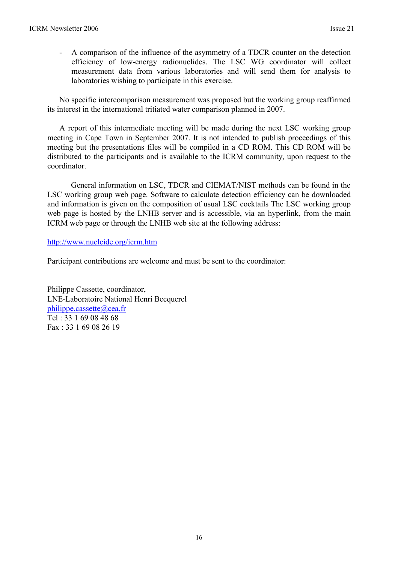- A comparison of the influence of the asymmetry of a TDCR counter on the detection efficiency of low-energy radionuclides. The LSC WG coordinator will collect measurement data from various laboratories and will send them for analysis to laboratories wishing to participate in this exercise.

No specific intercomparison measurement was proposed but the working group reaffirmed its interest in the international tritiated water comparison planned in 2007.

A report of this intermediate meeting will be made during the next LSC working group meeting in Cape Town in September 2007. It is not intended to publish proceedings of this meeting but the presentations files will be compiled in a CD ROM. This CD ROM will be distributed to the participants and is available to the ICRM community, upon request to the coordinator.

General information on LSC, TDCR and CIEMAT/NIST methods can be found in the LSC working group web page. Software to calculate detection efficiency can be downloaded and information is given on the composition of usual LSC cocktails The LSC working group web page is hosted by the LNHB server and is accessible, via an hyperlink, from the main ICRM web page or through the LNHB web site at the following address:

### http://www.nucleide.org/icrm.htm

Participant contributions are welcome and must be sent to the coordinator:

Philippe Cassette, coordinator, LNE-Laboratoire National Henri Becquerel philippe.cassette@cea.fr Tel : 33 1 69 08 48 68 Fax : 33 1 69 08 26 19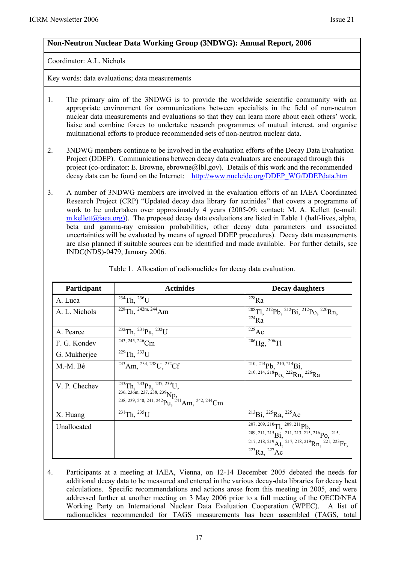### **Non-Neutron Nuclear Data Working Group (3NDWG): Annual Report, 2006**

Coordinator: A.L. Nichols

Key words: data evaluations; data measurements

- 1. The primary aim of the 3NDWG is to provide the worldwide scientific community with an appropriate environment for communications between specialists in the field of non-neutron nuclear data measurements and evaluations so that they can learn more about each others' work, liaise and combine forces to undertake research programmes of mutual interest, and organise multinational efforts to produce recommended sets of non-neutron nuclear data.
- 2. 3NDWG members continue to be involved in the evaluation efforts of the Decay Data Evaluation Project (DDEP). Communications between decay data evaluators are encouraged through this project (co-ordinator: E. Browne, ebrowne@lbl.gov). Details of this work and the recommended decay data can be found on the Internet: http://www.nucleide.org/DDEP\_WG/DDEPdata.htm
- 3. A number of 3NDWG members are involved in the evaluation efforts of an IAEA Coordinated Research Project (CRP) "Updated decay data library for actinides" that covers a programme of work to be undertaken over approximately 4 years (2005-09; contact: M. A. Kellett (e-mail:  $m.kellett@iaea.org)$ ). The proposed decay data evaluations are listed in Table 1 (half-lives, alpha, beta and gamma-ray emission probabilities, other decay data parameters and associated uncertainties will be evaluated by means of agreed DDEP procedures). Decay data measurements are also planned if suitable sources can be identified and made available. For further details, see INDC(NDS)-0479, January 2006.

| Participant   | <b>Actinides</b>                                                                                                                                    | Decay daughters                                                                                                                                                                                             |  |  |
|---------------|-----------------------------------------------------------------------------------------------------------------------------------------------------|-------------------------------------------------------------------------------------------------------------------------------------------------------------------------------------------------------------|--|--|
| A. Luca       | $^{234}$ Th, $^{236}$ U                                                                                                                             | $^{228}Ra$                                                                                                                                                                                                  |  |  |
| A. L. Nichols | $228$ Th, $242$ <sup>m, 244</sup> Am                                                                                                                | <sup>208</sup> Tl, <sup>212</sup> Pb, <sup>212</sup> Bi, <sup>212</sup> Po, <sup>220</sup> Rn,<br>$^{224}Ra$                                                                                                |  |  |
| A. Pearce     | $^{232}$ Th, $^{231}$ Pa, $^{232}$ U                                                                                                                | $228$ Ac                                                                                                                                                                                                    |  |  |
| F. G. Kondev  | $\overline{243, 245, 246}$ Cm                                                                                                                       | $^{206}$ Hg, $^{206}$ Tl                                                                                                                                                                                    |  |  |
| G. Mukherjee  | $^{229}$ Th, $^{233}$ U                                                                                                                             |                                                                                                                                                                                                             |  |  |
| M.-M. Bé      | <sup>243</sup> Am, <sup>234, 238</sup> U, <sup>252</sup> Cf                                                                                         | $\overline{^{210, 214}P}b$ , $^{210, 214}Bi$ ,<br>210, 214, 218 $P_0$ , <sup>222</sup> Rn, <sup>226</sup> Ra                                                                                                |  |  |
| V. P. Chechev | $^{233}$ Th, $^{233}$ Pa, $^{237, 239}$ U,<br>236, 236m, 237, 238, 239 Np,<br>238, 239, 240, 241, 242 Pu, <sup>241</sup> Am, <sup>242, 244</sup> Cm |                                                                                                                                                                                                             |  |  |
| X. Huang      | $^{231}$ Th, $^{235}$ U                                                                                                                             | $^{213}Bi$ , $^{225}Ra$ , $^{225}Ac$                                                                                                                                                                        |  |  |
| Unallocated   |                                                                                                                                                     | $207, 209, 210$ Tl, $209, 211$ Pb.<br>209, 211, 215 $\overrightarrow{Bi}$ , 211, 213, 215, 216 $\overrightarrow{PQ}$ , 215,<br>217, 218, 219 At. 217, 218, 219 Rn, 221, 223 Fr,<br>$^{223}$ Ra, $^{227}$ Ac |  |  |

Table 1. Allocation of radionuclides for decay data evaluation.

4. Participants at a meeting at IAEA, Vienna, on 12-14 December 2005 debated the needs for additional decay data to be measured and entered in the various decay-data libraries for decay heat calculations. Specific recommendations and actions arose from this meeting in 2005, and were addressed further at another meeting on 3 May 2006 prior to a full meeting of the OECD/NEA Working Party on International Nuclear Data Evaluation Cooperation (WPEC). A list of radionuclides recommended for TAGS measurements has been assembled (TAGS, total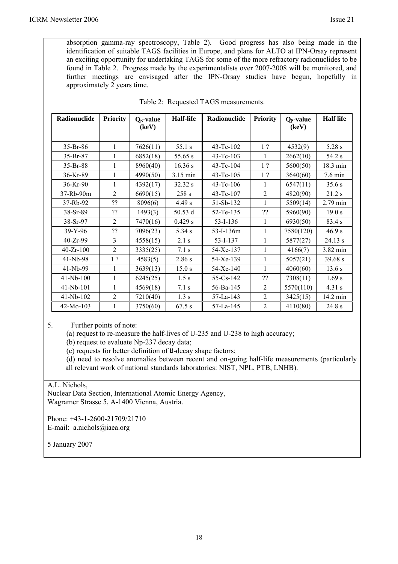absorption gamma-ray spectroscopy, Table 2). Good progress has also being made in the identification of suitable TAGS facilities in Europe, and plans for ALTO at IPN-Orsay represent an exciting opportunity for undertaking TAGS for some of the more refractory radionuclides to be found in Table 2. Progress made by the experimentalists over 2007-2008 will be monitored, and further meetings are envisaged after the IPN-Orsay studies have begun, hopefully in approximately 2 years time.

| Radionuclide    | <b>Priority</b> | $Q_b$ -value<br>(key) | <b>Half-life</b> | Radionuclide    | <b>Priority</b> | $Q_b$ -value<br>(keV) | <b>Half</b> life  |
|-----------------|-----------------|-----------------------|------------------|-----------------|-----------------|-----------------------|-------------------|
|                 |                 |                       |                  |                 |                 |                       |                   |
| $35 - Br - 86$  | 1               | 7626(11)              | $55.1$ s         | $43 - Tc - 102$ | 1?              | 4532(9)               | $5.28$ s          |
| 35-Br-87        | 1               | 6852(18)              | 55.65 s          | $43 - Tc - 103$ | $\mathbf{1}$    | 2662(10)              | 54.2 s            |
| 35-Br-88        | 1               | 8960(40)              | 16.36 s          | 43-Tc-104       | 1?              | 5600(50)              | 18.3 min          |
| 36-Kr-89        | 1               | 4990(50)              | 3.15 min         | 43-Tc-105       | 1?              | 3640(60)              | $7.6 \text{ min}$ |
| $36 - Kr - 90$  | 1               | 4392(17)              | 32.32 s          | $43-Tc-106$     | $\mathbf{1}$    | 6547(11)              | 35.6 s            |
| 37-Rb-90m       | $\overline{2}$  | 6690(15)              | 258 s            | 43-Tc-107       | $\overline{2}$  | 4820(90)              | 21.2 s            |
| 37-Rb-92        | ??              | 8096(6)               | 4.49 s           | 51-Sb-132       | 1               | 5509(14)              | 2.79 min          |
| 38-Sr-89        | ??              | 1493(3)               | 50.53 d          | 52-Te-135       | ??              | 5960(90)              | 19.0 s            |
| $38-Sr-97$      | $\overline{2}$  | 7470(16)              | 0.429 s          | 53-I-136        | 1               | 6930(50)              | 83.4 s            |
| 39-Y-96         | ??              | 7096(23)              | 5.34 s           | 53-I-136m       | $\mathbf{1}$    | 7580(120)             | 46.9 s            |
| $40 - Zr - 99$  | 3               | 4558(15)              | 2.1 s            | 53-I-137        | 1               | 5877(27)              | 24.13 s           |
| $40 - Zr - 100$ | $\overline{2}$  | 3335(25)              | 7.1 s            | 54-Xe-137       | 1               | 4166(7)               | 3.82 min          |
| 41-Nb-98        | 1?              | 4583(5)               | 2.86 s           | 54-Xe-139       | 1               | 5057(21)              | 39.68 s           |
| 41-Nb-99        | 1               | 3639(13)              | 15.0 s           | 54-Xe-140       | 1               | 4060(60)              | 13.6 s            |
| 41-Nb-100       | 1               | 6245(25)              | 1.5 s            | 55-Cs-142       | 22              | 7308(11)              | 1.69 s            |
| 41-Nb-101       |                 | 4569(18)              | 7.1 s            | 56-Ba-145       | $\overline{2}$  | 5570(110)             | 4.31 s            |
| $41-Nb-102$     | $\overline{2}$  | 7210(40)              | 1.3 s            | 57-La-143       | $\overline{2}$  | 3425(15)              | 14.2 min          |
| $42-Mo-103$     | $\mathbf{1}$    | 3750(60)              | $67.5$ s         | 57-La-145       | $\overline{2}$  | 4110(80)              | 24.8 s            |

Table 2: Requested TAGS measurements.

5. Further points of note:

(a) request to re-measure the half-lives of U-235 and U-238 to high accuracy;

(b) request to evaluate Np-237 decay data;

(c) requests for better definition of ß-decay shape factors;

(d) need to resolve anomalies between recent and on-going half-life measurements (particularly all relevant work of national standards laboratories: NIST, NPL, PTB, LNHB).

#### A.L. Nichols,

Nuclear Data Section, International Atomic Energy Agency, Wagramer Strasse 5, A-1400 Vienna, Austria.

Phone: +43-1-2600-21709/21710 E-mail: a.nichols@iaea.org

5 January 2007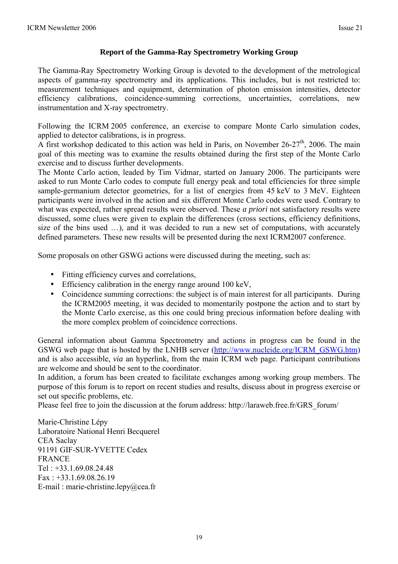### **Report of the Gamma-Ray Spectrometry Working Group**

The Gamma-Ray Spectrometry Working Group is devoted to the development of the metrological aspects of gamma-ray spectrometry and its applications. This includes, but is not restricted to: measurement techniques and equipment, determination of photon emission intensities, detector efficiency calibrations, coincidence-summing corrections, uncertainties, correlations, new instrumentation and X-ray spectrometry.

Following the ICRM 2005 conference, an exercise to compare Monte Carlo simulation codes, applied to detector calibrations, is in progress.

A first workshop dedicated to this action was held in Paris, on November  $26-27<sup>th</sup>$ , 2006. The main goal of this meeting was to examine the results obtained during the first step of the Monte Carlo exercise and to discuss further developments.

The Monte Carlo action, leaded by Tim Vidmar, started on January 2006. The participants were asked to run Monte Carlo codes to compute full energy peak and total efficiencies for three simple sample-germanium detector geometries, for a list of energies from 45 keV to 3 MeV. Eighteen participants were involved in the action and six different Monte Carlo codes were used. Contrary to what was expected, rather spread results were observed. These *a priori* not satisfactory results were discussed, some clues were given to explain the differences (cross sections, efficiency definitions, size of the bins used …), and it was decided to run a new set of computations, with accurately defined parameters. These new results will be presented during the next ICRM2007 conference.

Some proposals on other GSWG actions were discussed during the meeting, such as:

- Fitting efficiency curves and correlations,
- Efficiency calibration in the energy range around 100 keV,
- Coincidence summing corrections: the subject is of main interest for all participants. During the ICRM2005 meeting, it was decided to momentarily postpone the action and to start by the Monte Carlo exercise, as this one could bring precious information before dealing with the more complex problem of coincidence corrections.

General information about Gamma Spectrometry and actions in progress can be found in the GSWG web page that is hosted by the LNHB server (http://www.nucleide.org/ICRM\_GSWG.htm) and is also accessible, *via* an hyperlink, from the main ICRM web page. Participant contributions are welcome and should be sent to the coordinator.

In addition, a forum has been created to facilitate exchanges among working group members. The purpose of this forum is to report on recent studies and results, discuss about in progress exercise or set out specific problems, etc.

Please feel free to join the discussion at the forum address: http://laraweb.free.fr/GRS\_forum/

Marie-Christine Lépy Laboratoire National Henri Becquerel CEA Saclay 91191 GIF-SUR-YVETTE Cedex FRANCE Tel : +33.1.69.08.24.48 Fax : +33.1.69.08.26.19 E-mail : marie-christine.lepy@cea.fr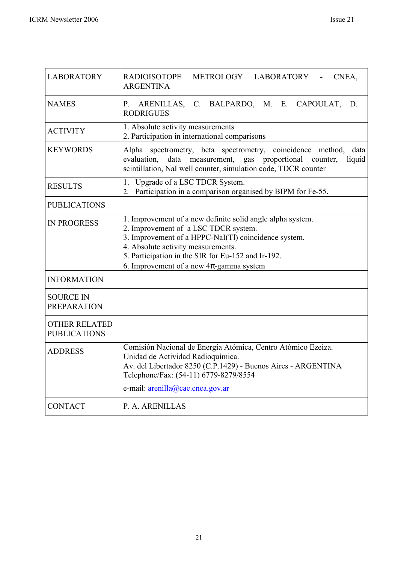| <b>LABORATORY</b>                           | <b>RADIOISOTOPE</b><br>METROLOGY LABORATORY - CNEA,<br><b>ARGENTINA</b>                                                                                                                                                                                                                                |  |  |  |  |  |
|---------------------------------------------|--------------------------------------------------------------------------------------------------------------------------------------------------------------------------------------------------------------------------------------------------------------------------------------------------------|--|--|--|--|--|
| <b>NAMES</b>                                | ARENILLAS, C. BALPARDO, M. E. CAPOULAT, D.<br>$P_{\cdot}$<br><b>RODRIGUES</b>                                                                                                                                                                                                                          |  |  |  |  |  |
| <b>ACTIVITY</b>                             | 1. Absolute activity measurements<br>2. Participation in international comparisons                                                                                                                                                                                                                     |  |  |  |  |  |
| <b>KEYWORDS</b>                             | Alpha spectrometry, beta spectrometry, coincidence method,<br>data<br>evaluation, data measurement, gas proportional counter,<br>liquid<br>scintillation, NaI well counter, simulation code, TDCR counter                                                                                              |  |  |  |  |  |
| <b>RESULTS</b>                              | 1. Upgrade of a LSC TDCR System.<br>2. Participation in a comparison organised by BIPM for Fe-55.                                                                                                                                                                                                      |  |  |  |  |  |
| <b>PUBLICATIONS</b>                         |                                                                                                                                                                                                                                                                                                        |  |  |  |  |  |
| <b>IN PROGRESS</b>                          | 1. Improvement of a new definite solid angle alpha system.<br>2. Improvement of a LSC TDCR system.<br>3. Improvement of a HPPC-NaI(Tl) coincidence system.<br>4. Absolute activity measurements.<br>5. Participation in the SIR for Eu-152 and Ir-192.<br>6. Improvement of a new $4\pi$ -gamma system |  |  |  |  |  |
| <b>INFORMATION</b>                          |                                                                                                                                                                                                                                                                                                        |  |  |  |  |  |
| <b>SOURCE IN</b><br><b>PREPARATION</b>      |                                                                                                                                                                                                                                                                                                        |  |  |  |  |  |
| <b>OTHER RELATED</b><br><b>PUBLICATIONS</b> |                                                                                                                                                                                                                                                                                                        |  |  |  |  |  |
| <b>ADDRESS</b>                              | Comisión Nacional de Energía Atómica, Centro Atómico Ezeiza.<br>Unidad de Actividad Radioquímica.<br>Av. del Libertador 8250 (C.P.1429) - Buenos Aires - ARGENTINA<br>Telephone/Fax: (54-11) 6779-8279/8554<br>e-mail: arenilla@cae.cnea.gov.ar                                                        |  |  |  |  |  |
| <b>CONTACT</b>                              | P. A. ARENILLAS                                                                                                                                                                                                                                                                                        |  |  |  |  |  |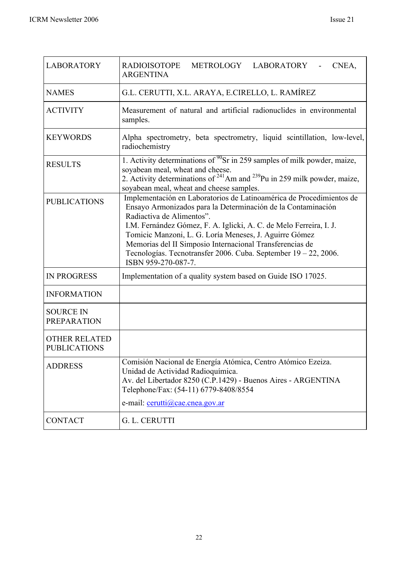| <b>LABORATORY</b>                                                                                                                                                                                                                                                  | <b>RADIOISOTOPE</b><br>METROLOGY LABORATORY<br>CNEA,<br><b>ARGENTINA</b>                                                                                                                                                                                                                                                                                                                                                                                |  |  |  |  |  |  |
|--------------------------------------------------------------------------------------------------------------------------------------------------------------------------------------------------------------------------------------------------------------------|---------------------------------------------------------------------------------------------------------------------------------------------------------------------------------------------------------------------------------------------------------------------------------------------------------------------------------------------------------------------------------------------------------------------------------------------------------|--|--|--|--|--|--|
| <b>NAMES</b>                                                                                                                                                                                                                                                       | G.L. CERUTTI, X.L. ARAYA, E.CIRELLO, L. RAMÍREZ                                                                                                                                                                                                                                                                                                                                                                                                         |  |  |  |  |  |  |
| <b>ACTIVITY</b>                                                                                                                                                                                                                                                    | Measurement of natural and artificial radionuclides in environmental<br>samples.                                                                                                                                                                                                                                                                                                                                                                        |  |  |  |  |  |  |
| <b>KEYWORDS</b>                                                                                                                                                                                                                                                    | Alpha spectrometry, beta spectrometry, liquid scintillation, low-level,<br>radiochemistry                                                                                                                                                                                                                                                                                                                                                               |  |  |  |  |  |  |
| 1. Activity determinations of $^{90}$ Sr in 259 samples of milk powder, maize,<br><b>RESULTS</b><br>soyabean meal, wheat and cheese.<br>2. Activity determinations of $241$ Am and $239$ Pu in 259 milk powder, maize,<br>soyabean meal, wheat and cheese samples. |                                                                                                                                                                                                                                                                                                                                                                                                                                                         |  |  |  |  |  |  |
| <b>PUBLICATIONS</b>                                                                                                                                                                                                                                                | Implementación en Laboratorios de Latinoamérica de Procedimientos de<br>Ensayo Armonizados para la Determinación de la Contaminación<br>Radiactiva de Alimentos".<br>I.M. Fernández Gómez, F. A. Iglicki, A. C. de Melo Ferreira, I. J.<br>Tomicic Manzoni, L. G. Loría Meneses, J. Aguirre Gómez<br>Memorias del II Simposio Internacional Transferencias de<br>Tecnologías. Tecnotransfer 2006. Cuba. September 19 - 22, 2006.<br>ISBN 959-270-087-7. |  |  |  |  |  |  |
| <b>IN PROGRESS</b>                                                                                                                                                                                                                                                 | Implementation of a quality system based on Guide ISO 17025.                                                                                                                                                                                                                                                                                                                                                                                            |  |  |  |  |  |  |
| <b>INFORMATION</b>                                                                                                                                                                                                                                                 |                                                                                                                                                                                                                                                                                                                                                                                                                                                         |  |  |  |  |  |  |
| <b>SOURCE IN</b><br><b>PREPARATION</b>                                                                                                                                                                                                                             |                                                                                                                                                                                                                                                                                                                                                                                                                                                         |  |  |  |  |  |  |
| <b>OTHER RELATED</b><br><b>PUBLICATIONS</b>                                                                                                                                                                                                                        |                                                                                                                                                                                                                                                                                                                                                                                                                                                         |  |  |  |  |  |  |
| <b>ADDRESS</b>                                                                                                                                                                                                                                                     | Comisión Nacional de Energía Atómica, Centro Atómico Ezeiza.<br>Unidad de Actividad Radioquímica.<br>Av. del Libertador 8250 (C.P.1429) - Buenos Aires - ARGENTINA<br>Telephone/Fax: (54-11) 6779-8408/8554<br>e-mail: cerutti@cae.cnea.gov.ar                                                                                                                                                                                                          |  |  |  |  |  |  |
| <b>CONTACT</b><br>G. L. CERUTTI                                                                                                                                                                                                                                    |                                                                                                                                                                                                                                                                                                                                                                                                                                                         |  |  |  |  |  |  |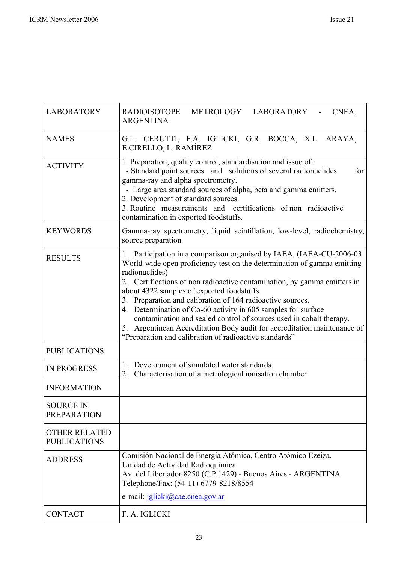| <b>LABORATORY</b>                           | RADIOISOTOPE<br>METROLOGY LABORATORY<br>CNEA,<br><b>ARGENTINA</b>                                                                                                                                                                                                                                                                                                                                                                                                                                                                                                                                                                       |  |  |  |  |  |  |
|---------------------------------------------|-----------------------------------------------------------------------------------------------------------------------------------------------------------------------------------------------------------------------------------------------------------------------------------------------------------------------------------------------------------------------------------------------------------------------------------------------------------------------------------------------------------------------------------------------------------------------------------------------------------------------------------------|--|--|--|--|--|--|
| <b>NAMES</b>                                | G.L. CERUTTI, F.A. IGLICKI, G.R. BOCCA, X.L. ARAYA,<br>E.CIRELLO, L. RAMÍREZ                                                                                                                                                                                                                                                                                                                                                                                                                                                                                                                                                            |  |  |  |  |  |  |
| <b>ACTIVITY</b>                             | 1. Preparation, quality control, standardisation and issue of:<br>- Standard point sources and solutions of several radionuclides<br>for<br>gamma-ray and alpha spectrometry.<br>- Large area standard sources of alpha, beta and gamma emitters.<br>2. Development of standard sources.<br>3. Routine measurements and certifications of non radioactive<br>contamination in exported foodstuffs.                                                                                                                                                                                                                                      |  |  |  |  |  |  |
| <b>KEYWORDS</b>                             | Gamma-ray spectrometry, liquid scintillation, low-level, radiochemistry,<br>source preparation                                                                                                                                                                                                                                                                                                                                                                                                                                                                                                                                          |  |  |  |  |  |  |
| <b>RESULTS</b>                              | 1. Participation in a comparison organised by IAEA, (IAEA-CU-2006-03<br>World-wide open proficiency test on the determination of gamma emitting<br>radionuclides)<br>2. Certifications of non radioactive contamination, by gamma emitters in<br>about 4322 samples of exported foodstuffs.<br>3. Preparation and calibration of 164 radioactive sources.<br>4. Determination of Co-60 activity in 605 samples for surface<br>contamination and sealed control of sources used in cobalt therapy.<br>5. Argentinean Accreditation Body audit for accreditation maintenance of<br>"Preparation and calibration of radioactive standards" |  |  |  |  |  |  |
| <b>PUBLICATIONS</b>                         |                                                                                                                                                                                                                                                                                                                                                                                                                                                                                                                                                                                                                                         |  |  |  |  |  |  |
| <b>IN PROGRESS</b>                          | 1. Development of simulated water standards.<br>Characterisation of a metrological ionisation chamber<br>2.                                                                                                                                                                                                                                                                                                                                                                                                                                                                                                                             |  |  |  |  |  |  |
| <b>INFORMATION</b>                          |                                                                                                                                                                                                                                                                                                                                                                                                                                                                                                                                                                                                                                         |  |  |  |  |  |  |
| <b>SOURCE IN</b><br><b>PREPARATION</b>      |                                                                                                                                                                                                                                                                                                                                                                                                                                                                                                                                                                                                                                         |  |  |  |  |  |  |
| <b>OTHER RELATED</b><br><b>PUBLICATIONS</b> |                                                                                                                                                                                                                                                                                                                                                                                                                                                                                                                                                                                                                                         |  |  |  |  |  |  |
| <b>ADDRESS</b>                              | Comisión Nacional de Energía Atómica, Centro Atómico Ezeiza.<br>Unidad de Actividad Radioquímica.<br>Av. del Libertador 8250 (C.P.1429) - Buenos Aires - ARGENTINA<br>Telephone/Fax: (54-11) 6779-8218/8554                                                                                                                                                                                                                                                                                                                                                                                                                             |  |  |  |  |  |  |
|                                             |                                                                                                                                                                                                                                                                                                                                                                                                                                                                                                                                                                                                                                         |  |  |  |  |  |  |
| <b>CONTACT</b>                              | e-mail: iglicki@cae.cnea.gov.ar<br>F. A. IGLICKI                                                                                                                                                                                                                                                                                                                                                                                                                                                                                                                                                                                        |  |  |  |  |  |  |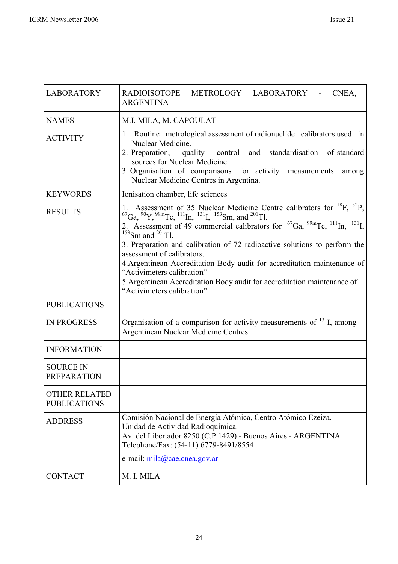| <b>LABORATORY</b>                           | METROLOGY LABORATORY -<br>RADIOISOTOPE<br>CNEA,<br><b>ARGENTINA</b>                                                                                                                                                                                                                                                                                                                                                                                                                                                                                                                                                                                           |
|---------------------------------------------|---------------------------------------------------------------------------------------------------------------------------------------------------------------------------------------------------------------------------------------------------------------------------------------------------------------------------------------------------------------------------------------------------------------------------------------------------------------------------------------------------------------------------------------------------------------------------------------------------------------------------------------------------------------|
| <b>NAMES</b>                                | M.I. MILA, M. CAPOULAT                                                                                                                                                                                                                                                                                                                                                                                                                                                                                                                                                                                                                                        |
| <b>ACTIVITY</b>                             | 1. Routine metrological assessment of radionuclide calibrators used in<br>Nuclear Medicine.<br>2. Preparation,<br>quality control and standardisation of standard<br>sources for Nuclear Medicine.<br>3. Organisation of comparisons for activity measurements<br>among<br>Nuclear Medicine Centres in Argentina.                                                                                                                                                                                                                                                                                                                                             |
| <b>KEYWORDS</b>                             | Ionisation chamber, life sciences.                                                                                                                                                                                                                                                                                                                                                                                                                                                                                                                                                                                                                            |
| <b>RESULTS</b>                              | 1. Assessment of 35 Nuclear Medicine Centre calibrators for <sup>18</sup> F, <sup>32</sup> P,<br>${}^{67}Ga, {}^{90}Y, {}^{99m}Te, {}^{111}In, {}^{131}I, {}^{153}Sm,$ and ${}^{201}Tl.$<br>2. Assessment of 49 commercial calibrators for ${}^{67}Ga$ , ${}^{99m}Te$ , ${}^{111}In$ , ${}^{131}I$ ,<br>$153$ Sm and $201$ Tl.<br>3. Preparation and calibration of 72 radioactive solutions to perform the<br>assessment of calibrators.<br>4. Argentinean Accreditation Body audit for accreditation maintenance of<br>"Activimeters calibration"<br>5. Argentinean Accreditation Body audit for accreditation maintenance of<br>"Activimeters calibration" |
| <b>PUBLICATIONS</b>                         |                                                                                                                                                                                                                                                                                                                                                                                                                                                                                                                                                                                                                                                               |
| <b>IN PROGRESS</b>                          | Organisation of a comparison for activity measurements of $^{131}$ I, among<br>Argentinean Nuclear Medicine Centres.                                                                                                                                                                                                                                                                                                                                                                                                                                                                                                                                          |
| <b>INFORMATION</b>                          |                                                                                                                                                                                                                                                                                                                                                                                                                                                                                                                                                                                                                                                               |
| <b>SOURCE IN</b><br><b>PREPARATION</b>      |                                                                                                                                                                                                                                                                                                                                                                                                                                                                                                                                                                                                                                                               |
| <b>OTHER RELATED</b><br><b>PUBLICATIONS</b> |                                                                                                                                                                                                                                                                                                                                                                                                                                                                                                                                                                                                                                                               |
| <b>ADDRESS</b>                              | Comisión Nacional de Energía Atómica, Centro Atómico Ezeiza.<br>Unidad de Actividad Radioquímica.<br>Av. del Libertador 8250 (C.P.1429) - Buenos Aires - ARGENTINA<br>Telephone/Fax: (54-11) 6779-8491/8554<br>e-mail: mila@cae.cnea.gov.ar                                                                                                                                                                                                                                                                                                                                                                                                                   |
| <b>CONTACT</b>                              | M. I. MILA                                                                                                                                                                                                                                                                                                                                                                                                                                                                                                                                                                                                                                                    |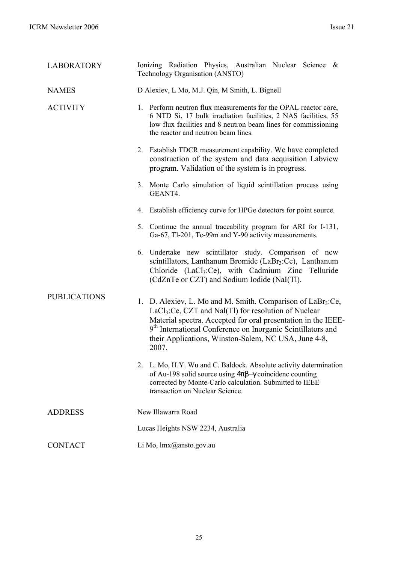| <b>LABORATORY</b>   | Ionizing Radiation Physics, Australian Nuclear Science &<br>Technology Organisation (ANSTO)                                                                                                                                                                                                                                                              |
|---------------------|----------------------------------------------------------------------------------------------------------------------------------------------------------------------------------------------------------------------------------------------------------------------------------------------------------------------------------------------------------|
| <b>NAMES</b>        | D Alexiev, L Mo, M.J. Qin, M Smith, L. Bignell                                                                                                                                                                                                                                                                                                           |
| <b>ACTIVITY</b>     | 1. Perform neutron flux measurements for the OPAL reactor core,<br>6 NTD Si, 17 bulk irradiation facilities, 2 NAS facilities, 55<br>low flux facilities and 8 neutron beam lines for commissioning<br>the reactor and neutron beam lines.                                                                                                               |
|                     | Establish TDCR measurement capability. We have completed<br>2.<br>construction of the system and data acquisition Labview<br>program. Validation of the system is in progress.                                                                                                                                                                           |
|                     | Monte Carlo simulation of liquid scintillation process using<br>3.<br>GEANT4.                                                                                                                                                                                                                                                                            |
|                     | 4. Establish efficiency curve for HPGe detectors for point source.                                                                                                                                                                                                                                                                                       |
|                     | 5. Continue the annual traceability program for ARI for I-131,<br>Ga-67, Tl-201, Tc-99m and Y-90 activity measurements.                                                                                                                                                                                                                                  |
|                     | 6. Undertake new scintillator study. Comparison of new<br>scintillators, Lanthanum Bromide (LaBr <sub>3</sub> :Ce), Lanthanum<br>Chloride (LaCl <sub>3</sub> :Ce), with Cadmium Zinc Telluride<br>(CdZnTe or CZT) and Sodium Iodide (NaI(Tl).                                                                                                            |
| <b>PUBLICATIONS</b> | 1. D. Alexiev, L. Mo and M. Smith. Comparison of LaBr <sub>3</sub> :Ce,<br>LaCl <sub>3</sub> :Ce, CZT and Nal(Tl) for resolution of Nuclear<br>Material spectra. Accepted for oral presentation in the IEEE-<br>9 <sup>th</sup> International Conference on Inorganic Scintillators and<br>their Applications, Winston-Salem, NC USA, June 4-8,<br>2007. |
|                     | L. Mo, H.Y. Wu and C. Baldock. Absolute activity determination<br>2.<br>of Au-198 solid source using $4\pi\beta-\gamma$ coincidenc counting<br>corrected by Monte-Carlo calculation. Submitted to IEEE<br>transaction on Nuclear Science.                                                                                                                |
| <b>ADDRESS</b>      | New Illawarra Road                                                                                                                                                                                                                                                                                                                                       |
|                     | Lucas Heights NSW 2234, Australia                                                                                                                                                                                                                                                                                                                        |
| <b>CONTACT</b>      | Li Mo, lmx@ansto.gov.au                                                                                                                                                                                                                                                                                                                                  |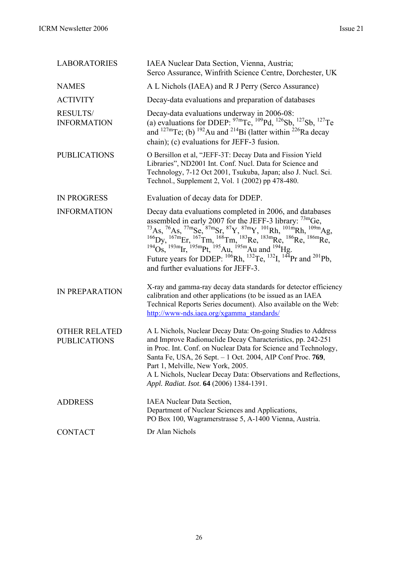| <b>LABORATORIES</b>                         | IAEA Nuclear Data Section, Vienna, Austria;<br>Serco Assurance, Winfrith Science Centre, Dorchester, UK                                                                                                                                                                                                                                                                                                                                                                                                                                                                                           |
|---------------------------------------------|---------------------------------------------------------------------------------------------------------------------------------------------------------------------------------------------------------------------------------------------------------------------------------------------------------------------------------------------------------------------------------------------------------------------------------------------------------------------------------------------------------------------------------------------------------------------------------------------------|
| <b>NAMES</b>                                | A L Nichols (IAEA) and R J Perry (Serco Assurance)                                                                                                                                                                                                                                                                                                                                                                                                                                                                                                                                                |
| <b>ACTIVITY</b>                             | Decay-data evaluations and preparation of databases                                                                                                                                                                                                                                                                                                                                                                                                                                                                                                                                               |
| <b>RESULTS/</b><br><b>INFORMATION</b>       | Decay-data evaluations underway in 2006-08:<br>(a) evaluations for DDEP: $^{97m}$ Tc, $^{109}$ Pd, $^{126}$ Sb, $^{127}$ Sb, $^{127}$ Te<br>and $^{127m}$ Te; (b) $^{192}$ Au and $^{214}$ Bi (latter within $^{226}$ Ra decay<br>chain); (c) evaluations for JEFF-3 fusion.                                                                                                                                                                                                                                                                                                                      |
| <b>PUBLICATIONS</b>                         | O Bersillon et al, "JEFF-3T: Decay Data and Fission Yield<br>Libraries", ND2001 Int. Conf. Nucl. Data for Science and<br>Technology, 7-12 Oct 2001, Tsukuba, Japan; also J. Nucl. Sci.<br>Technol., Supplement 2, Vol. 1 (2002) pp 478-480.                                                                                                                                                                                                                                                                                                                                                       |
| <b>IN PROGRESS</b>                          | Evaluation of decay data for DDEP.                                                                                                                                                                                                                                                                                                                                                                                                                                                                                                                                                                |
| <b>INFORMATION</b>                          | Decay data evaluations completed in 2006, and databases<br>assembled in early 2007 for the JEFF-3 library: $^{73m}$ Ge,<br>dissembled in early 2007 for the 3ET 1-5 hordy.<br><sup>73</sup> As, <sup>76</sup> As, <sup>77m</sup> Se, <sup>87m</sup> Sr, <sup>87</sup> Y, <sup>87m</sup> Y, <sup>101</sup> Rh, <sup>101m</sup> Rh, <sup>109m</sup> Ag,<br><sup>166</sup> Dy, <sup>167m</sup> Er, <sup>167</sup> Tm, <sup>168</sup> Tm, <sup>183</sup> Re, <sup>183m</sup> Re, <sup>186</sup> Re, <sup>186m</sup> Re, <sup>194</sup> Os, <sup>193m</sup> Ir,<br>and further evaluations for JEFF-3. |
| <b>IN PREPARATION</b>                       | X-ray and gamma-ray decay data standards for detector efficiency<br>calibration and other applications (to be issued as an IAEA<br>Technical Reports Series document). Also available on the Web:<br>http://www-nds.iaea.org/xgamma_standards/                                                                                                                                                                                                                                                                                                                                                    |
| <b>OTHER RELATED</b><br><b>PUBLICATIONS</b> | A L Nichols, Nuclear Decay Data: On-going Studies to Address<br>and Improve Radionuclide Decay Characteristics, pp. 242-251<br>in Proc. Int. Conf. on Nuclear Data for Science and Technology,<br>Santa Fe, USA, 26 Sept. - 1 Oct. 2004, AIP Conf Proc. 769,<br>Part 1, Melville, New York, 2005.<br>A L Nichols, Nuclear Decay Data: Observations and Reflections,<br>Appl. Radiat. Isot. 64 (2006) 1384-1391.                                                                                                                                                                                   |
| <b>ADDRESS</b>                              | <b>IAEA</b> Nuclear Data Section,<br>Department of Nuclear Sciences and Applications,<br>PO Box 100, Wagramerstrasse 5, A-1400 Vienna, Austria.                                                                                                                                                                                                                                                                                                                                                                                                                                                   |
| <b>CONTACT</b>                              | Dr Alan Nichols                                                                                                                                                                                                                                                                                                                                                                                                                                                                                                                                                                                   |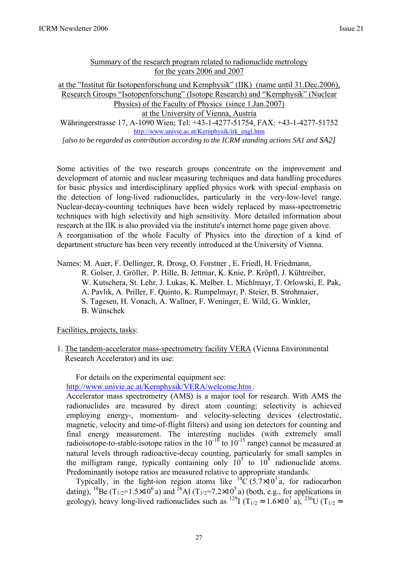### Summary of the research program related to radionuclide metrology for the years 2006 and 2007

at the "Institut für Isotopenforschung und Kernphysik" (IIK) (name until 31.Dec.2006), Research Groups "Isotopenforschung" (Isotope Research) and "Kernphysik" (Nuclear Physics) of the Faculty of Physics (since 1.Jan.2007)

at the University of Vienna, Austria

Währingerstrasse 17, A-1090 Wien; Tel: +43-1-4277-51754, FAX: +43-1-4277-51752 http://www.univie.ac.at/Kernphysik/irk\_engl.htm

*[also to be regarded as contribution according to the ICRM standing actions SA1 and SA2]*

Some activities of the two research groups concentrate on the improvement and development of atomic and nuclear measuring techniques and data handling procedures for basic physics and interdisciplinary applied physics work with special emphasis on the detection of long-lived radionuclides, particularly in the very-low-level range. Nuclear-decay-counting techniques have been widely replaced by mass-spectrometric techniques with high selectivity and high sensitivity. More detailed information about research at the IIK is also provided via the institute's internet home page given above. A reorganisation of the whole Faculty of Physics into the direction of a kind of department structure has been very recently introduced at the University of Vienna.

Names: M. Auer, F. Dellinger, R. Drosg, O. Forstner , E. Friedl, H. Friedmann,

- R. Golser, J. Gröller, P. Hille, B. Jettmar, K. Knie, P. Kröpfl, J. Kühtreiber,
- W. Kutschera, St. Lehr, J. Lukas, K. Melber. L. Michlmayr, T. Orlowski, E. Pak,
- A. Pavlik, A. Priller, F. Quinto, K. Rumpelmayr, P. Steier, B. Strohmaier,
- S. Tagesen, H. Vonach, A. Wallner, F. Weninger, E. Wild, G. Winkler,
- B. Wünschek

#### Facilities, projects, tasks:

1. The tandem-accelerator mass-spectrometry facility VERA (Vienna Environmental Research Accelerator) and its use:

For details on the experimental equipment see:

http://www.univie.ac.at/Kernphysik/VERA/welcome.htm .

Accelerator mass spectrometry (AMS) is a major tool for research. With AMS the radionuclides are measured by direct atom counting; selectivity is achieved employing energy-, momentum- and velocity-selecting devices (electrostatic, magnetic, velocity and time-of-flight filters) and using ion detectors for counting and final energy measurement. The interesting nuclides (with extremely small radioisotope-to-stable-isotope ratios in the  $10^{-10}$  to  $10^{-15}$  range) cannot be measured at natural levels through radioactive-decay counting, particularly for small samples in the milligram range, typically containing only  $10^5$  to  $10^8$  radionuclide atoms. Predominantly isotope ratios are measured relative to appropriate standards.

Typically, in the light-ion region atoms like  ${}^{14}C$  (5.7×10<sup>3</sup> a, for radiocarbon dating), <sup>10</sup>Be (T<sub>1/2</sub>=1.5×10<sup>6</sup> a) and <sup>26</sup>Al (T<sub>1/2</sub>=7.2×10<sup>5</sup> a) (both, e.g., for applications in geology), heavy long-lived radionuclides such as <sup>129</sup>I (T<sub>1/2</sub>  $\approx$  1.6×10<sup>7</sup> a), <sup>236</sup>U (T<sub>1/2</sub>  $\approx$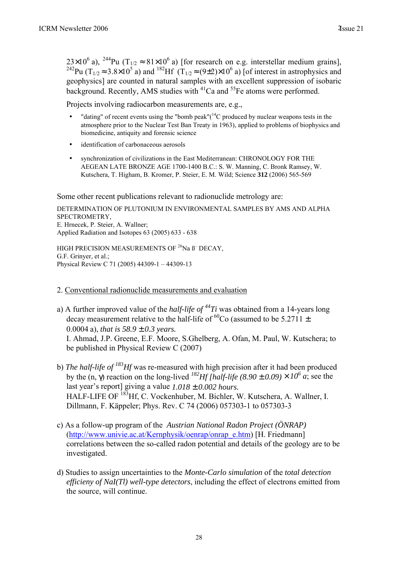23×10<sup>6</sup> a), <sup>244</sup>Pu (T<sub>1/2</sub>  $\approx$  81×10<sup>6</sup> a) [for research on e.g. interstellar medium grains], <sup>242</sup>Pu (T<sub>1/2</sub>  $\approx$  3.8×10<sup>5</sup> a) and <sup>182</sup>Hf (T<sub>1/2</sub> $\approx$  (9±2)×10<sup>6</sup> a) [of interest in astrophysics and geophysics] are counted in natural samples with an excellent suppression of isobaric background. Recently, AMS studies with  ${}^{41}Ca$  and  ${}^{55}Fe$  atoms were performed.

Projects involving radiocarbon measurements are, e.g.,

- "dating" of recent events using the "bomb peak" $(14C)$  produced by nuclear weapons tests in the atmosphere prior to the Nuclear Test Ban Treaty in 1963), applied to problems of biophysics and biomedicine, antiquity and forensic science
- identification of carbonaceous aerosols
- synchronization of civilizations in the East Mediterranean: CHRONOLOGY FOR THE AEGEAN LATE BRONZE AGE 1700-1400 B.C.: S. W. Manning, C. Bronk Ramsey, W. Kutschera, T. Higham, B. Kromer, P. Steier, E. M. Wild; Science **312** (2006) 565-569

Some other recent publications relevant to radionuclide metrology are:

DETERMINATION OF PLUTONIUM IN ENVIRONMENTAL SAMPLES BY AMS AND ALPHA SPECTROMETRY, E. Hrnecek, P. Steier, A. Wallner;

Applied Radiation and Isotopes 63 (2005) 633 - 638

HIGH PRECISION MEASUREMENTS OF  $^{26}$ Na ß $^-$  DECAY, G.F. Grinyer, et al.; Physical Review C 71 (2005) 44309-1 – 44309-13

- 2. Conventional radionuclide measurements and evaluation
- a) A further improved value of the *half-life of <sup>44</sup>Ti* was obtained from a 14-years long decay measurement relative to the half-life of <sup>60</sup>Co (assumed to be 5.2711  $\pm$ 0.0004 a), *that is*  $58.9 \pm 0.3$  *years.* I. Ahmad, J.P. Greene, E.F. Moore, S.Ghelberg, A. Ofan, M. Paul, W. Kutschera; to be published in Physical Review C (2007)
- b) *The half-life of <sup>183</sup>Hf* was re-measured with high precision after it had been produced by the (n, γ) reaction on the long-lived <sup>182</sup>*Hf [half-life (8.90 ± 0.09)*  $\hat{ }$  10<sup>6</sup> *a*; see the last year's report] giving a value *1.018 ± 0.002 hours.* HALF-LIFE OF <sup>183</sup>Hf, C. Vockenhuber, M. Bichler, W. Kutschera, A. Wallner, I. Dillmann, F. Käppeler; Phys. Rev. C 74 (2006) 057303-1 to 057303-3
- c) As a follow-up program of the *Austrian National Radon Project (ÖNRAP)* (http://www.univie.ac.at/Kernphysik/oenrap/onrap\_e.htm) [H. Friedmann] correlations between the so-called radon potential and details of the geology are to be investigated.
- d) Studies to assign uncertainties to the *Monte-Carlo simulation* of the *total detection efficieny of NaI(Tl) well-type detectors*, including the effect of electrons emitted from the source, will continue.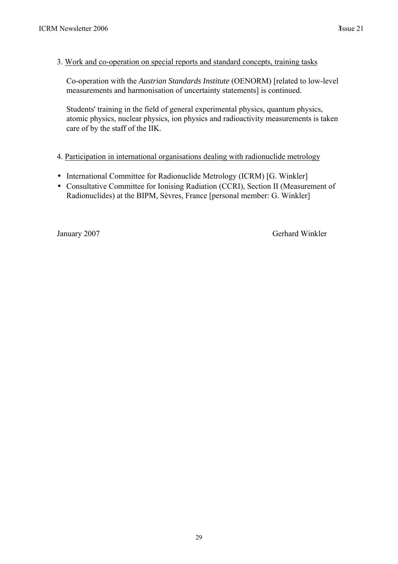3. Work and co-operation on special reports and standard concepts, training tasks

Co-operation with the *Austrian Standards Institute* (OENORM) [related to low-level measurements and harmonisation of uncertainty statements] is continued.

Students' training in the field of general experimental physics, quantum physics, atomic physics, nuclear physics, ion physics and radioactivity measurements is taken care of by the staff of the IIK.

### 4. Participation in international organisations dealing with radionuclide metrology

- International Committee for Radionuclide Metrology (ICRM) [G. Winkler]
- Consultative Committee for Ionising Radiation (CCRI), Section II (Measurement of Radionuclides) at the BIPM, Sèvres, France [personal member: G. Winkler]

January 2007 Gerhard Winkler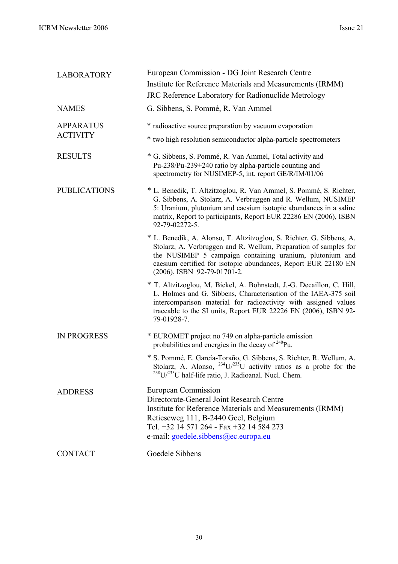| <b>LABORATORY</b>   | European Commission - DG Joint Research Centre<br>Institute for Reference Materials and Measurements (IRMM)                                                                                                                                                                                           |
|---------------------|-------------------------------------------------------------------------------------------------------------------------------------------------------------------------------------------------------------------------------------------------------------------------------------------------------|
|                     | JRC Reference Laboratory for Radionuclide Metrology                                                                                                                                                                                                                                                   |
| <b>NAMES</b>        | G. Sibbens, S. Pommé, R. Van Ammel                                                                                                                                                                                                                                                                    |
| <b>APPARATUS</b>    | * radioactive source preparation by vacuum evaporation                                                                                                                                                                                                                                                |
| <b>ACTIVITY</b>     | * two high resolution semiconductor alpha-particle spectrometers                                                                                                                                                                                                                                      |
| <b>RESULTS</b>      | * G. Sibbens, S. Pommé, R. Van Ammel, Total activity and<br>Pu-238/Pu-239+240 ratio by alpha-particle counting and<br>spectrometry for NUSIMEP-5, int. report GE/R/IM/01/06                                                                                                                           |
| <b>PUBLICATIONS</b> | * L. Benedik, T. Altzitzoglou, R. Van Ammel, S. Pommé, S. Richter,<br>G. Sibbens, A. Stolarz, A. Verbruggen and R. Wellum, NUSIMEP<br>5: Uranium, plutonium and caesium isotopic abundances in a saline<br>matrix, Report to participants, Report EUR 22286 EN (2006), ISBN<br>92-79-02272-5.         |
|                     | * L. Benedik, A. Alonso, T. Altzitzoglou, S. Richter, G. Sibbens, A.<br>Stolarz, A. Verbruggen and R. Wellum, Preparation of samples for<br>the NUSIMEP 5 campaign containing uranium, plutonium and<br>caesium certified for isotopic abundances, Report EUR 22180 EN<br>(2006), ISBN 92-79-01701-2. |
|                     | * T. Altzitzoglou, M. Bickel, A. Bohnstedt, J.-G. Decaillon, C. Hill,<br>L. Holmes and G. Sibbens, Characterisation of the IAEA-375 soil<br>intercomparison material for radioactivity with assigned values<br>traceable to the SI units, Report EUR 22226 EN (2006), ISBN 92-<br>79-01928-7.         |
| <b>IN PROGRESS</b>  | * EUROMET project no 749 on alpha-particle emission<br>probabilities and energies in the decay of $240$ Pu.                                                                                                                                                                                           |
|                     | * S. Pommé, E. García-Toraño, G. Sibbens, S. Richter, R. Wellum, A.<br>Stolarz, A. Alonso, $^{234}U/^{235}U$ activity ratios as a probe for the<br>$^{238}$ U/ $^{235}$ U half-life ratio, J. Radioanal. Nucl. Chem.                                                                                  |
| <b>ADDRESS</b>      | European Commission<br>Directorate-General Joint Research Centre<br>Institute for Reference Materials and Measurements (IRMM)<br>Retieseweg 111, B-2440 Geel, Belgium<br>Tel. +32 14 571 264 - Fax +32 14 584 273<br>e-mail: goedele.sibbens@ec.europa.eu                                             |
| <b>CONTACT</b>      | Goedele Sibbens                                                                                                                                                                                                                                                                                       |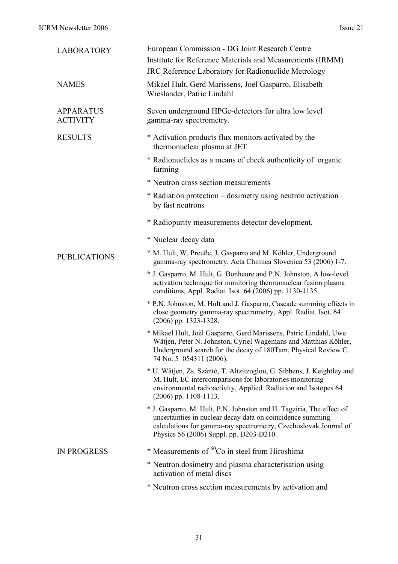| <b>LABORATORY</b>                   | European Commission - DG Joint Research Centre<br>Institute for Reference Materials and Measurements (IRMM)<br>JRC Reference Laboratory for Radionuclide Metrology                                                                                |
|-------------------------------------|---------------------------------------------------------------------------------------------------------------------------------------------------------------------------------------------------------------------------------------------------|
| <b>NAMES</b>                        | Mikael Hult, Gerd Marissens, Joël Gasparro, Elisabeth<br>Wieslander, Patric Lindahl                                                                                                                                                               |
| <b>APPARATUS</b><br><b>ACTIVITY</b> | Seven underground HPGe-detectors for ultra low level<br>gamma-ray spectrometry.                                                                                                                                                                   |
| <b>RESULTS</b>                      | * Activation products flux monitors activated by the<br>thermonuclear plasma at JET                                                                                                                                                               |
|                                     | * Radionuclides as a means of check authenticity of organic<br>farming                                                                                                                                                                            |
|                                     | * Neutron cross section measurements                                                                                                                                                                                                              |
|                                     | * Radiation protection – dosimetry using neutron activation<br>by fast neutrons                                                                                                                                                                   |
|                                     | * Radiopurity measurements detector development.                                                                                                                                                                                                  |
|                                     | * Nuclear decay data                                                                                                                                                                                                                              |
| <b>PUBLICATIONS</b>                 | * M. Hult, W. Preuße, J. Gasparro and M. Köhler, Underground<br>gamma-ray spectrometry, Acta Chimica Slovenica 53 (2006) 1-7.                                                                                                                     |
|                                     | * J. Gasparro, M. Hult, G. Bonheure and P.N. Johnston, A low-level<br>activation technique for monitoring thermonuclear fusion plasma<br>conditions, Appl. Radiat. Isot. 64 (2006) pp. 1130-1135.                                                 |
|                                     | * P.N. Johnston, M. Hult and J. Gasparro, Cascade summing effects in<br>close geometry gamma-ray spectrometry, Appl. Radiat. Isot. 64<br>$(2006)$ pp. 1323-1328.                                                                                  |
|                                     | * Mikael Hult, Joël Gasparro, Gerd Marissens, Patric Lindahl, Uwe<br>Wätjen, Peter N. Johnston, Cyriel Wagemans and Matthias Köhler,<br>Underground search for the decay of 180Tam, Physical Review C<br>74 No. 5 054311 (2006).                  |
|                                     | * U. Wätjen, Zs. Szántó, T. Altzitzoglou, G. Sibbens, J. Keightley and<br>M. Hult, EC intercomparisons for laboratories monitoring<br>environmental radioactivity, Applied Radiation and Isotopes 64<br>$(2006)$ pp. 1108-1113.                   |
|                                     | * J. Gasparro, M. Hult, P.N. Johnston and H. Tagziria, The effect of<br>uncertainties in nuclear decay data on coincidence summing<br>calculations for gamma-ray spectrometry, Czechoslovak Journal of<br>Physics 56 (2006) Suppl. pp. D203-D210. |
| <b>IN PROGRESS</b>                  | * Measurements of <sup>60</sup> Co in steel from Hiroshima                                                                                                                                                                                        |
|                                     | * Neutron dosimetry and plasma characterisation using<br>activation of metal discs                                                                                                                                                                |
|                                     | * Neutron cross section measurements by activation and                                                                                                                                                                                            |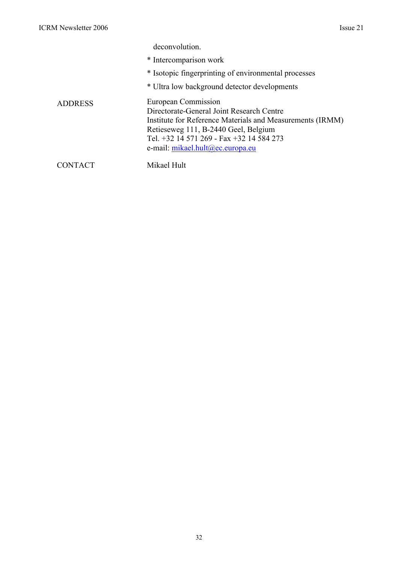|                | deconvolution.                                                                                                                                                                                                                                        |
|----------------|-------------------------------------------------------------------------------------------------------------------------------------------------------------------------------------------------------------------------------------------------------|
|                | * Intercomparison work                                                                                                                                                                                                                                |
|                | * Isotopic fingerprinting of environmental processes                                                                                                                                                                                                  |
|                | * Ultra low background detector developments                                                                                                                                                                                                          |
| <b>ADDRESS</b> | European Commission<br>Directorate-General Joint Research Centre<br>Institute for Reference Materials and Measurements (IRMM)<br>Retieseweg 111, B-2440 Geel, Belgium<br>Tel. +32 14 571 269 - Fax +32 14 584 273<br>e-mail: mikael.hult@ec.europa.eu |
| NTACT          | Mikael Hult                                                                                                                                                                                                                                           |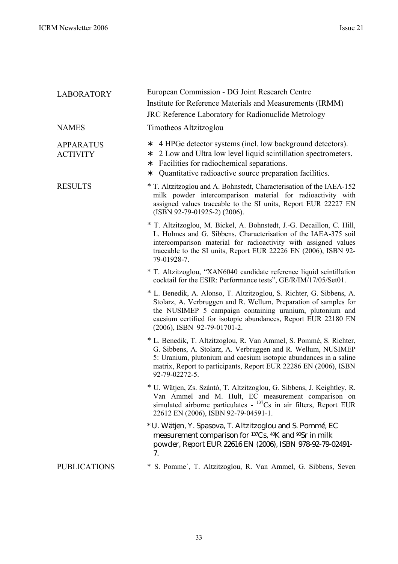| <b>LABORATORY</b>                   | European Commission - DG Joint Research Centre<br>Institute for Reference Materials and Measurements (IRMM)<br>JRC Reference Laboratory for Radionuclide Metrology                                                                                                                                       |
|-------------------------------------|----------------------------------------------------------------------------------------------------------------------------------------------------------------------------------------------------------------------------------------------------------------------------------------------------------|
| <b>NAMES</b>                        | Timotheos Altzitzoglou                                                                                                                                                                                                                                                                                   |
| <b>APPARATUS</b><br><b>ACTIVITY</b> | 4 HPGe detector systems (incl. low background detectors).<br>*<br>2 Low and Ultra low level liquid scintillation spectrometers.<br>∗<br>Facilities for radiochemical separations.<br>*<br>Quantitative radioactive source preparation facilities.<br>∗                                                   |
| <b>RESULTS</b>                      | * T. Altzitzoglou and A. Bohnstedt, Characterisation of the IAEA-152<br>milk powder intercomparison material for radioactivity with<br>assigned values traceable to the SI units, Report EUR 22227 EN<br>$(ISBN 92-79-01925-2) (2006).$                                                                  |
|                                     | * T. Altzitzoglou, M. Bickel, A. Bohnstedt, J.-G. Decaillon, C. Hill,<br>L. Holmes and G. Sibbens, Characterisation of the IAEA-375 soil<br>intercomparison material for radioactivity with assigned values<br>traceable to the SI units, Report EUR 22226 EN (2006), ISBN 92-<br>79-01928-7.            |
|                                     | * T. Altzitzoglou, "XAN6040 candidate reference liquid scintillation<br>cocktail for the ESIR: Performance tests", GE/R/IM/17/05/Set01.                                                                                                                                                                  |
|                                     | * L. Benedik, A. Alonso, T. Altzitzoglou, S. Richter, G. Sibbens, A.<br>Stolarz, A. Verbruggen and R. Wellum, Preparation of samples for<br>the NUSIMEP 5 campaign containing uranium, plutonium and<br>caesium certified for isotopic abundances, Report EUR 22180 EN<br>$(2006)$ , ISBN 92-79-01701-2. |
|                                     | * L. Benedik, T. Altzitzoglou, R. Van Ammel, S. Pommé, S. Richter,<br>G. Sibbens, A. Stolarz, A. Verbruggen and R. Wellum, NUSIMEP<br>5: Uranium, plutonium and caesium isotopic abundances in a saline<br>matrix, Report to participants, Report EUR 22286 EN (2006), ISBN<br>92-79-02272-5.            |
|                                     | * U. Wätjen, Zs. Szántó, T. Altzitzoglou, G. Sibbens, J. Keightley, R.<br>Van Ammel and M. Hult, EC measurement comparison on<br>simulated airborne particulates - $^{137}Cs$ in air filters, Report EUR<br>22612 EN (2006), ISBN 92-79-04591-1.                                                         |
|                                     | * U. Wätjen, Y. Spasova, T. Altzitzoglou and S. Pommé, EC<br>measurement comparison for 137Cs, 40K and 90Sr in milk<br>powder, Report EUR 22616 EN (2006), ISBN 978-92-79-02491-<br>7.                                                                                                                   |
| <b>PUBLICATIONS</b>                 | * S. Pomme', T. Altzitzoglou, R. Van Ammel, G. Sibbens, Seven                                                                                                                                                                                                                                            |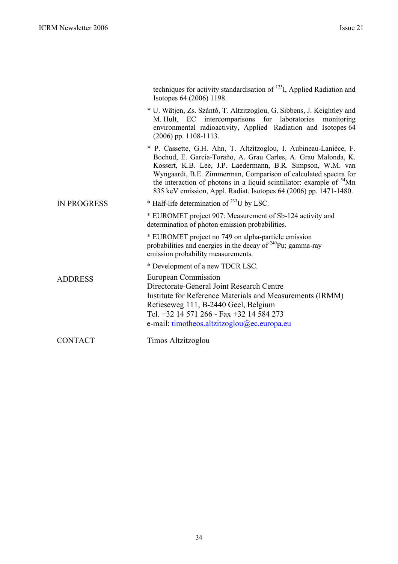|                    | techniques for activity standardisation of $^{125}$ I, Applied Radiation and<br>Isotopes 64 (2006) 1198.                                                                                                                                                                                                                                                                                                                     |
|--------------------|------------------------------------------------------------------------------------------------------------------------------------------------------------------------------------------------------------------------------------------------------------------------------------------------------------------------------------------------------------------------------------------------------------------------------|
|                    | * U. Wätjen, Zs. Szántó, T. Altzitzoglou, G. Sibbens, J. Keightley and<br>M. Hult, EC intercomparisons for laboratories<br>monitoring<br>environmental radioactivity, Applied Radiation and Isotopes 64<br>$(2006)$ pp. 1108-1113.                                                                                                                                                                                           |
|                    | * P. Cassette, G.H. Ahn, T. Altzitzoglou, I. Aubineau-Lanièce, F.<br>Bochud, E. García-Toraño, A. Grau Carles, A. Grau Malonda, K.<br>Kossert, K.B. Lee, J.P. Laedermann, B.R. Simpson, W.M. van<br>Wyngaardt, B.E. Zimmerman, Comparison of calculated spectra for<br>the interaction of photons in a liquid scintillator: example of <sup>54</sup> Mn<br>835 keV emission, Appl. Radiat. Isotopes 64 (2006) pp. 1471-1480. |
| <b>IN PROGRESS</b> | * Half-life determination of <sup>233</sup> U by LSC.                                                                                                                                                                                                                                                                                                                                                                        |
|                    | * EUROMET project 907: Measurement of Sb-124 activity and<br>determination of photon emission probabilities.                                                                                                                                                                                                                                                                                                                 |
|                    | * EUROMET project no 749 on alpha-particle emission<br>probabilities and energies in the decay of $240$ Pu; gamma-ray<br>emission probability measurements.                                                                                                                                                                                                                                                                  |
|                    | * Development of a new TDCR LSC.                                                                                                                                                                                                                                                                                                                                                                                             |
| <b>ADDRESS</b>     | European Commission<br>Directorate-General Joint Research Centre<br>Institute for Reference Materials and Measurements (IRMM)<br>Retieseweg 111, B-2440 Geel, Belgium<br>Tel. +32 14 571 266 - Fax +32 14 584 273<br>e-mail: timotheos.altzitzoglou@ec.europa.eu                                                                                                                                                             |
| <b>CONTACT</b>     | Timos Altzitzoglou                                                                                                                                                                                                                                                                                                                                                                                                           |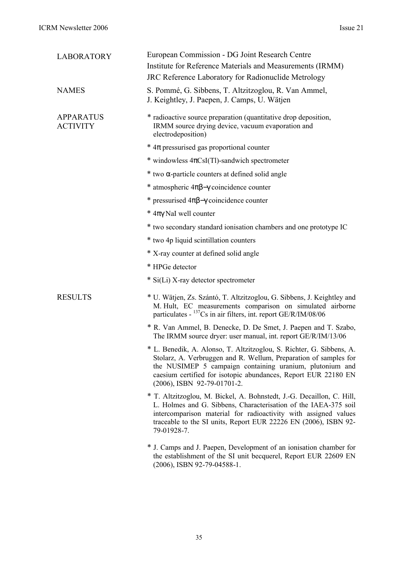| <b>LABORATORY</b>                   | European Commission - DG Joint Research Centre<br>Institute for Reference Materials and Measurements (IRMM)                                                                                                                                                                                              |
|-------------------------------------|----------------------------------------------------------------------------------------------------------------------------------------------------------------------------------------------------------------------------------------------------------------------------------------------------------|
|                                     | JRC Reference Laboratory for Radionuclide Metrology                                                                                                                                                                                                                                                      |
| <b>NAMES</b>                        | S. Pommé, G. Sibbens, T. Altzitzoglou, R. Van Ammel,<br>J. Keightley, J. Paepen, J. Camps, U. Wätjen                                                                                                                                                                                                     |
| <b>APPARATUS</b><br><b>ACTIVITY</b> | * radioactive source preparation (quantitative drop deposition,<br>IRMM source drying device, vacuum evaporation and<br>electrodeposition)                                                                                                                                                               |
|                                     | $*$ 4 $\pi$ pressurised gas proportional counter                                                                                                                                                                                                                                                         |
|                                     | $*$ windowless $4\pi$ CsI(Tl)-sandwich spectrometer                                                                                                                                                                                                                                                      |
|                                     | $*$ two $\alpha$ -particle counters at defined solid angle                                                                                                                                                                                                                                               |
|                                     | * atmospheric $4\pi\beta-\gamma$ coincidence counter                                                                                                                                                                                                                                                     |
|                                     | * pressurised $4\pi\beta-\gamma$ coincidence counter                                                                                                                                                                                                                                                     |
|                                     | $*$ 4πγ NaI well counter                                                                                                                                                                                                                                                                                 |
|                                     | * two secondary standard ionisation chambers and one prototype IC                                                                                                                                                                                                                                        |
|                                     | * two 4p liquid scintillation counters                                                                                                                                                                                                                                                                   |
|                                     | * X-ray counter at defined solid angle                                                                                                                                                                                                                                                                   |
|                                     | * HPGe detector                                                                                                                                                                                                                                                                                          |
|                                     | * Si(Li) X-ray detector spectrometer                                                                                                                                                                                                                                                                     |
| <b>RESULTS</b>                      | * U. Wätjen, Zs. Szántó, T. Altzitzoglou, G. Sibbens, J. Keightley and<br>M. Hult, EC measurements comparison on simulated airborne<br>particulates - <sup>137</sup> Cs in air filters, int. report GE/R/IM/08/06                                                                                        |
|                                     | * R. Van Ammel, B. Denecke, D. De Smet, J. Paepen and T. Szabo,<br>The IRMM source dryer: user manual, int. report GE/R/IM/13/06                                                                                                                                                                         |
|                                     | * L. Benedik, A. Alonso, T. Altzitzoglou, S. Richter, G. Sibbens, A.<br>Stolarz, A. Verbruggen and R. Wellum, Preparation of samples for<br>the NUSIMEP 5 campaign containing uranium, plutonium and<br>caesium certified for isotopic abundances, Report EUR 22180 EN<br>$(2006)$ , ISBN 92-79-01701-2. |
|                                     | * T. Altzitzoglou, M. Bickel, A. Bohnstedt, J.-G. Decaillon, C. Hill,<br>L. Holmes and G. Sibbens, Characterisation of the IAEA-375 soil<br>intercomparison material for radioactivity with assigned values<br>traceable to the SI units, Report EUR 22226 EN (2006), ISBN 92-<br>79-01928-7.            |
|                                     | * J. Camps and J. Paepen, Development of an ionisation chamber for<br>the establishment of the SI unit becquerel, Report EUR 22609 EN<br>(2006), ISBN 92-79-04588-1.                                                                                                                                     |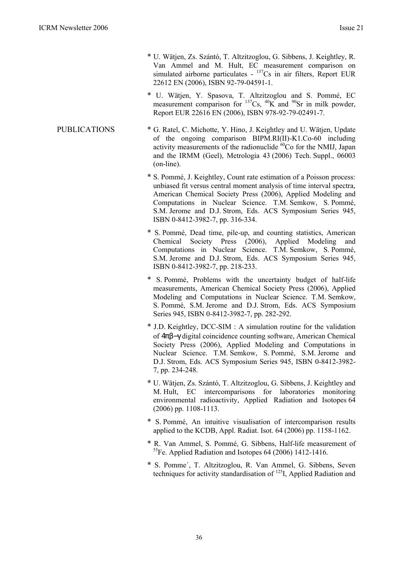- \* U. Wätjen, Zs. Szántó, T. Altzitzoglou, G. Sibbens, J. Keightley, R. Van Ammel and M. Hult, EC measurement comparison on simulated airborne particulates - <sup>137</sup>Cs in air filters, Report EUR 22612 EN (2006), ISBN 92-79-04591-1.
- \* U. Wätjen, Y. Spasova, T. Altzitzoglou and S. Pommé, EC measurement comparison for  $^{137}Cs$ ,  $^{40}K$  and  $^{90}Sr$  in milk powder, Report EUR 22616 EN (2006), ISBN 978-92-79-02491-7.
- PUBLICATIONS \* G. Ratel, C. Michotte, Y. Hino, J. Keightley and U. Wätjen, Update of the ongoing comparison BIPM.RI(II)-K1.Co-60 including activity measurements of the radionuclide  ${}^{60}Co$  for the NMIJ, Japan and the IRMM (Geel), Metrologia 43 (2006) Tech. Suppl., 06003 (on-line).
	- \* S. Pommé, J. Keightley, Count rate estimation of a Poisson process: unbiased fit versus central moment analysis of time interval spectra, American Chemical Society Press (2006), Applied Modeling and Computations in Nuclear Science. T.M. Semkow, S. Pommé, S.M. Jerome and D.J. Strom, Eds. ACS Symposium Series 945, ISBN 0-8412-3982-7, pp. 316-334.
	- \* S. Pommé, Dead time, pile-up, and counting statistics, American Chemical Society Press (2006), Applied Modeling and Computations in Nuclear Science. T.M. Semkow, S. Pommé, S.M. Jerome and D.J. Strom, Eds. ACS Symposium Series 945, ISBN 0-8412-3982-7, pp. 218-233.
	- \* S. Pommé, Problems with the uncertainty budget of half-life measurements, American Chemical Society Press (2006), Applied Modeling and Computations in Nuclear Science. T.M. Semkow, S. Pommé, S.M. Jerome and D.J. Strom, Eds. ACS Symposium Series 945, ISBN 0-8412-3982-7, pp. 282-292.
	- \* J.D. Keightley, DCC-SIM : A simulation routine for the validation of 4πβ−γ digital coincidence counting software, American Chemical Society Press (2006), Applied Modeling and Computations in Nuclear Science. T.M. Semkow, S. Pommé, S.M. Jerome and D.J. Strom, Eds. ACS Symposium Series 945, ISBN 0-8412-3982- 7, pp. 234-248.
	- \* U. Wätjen, Zs. Szántó, T. Altzitzoglou, G. Sibbens, J. Keightley and M. Hult, EC intercomparisons for laboratories monitoring environmental radioactivity, Applied Radiation and Isotopes 64 (2006) pp. 1108-1113.
	- \* S. Pommé, An intuitive visualisation of intercomparison results applied to the KCDB, Appl. Radiat. Isot. 64 (2006) pp. 1158-1162.
	- \* R. Van Ammel, S. Pommé, G. Sibbens, Half-life measurement of  ${}^{55}$ Fe. Applied Radiation and Isotopes 64 (2006) 1412-1416.
	- \* S. Pomme´, T. Altzitzoglou, R. Van Ammel, G. Sibbens, Seven techniques for activity standardisation of <sup>125</sup>I, Applied Radiation and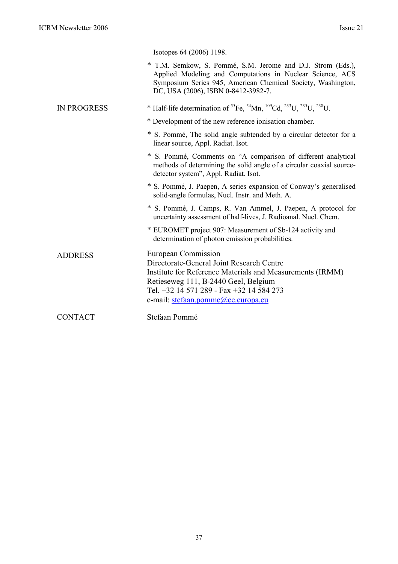|                    | Isotopes 64 (2006) 1198.                                                                                                                                                                                                                                       |
|--------------------|----------------------------------------------------------------------------------------------------------------------------------------------------------------------------------------------------------------------------------------------------------------|
|                    | $\ast$<br>T.M. Semkow, S. Pommé, S.M. Jerome and D.J. Strom (Eds.),<br>Applied Modeling and Computations in Nuclear Science, ACS<br>Symposium Series 945, American Chemical Society, Washington,<br>DC, USA (2006), ISBN 0-8412-3982-7.                        |
| <b>IN PROGRESS</b> | * Half-life determination of <sup>55</sup> Fe, <sup>54</sup> Mn, <sup>109</sup> Cd, <sup>233</sup> U, <sup>235</sup> U, <sup>238</sup> U.                                                                                                                      |
|                    | * Development of the new reference ionisation chamber.                                                                                                                                                                                                         |
|                    | * S. Pommé, The solid angle subtended by a circular detector for a<br>linear source, Appl. Radiat. Isot.                                                                                                                                                       |
|                    | $\ast$<br>S. Pommé, Comments on "A comparison of different analytical<br>methods of determining the solid angle of a circular coaxial source-<br>detector system", Appl. Radiat. Isot.                                                                         |
|                    | * S. Pommé, J. Paepen, A series expansion of Conway's generalised<br>solid-angle formulas, Nucl. Instr. and Meth. A.                                                                                                                                           |
|                    | * S. Pommé, J. Camps, R. Van Ammel, J. Paepen, A protocol for<br>uncertainty assessment of half-lives, J. Radioanal. Nucl. Chem.                                                                                                                               |
|                    | * EUROMET project 907: Measurement of Sb-124 activity and<br>determination of photon emission probabilities.                                                                                                                                                   |
| <b>ADDRESS</b>     | <b>European Commission</b><br>Directorate-General Joint Research Centre<br>Institute for Reference Materials and Measurements (IRMM)<br>Retieseweg 111, B-2440 Geel, Belgium<br>Tel. +32 14 571 289 - Fax +32 14 584 273<br>e-mail: stefaan.pomme@ec.europa.eu |
| <b>CONTACT</b>     | Stefaan Pommé                                                                                                                                                                                                                                                  |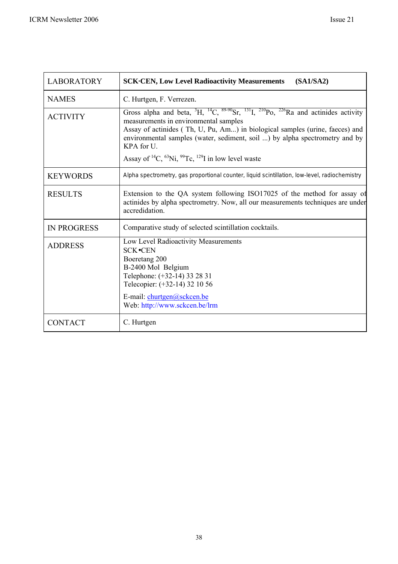| <b>LABORATORY</b>  | <b>SCK.CEN, Low Level Radioactivity Measurements</b><br>(SA1/SA2)                                                                                                                                                                                                                                                                                                                                                                            |
|--------------------|----------------------------------------------------------------------------------------------------------------------------------------------------------------------------------------------------------------------------------------------------------------------------------------------------------------------------------------------------------------------------------------------------------------------------------------------|
| <b>NAMES</b>       | C. Hurtgen, F. Verrezen.                                                                                                                                                                                                                                                                                                                                                                                                                     |
| <b>ACTIVITY</b>    | Gross alpha and beta, ${}^{3}H, {}^{14}C, {}^{89-90}Sr, {}^{131}I, {}^{210}Po, {}^{226}Ra$ and actinides activity<br>measurements in environmental samples<br>Assay of actinides (Th, U, Pu, Am) in biological samples (urine, faeces) and<br>environmental samples (water, sediment, soil ) by alpha spectrometry and by<br>KPA for U.<br>Assay of <sup>14</sup> C, <sup>63</sup> Ni, <sup>99</sup> Tc, <sup>129</sup> I in low level waste |
| <b>KEYWORDS</b>    | Alpha spectrometry, gas proportional counter, liquid scintillation, low-level, radiochemistry                                                                                                                                                                                                                                                                                                                                                |
| <b>RESULTS</b>     | Extension to the QA system following ISO17025 of the method for assay of<br>actinides by alpha spectrometry. Now, all our measurements techniques are under<br>accredidation.                                                                                                                                                                                                                                                                |
| <b>IN PROGRESS</b> | Comparative study of selected scintillation cocktails.                                                                                                                                                                                                                                                                                                                                                                                       |
| <b>ADDRESS</b>     | Low Level Radioactivity Measurements<br><b>SCK</b> •CEN<br>Boeretang 200<br>B-2400 Mol Belgium<br>Telephone: (+32-14) 33 28 31<br>Telecopier: (+32-14) 32 10 56<br>E-mail: churtgen@sckcen.be<br>Web: http://www.sckcen.be/lrm                                                                                                                                                                                                               |
| <b>CONTACT</b>     | C. Hurtgen                                                                                                                                                                                                                                                                                                                                                                                                                                   |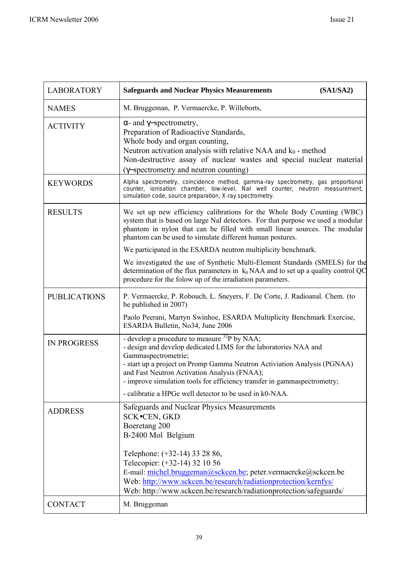| <b>LABORATORY</b>   | <b>Safeguards and Nuclear Physics Measurements</b><br>(SA1/SA2)                                                                                                                                                                                                                                                                                    |
|---------------------|----------------------------------------------------------------------------------------------------------------------------------------------------------------------------------------------------------------------------------------------------------------------------------------------------------------------------------------------------|
| <b>NAMES</b>        | M. Bruggeman, P. Vermaercke, P. Willeborts,                                                                                                                                                                                                                                                                                                        |
| <b>ACTIVITY</b>     | $\alpha$ - and $\gamma$ -spectrometry,<br>Preparation of Radioactive Standards,<br>Whole body and organ counting,<br>Neutron activation analysis with relative NAA and $k_0$ - method<br>Non-destructive assay of nuclear wastes and special nuclear material<br>$(\gamma$ -spectrometry and neutron counting)                                     |
| <b>KEYWORDS</b>     | Alpha spectrometry, coincidence method, gamma-ray spectrometry, gas proportional<br>counter, ionisation chamber, low-level, Nal well counter, neutron measurement,<br>simulation code, source preparation, X-ray spectrometry.                                                                                                                     |
| <b>RESULTS</b>      | We set up new efficiency calibrations for the Whole Body Counting (WBC)<br>system that is based on large NaI detectors. For that purpose we used a modular<br>phantom in nylon that can be filled with small linear sources. The modular<br>phantom can be used to simulate different human postures.                                              |
|                     | We participated in the ESARDA neutron multiplicity benchmark.                                                                                                                                                                                                                                                                                      |
|                     | We investigated the use of Synthetic Multi-Element Standards (SMELS) for the<br>determination of the flux parameters in $k_0$ NAA and to set up a quality control QC<br>procedure for the folow up of the irradiation parameters.                                                                                                                  |
| <b>PUBLICATIONS</b> | P. Vermaercke, P. Robouch, L. Sneyers, F. De Corte, J. Radioanal. Chem. (to<br>be published in 2007)                                                                                                                                                                                                                                               |
|                     | Paolo Peerani, Martyn Swinhoe, ESARDA Multiplicity Benchmark Exercise,<br>ESARDA Bulletin, No34, June 2006                                                                                                                                                                                                                                         |
| <b>IN PROGRESS</b>  | - develop a procedure to measure $^{32}P$ by NAA;<br>- design and develop dedicated LIMS for the laboratories NAA and<br>Gammaspectrometrie;<br>- start up a project on Promp Gamma Neutron Activiation Analysis (PGNAA)<br>and Fast Neutron Activation Analysis (FNAA);<br>improve simulation tools for efficiency transfer in gammaspectrometry; |
|                     | - calibratie a HPGe well detector to be used in k0-NAA.                                                                                                                                                                                                                                                                                            |
| <b>ADDRESS</b>      | Safeguards and Nuclear Physics Measurements<br>SCK.CEN, GKD<br>Boeretang 200<br>B-2400 Mol Belgium                                                                                                                                                                                                                                                 |
|                     | Telephone: (+32-14) 33 28 86,<br>Telecopier: (+32-14) 32 10 56<br>E-mail: michel.bruggeman@sckcen.be; peter.vermaercke@sckcen.be<br>Web: http://www.sckcen.be/research/radiationprotection/kernfys/<br>Web: http://www.sckcen.be/research/radiationprotection/safeguards/                                                                          |
| <b>CONTACT</b>      | M. Bruggeman                                                                                                                                                                                                                                                                                                                                       |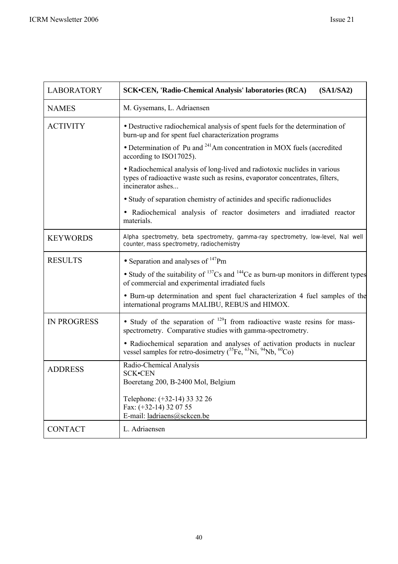| <b>LABORATORY</b>  | SCK.CEN, 'Radio-Chemical Analysis' laboratories (RCA)<br>(SA1/SA2)                                                                                                                        |
|--------------------|-------------------------------------------------------------------------------------------------------------------------------------------------------------------------------------------|
| <b>NAMES</b>       | M. Gysemans, L. Adriaensen                                                                                                                                                                |
| <b>ACTIVITY</b>    | • Destructive radiochemical analysis of spent fuels for the determination of<br>burn-up and for spent fuel characterization programs                                                      |
|                    | • Determination of Pu and $^{241}$ Am concentration in MOX fuels (accredited<br>according to ISO17025).                                                                                   |
|                    | • Radiochemical analysis of long-lived and radiotoxic nuclides in various<br>types of radioactive waste such as resins, evaporator concentrates, filters,<br>incinerator ashes            |
|                    | • Study of separation chemistry of actinides and specific radionuclides                                                                                                                   |
|                    | • Radiochemical analysis of reactor dosimeters and irradiated reactor<br>materials.                                                                                                       |
| <b>KEYWORDS</b>    | Alpha spectrometry, beta spectrometry, gamma-ray spectrometry, low-level, Nal well<br>counter, mass spectrometry, radiochemistry                                                          |
| <b>RESULTS</b>     | • Separation and analyses of $147$ Pm                                                                                                                                                     |
|                    | • Study of the suitability of $^{137}Cs$ and $^{144}Ce$ as burn-up monitors in different types<br>of commercial and experimental irradiated fuels                                         |
|                    | • Burn-up determination and spent fuel characterization 4 fuel samples of the<br>international programs MALIBU, REBUS and HIMOX.                                                          |
| <b>IN PROGRESS</b> | • Study of the separation of $^{129}$ I from radioactive waste resins for mass-<br>spectrometry. Comparative studies with gamma-spectrometry.                                             |
|                    | • Radiochemical separation and analyses of activation products in nuclear<br>vessel samples for retro-dosimetry ( <sup>55</sup> Fe, <sup>63</sup> Ni, <sup>94</sup> Nb, <sup>60</sup> Co) |
| <b>ADDRESS</b>     | Radio-Chemical Analysis<br><b>SCK</b> •CEN<br>Boeretang 200, B-2400 Mol, Belgium                                                                                                          |
|                    | Telephone: (+32-14) 33 32 26<br>Fax: (+32-14) 32 07 55<br>E-mail: ladriaens@sckcen.be                                                                                                     |
| <b>CONTACT</b>     | L. Adriaensen                                                                                                                                                                             |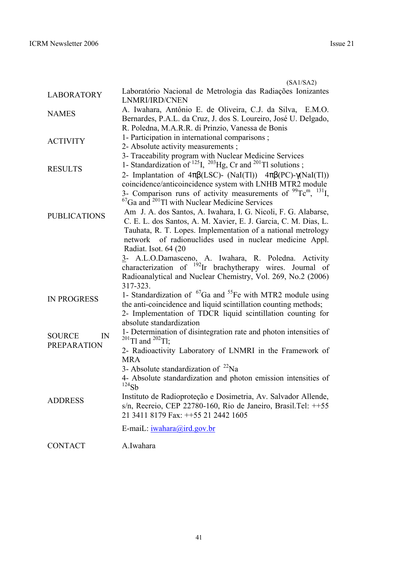(SA1/SA2)

| <b>LABORATORY</b>                         | Laboratório Nacional de Metrologia das Radiações Ionizantes<br>LNMRI/IRD/CNEN                                                                                                |
|-------------------------------------------|------------------------------------------------------------------------------------------------------------------------------------------------------------------------------|
| <b>NAMES</b>                              | A. Iwahara, Antônio E. de Oliveira, C.J. da Silva, E.M.O.<br>Bernardes, P.A.L. da Cruz, J. dos S. Loureiro, José U. Delgado,                                                 |
|                                           | R. Poledna, M.A.R.R. di Prinzio, Vanessa de Bonis<br>1- Participation in international comparisons;                                                                          |
| <b>ACTIVITY</b>                           | 2- Absolute activity measurements;                                                                                                                                           |
|                                           | 3- Traceability program with Nuclear Medicine Services                                                                                                                       |
| <b>RESULTS</b>                            | 1- Standardization of $^{125}I$ , $^{203}Hg$ , Cr and $^{201}Tl$ solutions;                                                                                                  |
|                                           | 2- Implantation of $4\pi\beta$ (LSC)- (NaI(Tl)) $4\pi\beta$ (PC)- $\gamma$ (NaI(Tl))                                                                                         |
|                                           | coincidence/anticoincidence system with LNHB MTR2 module                                                                                                                     |
|                                           | 3- Comparison runs of activity measurements of $^{99}$ Tc <sup>m</sup> , $^{131}$ I,<br>${}^{67}Ga$ and ${}^{201}Tl$ with Nuclear Medicine Services                          |
|                                           | Am J. A. dos Santos, A. Iwahara, I. G. Nicoli, F. G. Alabarse,                                                                                                               |
| <b>PUBLICATIONS</b>                       | C. E. L. dos Santos, A. M. Xavier, E. J. Garcia, C. M. Dias, L.                                                                                                              |
|                                           | Tauhata, R. T. Lopes. Implementation of a national metrology                                                                                                                 |
|                                           | network of radionuclides used in nuclear medicine Appl.                                                                                                                      |
|                                           | Radiat. Isot. 64 (20)                                                                                                                                                        |
|                                           | 3- A.L.O.Damasceno, A. Iwahara, R. Poledna. Activity                                                                                                                         |
|                                           | characterization of <sup>192</sup> Ir brachytherapy wires. Journal of                                                                                                        |
|                                           | Radioanalytical and Nuclear Chemistry, Vol. 269, No.2 (2006)<br>317-323.                                                                                                     |
| <b>IN PROGRESS</b>                        | 1- Standardization of ${}^{67}Ga$ and ${}^{55}Fe$ with MTR2 module using                                                                                                     |
|                                           | the anti-coincidence and liquid scintillation counting methods;                                                                                                              |
|                                           | 2- Implementation of TDCR liquid scintillation counting for                                                                                                                  |
|                                           | absolute standardization                                                                                                                                                     |
| IN<br><b>SOURCE</b><br><b>PREPARATION</b> | 1- Determination of disintegration rate and photon intensities of<br>$^{201}$ Tl and $^{202}$ Tl;                                                                            |
|                                           | 2- Radioactivity Laboratory of LNMRI in the Framework of                                                                                                                     |
|                                           | <b>MRA</b>                                                                                                                                                                   |
|                                           | 3- Absolute standardization of $^{22}$ Na                                                                                                                                    |
|                                           | 4- Absolute standardization and photon emission intensities of<br>$^{124}Sb$                                                                                                 |
| <b>ADDRESS</b>                            | Instituto de Radioproteção e Dosimetria, Av. Salvador Allende,<br>$s/n$ , Recreio, CEP 22780-160, Rio de Janeiro, Brasil. Tel: $++55$<br>21 3411 8179 Fax: ++55 21 2442 1605 |
|                                           | E-maiL: <i>iwahara@ird.gov.br</i>                                                                                                                                            |
| <b>CONTACT</b>                            | A.Iwahara                                                                                                                                                                    |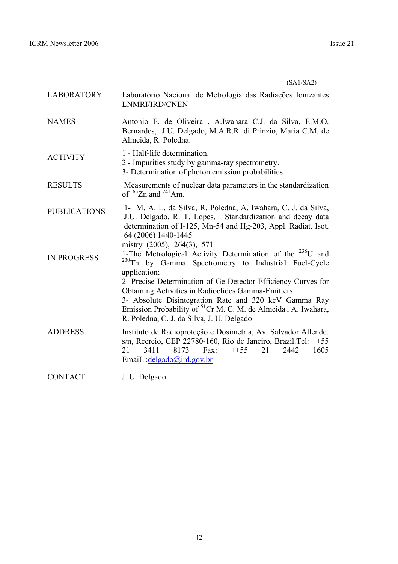(SA1/SA2)

| <b>LABORATORY</b>   | Laboratório Nacional de Metrologia das Radiações Ionizantes<br>LNMRI/IRD/CNEN                                                                                                                                                                                                                                                                                                                                                                                       |
|---------------------|---------------------------------------------------------------------------------------------------------------------------------------------------------------------------------------------------------------------------------------------------------------------------------------------------------------------------------------------------------------------------------------------------------------------------------------------------------------------|
| <b>NAMES</b>        | Antonio E. de Oliveira, A.Iwahara C.J. da Silva, E.M.O.<br>Bernardes, J.U. Delgado, M.A.R.R. di Prinzio, Maria C.M. de<br>Almeida, R. Poledna.                                                                                                                                                                                                                                                                                                                      |
| <b>ACTIVITY</b>     | 1 - Half-life determination.<br>2 - Impurities study by gamma-ray spectrometry.<br>3- Determination of photon emission probabilities                                                                                                                                                                                                                                                                                                                                |
| <b>RESULTS</b>      | Measurements of nuclear data parameters in the standardization<br>of ${}^{65}Zn$ and ${}^{241}Am$ .                                                                                                                                                                                                                                                                                                                                                                 |
| <b>PUBLICATIONS</b> | 1- M. A. L. da Silva, R. Poledna, A. Iwahara, C. J. da Silva,<br>J.U. Delgado, R. T. Lopes, Standardization and decay data<br>determination of I-125, Mn-54 and Hg-203, Appl. Radiat. Isot.<br>64 (2006) 1440-1445<br>mistry (2005), 264(3), 571                                                                                                                                                                                                                    |
| <b>IN PROGRESS</b>  | 1-The Metrological Activity Determination of the <sup>238</sup> U and<br><sup>230</sup> Th by Gamma Spectrometry to Industrial Fuel-Cycle<br>application;<br>2- Precise Determination of Ge Detector Efficiency Curves for<br>Obtaining Activities in Radioclides Gamma-Emitters<br>3- Absolute Disintegration Rate and 320 keV Gamma Ray<br>Emission Probability of <sup>51</sup> Cr M. C. M. de Almeida, A. Iwahara,<br>R. Poledna, C. J. da Silva, J. U. Delgado |
| <b>ADDRESS</b>      | Instituto de Radioproteção e Dosimetria, Av. Salvador Allende,<br>s/n, Recreio, CEP 22780-160, Rio de Janeiro, Brazil.Tel: $++55$<br>8173<br>$\text{Fax}$<br>$++55$<br>21<br>3411<br>21<br>2442<br>1605<br>EmaiL: $delgado(\hat{\omega})$ ird.gov.br                                                                                                                                                                                                                |
| <b>CONTACT</b>      | J. U. Delgado                                                                                                                                                                                                                                                                                                                                                                                                                                                       |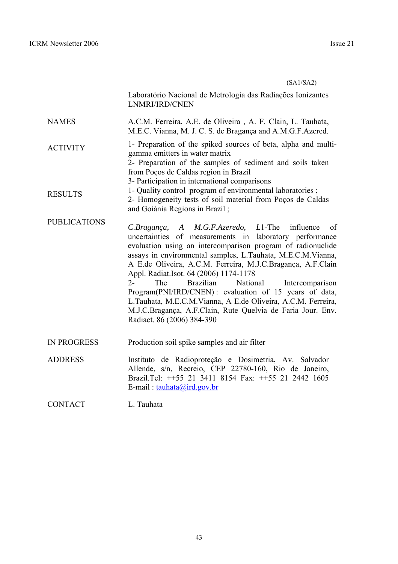(SA1/SA2)

|                     | Laboratório Nacional de Metrologia das Radiações Ionizantes<br>LNMRI/IRD/CNEN                                                                                                                                                                                                                                                                                                                                                                                                                                                                                                                                                                            |
|---------------------|----------------------------------------------------------------------------------------------------------------------------------------------------------------------------------------------------------------------------------------------------------------------------------------------------------------------------------------------------------------------------------------------------------------------------------------------------------------------------------------------------------------------------------------------------------------------------------------------------------------------------------------------------------|
| <b>NAMES</b>        | A.C.M. Ferreira, A.E. de Oliveira, A. F. Clain, L. Tauhata,<br>M.E.C. Vianna, M. J. C. S. de Bragança and A.M.G.F.Azered.                                                                                                                                                                                                                                                                                                                                                                                                                                                                                                                                |
| <b>ACTIVITY</b>     | 1- Preparation of the spiked sources of beta, alpha and multi-<br>gamma emitters in water matrix<br>2- Preparation of the samples of sediment and soils taken<br>from Poços de Caldas region in Brazil<br>3- Participation in international comparisons                                                                                                                                                                                                                                                                                                                                                                                                  |
| <b>RESULTS</b>      | 1- Quality control program of environmental laboratories;<br>2- Homogeneity tests of soil material from Poços de Caldas<br>and Goiânia Regions in Brazil;                                                                                                                                                                                                                                                                                                                                                                                                                                                                                                |
| <b>PUBLICATIONS</b> | M.G.F.Azeredo, L1-The<br>influence<br>of<br>C.Bragança,<br>A<br>uncertainties of measurements in laboratory performance<br>evaluation using an intercomparison program of radionuclide<br>assays in environmental samples, L.Tauhata, M.E.C.M.Vianna,<br>A E.de Oliveira, A.C.M. Ferreira, M.J.C.Bragança, A.F.Clain<br>Appl. Radiat.Isot. 64 (2006) 1174-1178<br>The<br><b>Brazilian</b><br>National<br>$2 -$<br>Intercomparison<br>Program(PNI/IRD/CNEN): evaluation of 15 years of data,<br>L.Tauhata, M.E.C.M.Vianna, A E.de Oliveira, A.C.M. Ferreira,<br>M.J.C.Bragança, A.F.Clain, Rute Quelvia de Faria Jour. Env.<br>Radiact. 86 (2006) 384-390 |
| <b>IN PROGRESS</b>  | Production soil spike samples and air filter                                                                                                                                                                                                                                                                                                                                                                                                                                                                                                                                                                                                             |
| <b>ADDRESS</b>      | Instituto de Radioproteção e Dosimetria, Av. Salvador<br>Allende, s/n, Recreio, CEP 22780-160, Rio de Janeiro,<br>Brazil.Tel: ++55 21 3411 8154 Fax: ++55 21 2442 1605<br>E-mail: $t_{\text{auhata}}(\partial \text{drd.gov.br})$                                                                                                                                                                                                                                                                                                                                                                                                                        |
| <b>CONTACT</b>      | L. Tauhata                                                                                                                                                                                                                                                                                                                                                                                                                                                                                                                                                                                                                                               |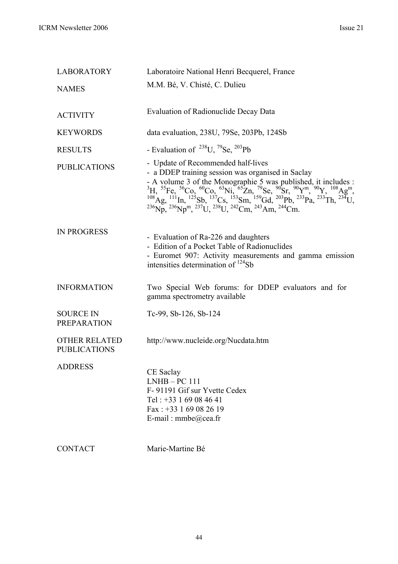| <b>LABORATORY</b>                           | Laboratoire National Henri Becquerel, France                                                                                                                                                                                                                                                                                                                                                                                                                                                                                                                                      |
|---------------------------------------------|-----------------------------------------------------------------------------------------------------------------------------------------------------------------------------------------------------------------------------------------------------------------------------------------------------------------------------------------------------------------------------------------------------------------------------------------------------------------------------------------------------------------------------------------------------------------------------------|
| <b>NAMES</b>                                | M.M. Bé, V. Chisté, C. Dulieu                                                                                                                                                                                                                                                                                                                                                                                                                                                                                                                                                     |
| <b>ACTIVITY</b>                             | Evaluation of Radionuclide Decay Data                                                                                                                                                                                                                                                                                                                                                                                                                                                                                                                                             |
| <b>KEYWORDS</b>                             | data evaluation, 238U, 79Se, 203Pb, 124Sb                                                                                                                                                                                                                                                                                                                                                                                                                                                                                                                                         |
| <b>RESULTS</b>                              | - Evaluation of $^{238}$ U, $^{79}$ Se, $^{203}$ Pb                                                                                                                                                                                                                                                                                                                                                                                                                                                                                                                               |
| <b>PUBLICATIONS</b>                         | - Update of Recommended half-lives<br>- a DDEP training session was organised in Saclay<br>- A volume 3 of the Monographie 5 was published, it includes :<br><sup>3</sup> H, <sup>55</sup> Fe, <sup>56</sup> Co, <sup>60</sup> Co, <sup>63</sup> Ni, <sup>65</sup> Zn, <sup>79</sup> Se, <sup>90</sup> Sr, <sup>90</sup> Y <sup>m</sup> , <sup>90</sup> Y, <sup>108</sup> Ag <sup>m</sup> , <sup>108</sup> Ag <sup>m</sup> , <sup>108</sup> Ag <sup>m</sup> , <sup>108</sup> Ag <sup>m</sup> , <sup>108</sup> Ag <sup>m</sup> , <sup>108</sup> Ag <sup>m</sup> , <sup>123</sup> S |
| <b>IN PROGRESS</b>                          | - Evaluation of Ra-226 and daughters<br>- Edition of a Pocket Table of Radionuclides<br>- Euromet 907: Activity measurements and gamma emission<br>intensities determination of <sup>124</sup> Sb                                                                                                                                                                                                                                                                                                                                                                                 |
| <b>INFORMATION</b>                          | Two Special Web forums: for DDEP evaluators and for<br>gamma spectrometry available                                                                                                                                                                                                                                                                                                                                                                                                                                                                                               |
| <b>SOURCE IN</b><br><b>PREPARATION</b>      | Tc-99, Sb-126, Sb-124                                                                                                                                                                                                                                                                                                                                                                                                                                                                                                                                                             |
| <b>OTHER RELATED</b><br><b>PUBLICATIONS</b> | http://www.nucleide.org/Nucdata.htm                                                                                                                                                                                                                                                                                                                                                                                                                                                                                                                                               |
| <b>ADDRESS</b>                              | CE Saclay<br>$LNHB-PC111$<br>F-91191 Gif sur Yvette Cedex<br>Tel: $+33$ 1 69 08 46 41<br>Fax: $+33$ 1 69 08 26 19<br>E-mail: $mmbe@cea.fr$                                                                                                                                                                                                                                                                                                                                                                                                                                        |

CONTACT Marie-Martine Bé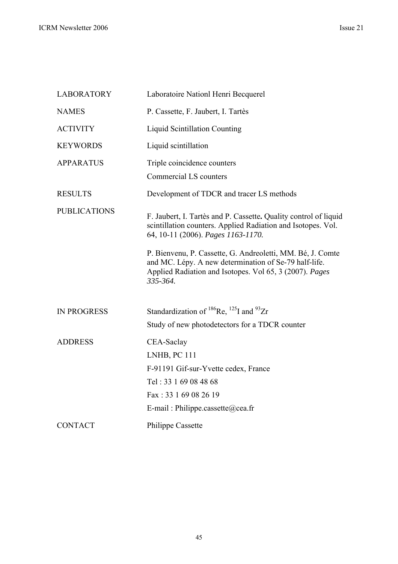| <b>LABORATORY</b>   | Laboratoire Nationl Henri Becquerel                                                                                                                                                        |
|---------------------|--------------------------------------------------------------------------------------------------------------------------------------------------------------------------------------------|
| <b>NAMES</b>        | P. Cassette, F. Jaubert, I. Tartès                                                                                                                                                         |
| <b>ACTIVITY</b>     | <b>Liquid Scintillation Counting</b>                                                                                                                                                       |
| <b>KEYWORDS</b>     | Liquid scintillation                                                                                                                                                                       |
| <b>APPARATUS</b>    | Triple coincidence counters                                                                                                                                                                |
|                     | Commercial LS counters                                                                                                                                                                     |
| <b>RESULTS</b>      | Development of TDCR and tracer LS methods                                                                                                                                                  |
| <b>PUBLICATIONS</b> | F. Jaubert, I. Tartès and P. Cassette. Quality control of liquid<br>scintillation counters. Applied Radiation and Isotopes. Vol.<br>64, 10-11 (2006). Pages 1163-1170.                     |
|                     | P. Bienvenu, P. Cassette, G. Andreoletti, MM. Bé, J. Comte<br>and MC. Lépy. A new determination of Se-79 half-life.<br>Applied Radiation and Isotopes. Vol 65, 3 (2007). Pages<br>335-364. |
| <b>IN PROGRESS</b>  | Standardization of $^{186}$ Re, $^{125}$ I and $^{93}Zr$                                                                                                                                   |
|                     | Study of new photodetectors for a TDCR counter                                                                                                                                             |
| <b>ADDRESS</b>      | CEA-Saclay                                                                                                                                                                                 |
|                     | LNHB, PC 111                                                                                                                                                                               |
|                     | F-91191 Gif-sur-Yvette cedex, France                                                                                                                                                       |
|                     | Tel: 33 1 69 08 48 68                                                                                                                                                                      |
|                     | Fax: 33 1 69 08 26 19                                                                                                                                                                      |
|                     | E-mail: Philippe.cassette@cea.fr                                                                                                                                                           |
| <b>CONTACT</b>      | Philippe Cassette                                                                                                                                                                          |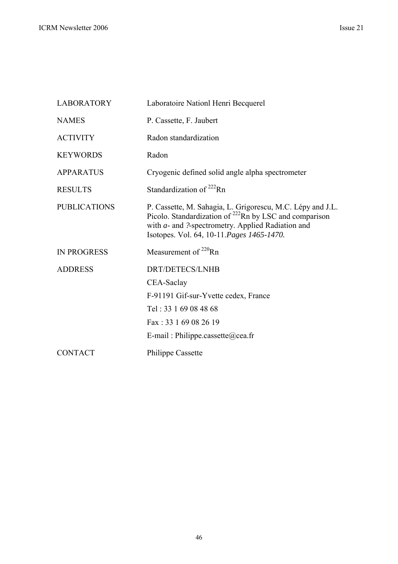| <b>LABORATORY</b>   | Laboratoire Nationl Henri Becquerel                                                                                                                                                                                              |
|---------------------|----------------------------------------------------------------------------------------------------------------------------------------------------------------------------------------------------------------------------------|
| <b>NAMES</b>        | P. Cassette, F. Jaubert                                                                                                                                                                                                          |
| <b>ACTIVITY</b>     | Radon standardization                                                                                                                                                                                                            |
| <b>KEYWORDS</b>     | Radon                                                                                                                                                                                                                            |
| <b>APPARATUS</b>    | Cryogenic defined solid angle alpha spectrometer                                                                                                                                                                                 |
| <b>RESULTS</b>      | Standardization of $^{222}$ Rn                                                                                                                                                                                                   |
| <b>PUBLICATIONS</b> | P. Cassette, M. Sahagia, L. Grigorescu, M.C. Lépy and J.L.<br>Picolo. Standardization of $^{222}$ Rn by LSC and comparison<br>with $a$ - and ?-spectrometry. Applied Radiation and<br>Isotopes. Vol. 64, 10-11. Pages 1465-1470. |
| <b>IN PROGRESS</b>  | Measurement of <sup>220</sup> Rn                                                                                                                                                                                                 |
| <b>ADDRESS</b>      | <b>DRT/DETECS/LNHB</b><br>CEA-Saclay<br>F-91191 Gif-sur-Yvette cedex, France<br>Tel: 33 1 69 08 48 68<br>Fax: 33 1 69 08 26 19<br>E-mail: Philippe.cassette@cea.fr                                                               |
| <b>CONTACT</b>      | <b>Philippe Cassette</b>                                                                                                                                                                                                         |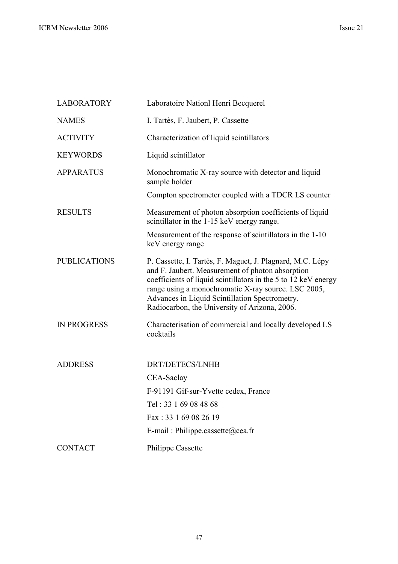| <b>LABORATORY</b>   | Laboratoire Nationl Henri Becquerel                                                                                                                                                                                                                                                                                                       |
|---------------------|-------------------------------------------------------------------------------------------------------------------------------------------------------------------------------------------------------------------------------------------------------------------------------------------------------------------------------------------|
| <b>NAMES</b>        | I. Tartès, F. Jaubert, P. Cassette                                                                                                                                                                                                                                                                                                        |
| <b>ACTIVITY</b>     | Characterization of liquid scintillators                                                                                                                                                                                                                                                                                                  |
| <b>KEYWORDS</b>     | Liquid scintillator                                                                                                                                                                                                                                                                                                                       |
| <b>APPARATUS</b>    | Monochromatic X-ray source with detector and liquid<br>sample holder                                                                                                                                                                                                                                                                      |
|                     | Compton spectrometer coupled with a TDCR LS counter                                                                                                                                                                                                                                                                                       |
| <b>RESULTS</b>      | Measurement of photon absorption coefficients of liquid<br>scintillator in the 1-15 keV energy range.                                                                                                                                                                                                                                     |
|                     | Measurement of the response of scintillators in the 1-10<br>keV energy range                                                                                                                                                                                                                                                              |
| <b>PUBLICATIONS</b> | P. Cassette, I. Tartès, F. Maguet, J. Plagnard, M.C. Lépy<br>and F. Jaubert. Measurement of photon absorption<br>coefficients of liquid scintillators in the 5 to 12 keV energy<br>range using a monochromatic X-ray source. LSC 2005,<br>Advances in Liquid Scintillation Spectrometry.<br>Radiocarbon, the University of Arizona, 2006. |
| <b>IN PROGRESS</b>  | Characterisation of commercial and locally developed LS<br>cocktails                                                                                                                                                                                                                                                                      |
| <b>ADDRESS</b>      | DRT/DETECS/LNHB                                                                                                                                                                                                                                                                                                                           |
|                     | CEA-Saclay                                                                                                                                                                                                                                                                                                                                |
|                     | F-91191 Gif-sur-Yvette cedex, France                                                                                                                                                                                                                                                                                                      |
|                     | Tel: 33 1 69 08 48 68                                                                                                                                                                                                                                                                                                                     |
|                     | Fax: 33 1 69 08 26 19                                                                                                                                                                                                                                                                                                                     |
|                     | E-mail: Philippe.cassette@cea.fr                                                                                                                                                                                                                                                                                                          |
| <b>CONTACT</b>      | Philippe Cassette                                                                                                                                                                                                                                                                                                                         |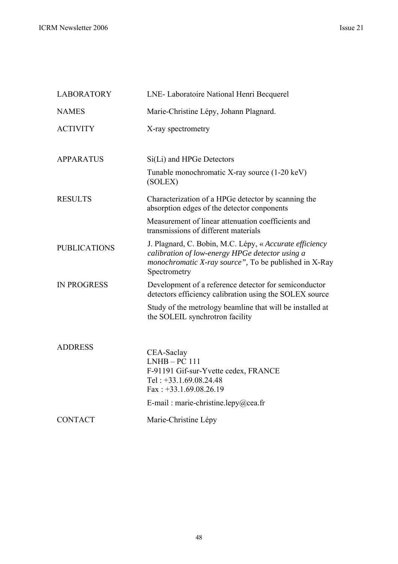| <b>LABORATORY</b>   | LNE-Laboratoire National Henri Becquerel                                                                                                                                                    |
|---------------------|---------------------------------------------------------------------------------------------------------------------------------------------------------------------------------------------|
| <b>NAMES</b>        | Marie-Christine Lépy, Johann Plagnard.                                                                                                                                                      |
| <b>ACTIVITY</b>     | X-ray spectrometry                                                                                                                                                                          |
| <b>APPARATUS</b>    | Si(Li) and HPGe Detectors                                                                                                                                                                   |
|                     | Tunable monochromatic X-ray source (1-20 keV)<br>(SOLEX)                                                                                                                                    |
| <b>RESULTS</b>      | Characterization of a HPGe detector by scanning the<br>absorption edges of the detector conponents                                                                                          |
|                     | Measurement of linear attenuation coefficients and<br>transmissions of different materials                                                                                                  |
| <b>PUBLICATIONS</b> | J. Plagnard, C. Bobin, M.C. Lépy, « Accurate efficiency<br>calibration of low-energy HPGe detector using a<br><i>monochromatic X-ray source</i> ", To be published in X-Ray<br>Spectrometry |
| <b>IN PROGRESS</b>  | Development of a reference detector for semiconductor<br>detectors efficiency calibration using the SOLEX source                                                                            |
|                     | Study of the metrology beamline that will be installed at<br>the SOLEIL synchrotron facility                                                                                                |
| <b>ADDRESS</b>      |                                                                                                                                                                                             |
|                     | CEA-Saclay<br>$LNHB-PC111$<br>F-91191 Gif-sur-Yvette cedex, FRANCE<br>Tel: +33.1.69.08.24.48<br>Fax: $+33.1.69.08.26.19$                                                                    |
|                     | E-mail: marie-christine.lepy@cea.fr                                                                                                                                                         |
| <b>CONTACT</b>      | Marie-Christine Lépy                                                                                                                                                                        |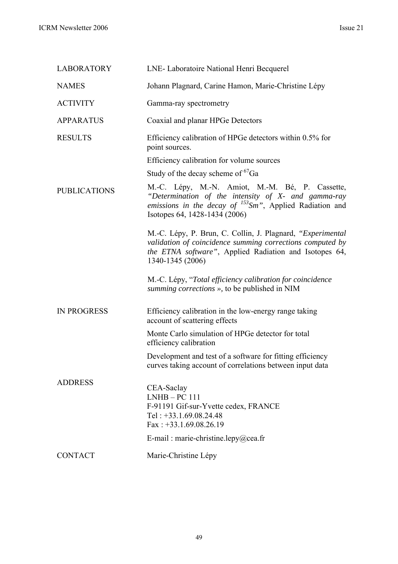| <b>LABORATORY</b>   | LNE- Laboratoire National Henri Becquerel                                                                                                                                                                |
|---------------------|----------------------------------------------------------------------------------------------------------------------------------------------------------------------------------------------------------|
| <b>NAMES</b>        | Johann Plagnard, Carine Hamon, Marie-Christine Lépy                                                                                                                                                      |
| <b>ACTIVITY</b>     | Gamma-ray spectrometry                                                                                                                                                                                   |
| <b>APPARATUS</b>    | Coaxial and planar HPGe Detectors                                                                                                                                                                        |
| <b>RESULTS</b>      | Efficiency calibration of HPGe detectors within 0.5% for<br>point sources.                                                                                                                               |
|                     | Efficiency calibration for volume sources                                                                                                                                                                |
|                     | Study of the decay scheme of <sup>67</sup> Ga                                                                                                                                                            |
| <b>PUBLICATIONS</b> | M.-C. Lépy, M.-N. Amiot, M.-M. Bé, P. Cassette,<br>"Determination of the intensity of X- and gamma-ray<br>emissions in the decay of $^{153}$ Sm", Applied Radiation and<br>Isotopes 64, 1428-1434 (2006) |
|                     | M.-C. Lépy, P. Brun, C. Collin, J. Plagnard, "Experimental<br>validation of coincidence summing corrections computed by<br>the ETNA software", Applied Radiation and Isotopes 64,<br>1340-1345 (2006)    |
|                     | M.-C. Lépy, "Total efficiency calibration for coincidence<br>summing corrections », to be published in NIM                                                                                               |
| <b>IN PROGRESS</b>  | Efficiency calibration in the low-energy range taking<br>account of scattering effects                                                                                                                   |
|                     | Monte Carlo simulation of HPGe detector for total<br>efficiency calibration                                                                                                                              |
|                     | Development and test of a software for fitting efficiency<br>curves taking account of correlations between input data                                                                                    |
| <b>ADDRESS</b>      | CEA-Saclay<br>$LNHB-PC111$<br>F-91191 Gif-sur-Yvette cedex, FRANCE<br>Tel: $+33.1.69.08.24.48$<br>Fax: $+33.1.69.08.26.19$<br>E-mail: marie-christine.lepy@cea.fr                                        |
| <b>CONTACT</b>      | Marie-Christine Lépy                                                                                                                                                                                     |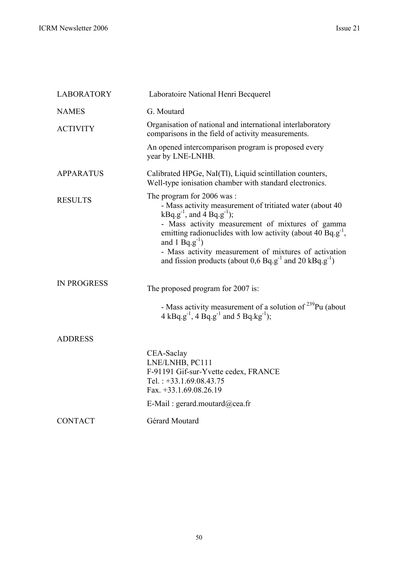| <b>LABORATORY</b>  | Laboratoire National Henri Becquerel                                                                                                                                                                                                                                                                                                                                                                                                  |
|--------------------|---------------------------------------------------------------------------------------------------------------------------------------------------------------------------------------------------------------------------------------------------------------------------------------------------------------------------------------------------------------------------------------------------------------------------------------|
| <b>NAMES</b>       | G. Moutard                                                                                                                                                                                                                                                                                                                                                                                                                            |
| <b>ACTIVITY</b>    | Organisation of national and international interlaboratory<br>comparisons in the field of activity measurements.                                                                                                                                                                                                                                                                                                                      |
|                    | An opened intercomparison program is proposed every<br>year by LNE-LNHB.                                                                                                                                                                                                                                                                                                                                                              |
| <b>APPARATUS</b>   | Calibrated HPGe, NaI(Tl), Liquid scintillation counters,<br>Well-type ionisation chamber with standard electronics.                                                                                                                                                                                                                                                                                                                   |
| <b>RESULTS</b>     | The program for 2006 was:<br>- Mass activity measurement of tritiated water (about 40<br>$kBq.g^{-1}$ , and 4 $Bq.g^{-1}$ );<br>- Mass activity measurement of mixtures of gamma<br>emitting radionuclides with low activity (about 40 Bq.g <sup>-1</sup> ,<br>and 1 Bq.g <sup>-1</sup> )<br>- Mass activity measurement of mixtures of activation<br>and fission products (about 0,6 Bq.g <sup>-1</sup> and 20 kBq.g <sup>-1</sup> ) |
| <b>IN PROGRESS</b> | The proposed program for 2007 is:<br>- Mass activity measurement of a solution of <sup>239</sup> Pu (about<br>$4 kBq.g^{-1}, 4 Bq.g^{-1}$ and $5 Bq.kg^{-1}$ );                                                                                                                                                                                                                                                                       |
| <b>ADDRESS</b>     |                                                                                                                                                                                                                                                                                                                                                                                                                                       |
|                    | CEA-Saclay<br>LNE/LNHB, PC111<br>F-91191 Gif-sur-Yvette cedex, FRANCE<br>Tel.: $+33.1.69.08.43.75$<br>Fax. +33.1.69.08.26.19<br>E-Mail: gerard.moutard@cea.fr                                                                                                                                                                                                                                                                         |
| <b>CONTACT</b>     | Gérard Moutard                                                                                                                                                                                                                                                                                                                                                                                                                        |
|                    |                                                                                                                                                                                                                                                                                                                                                                                                                                       |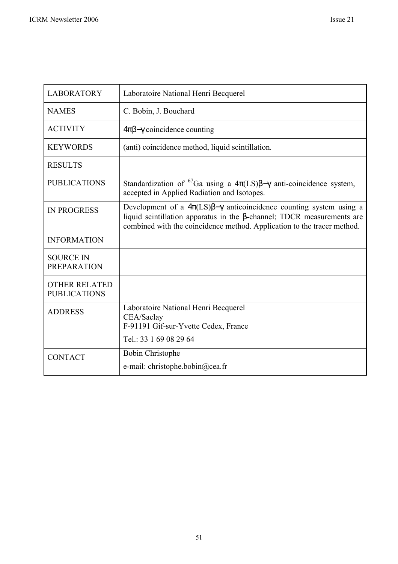| <b>LABORATORY</b>                           | Laboratoire National Henri Becquerel                                                                                                                                                                                                                |
|---------------------------------------------|-----------------------------------------------------------------------------------------------------------------------------------------------------------------------------------------------------------------------------------------------------|
| <b>NAMES</b>                                | C. Bobin, J. Bouchard                                                                                                                                                                                                                               |
| <b>ACTIVITY</b>                             | $4\pi\beta-\gamma$ coincidence counting                                                                                                                                                                                                             |
| <b>KEYWORDS</b>                             | (anti) coincidence method, liquid scintillation.                                                                                                                                                                                                    |
| <b>RESULTS</b>                              |                                                                                                                                                                                                                                                     |
| <b>PUBLICATIONS</b>                         | Standardization of <sup>67</sup> Ga using a $4\pi$ (LS) $\beta$ - $\gamma$ anti-coincidence system,<br>accepted in Applied Radiation and Isotopes.                                                                                                  |
| <b>IN PROGRESS</b>                          | Development of a $4\pi$ (LS) $\beta$ - $\gamma$ anticoincidence counting system using a<br>liquid scintillation apparatus in the $\beta$ -channel; TDCR measurements are<br>combined with the coincidence method. Application to the tracer method. |
| <b>INFORMATION</b>                          |                                                                                                                                                                                                                                                     |
| <b>SOURCE IN</b><br><b>PREPARATION</b>      |                                                                                                                                                                                                                                                     |
| <b>OTHER RELATED</b><br><b>PUBLICATIONS</b> |                                                                                                                                                                                                                                                     |
| <b>ADDRESS</b>                              | Laboratoire National Henri Becquerel<br>CEA/Saclay<br>F-91191 Gif-sur-Yvette Cedex, France<br>Tel.: 33 1 69 08 29 64                                                                                                                                |
| <b>CONTACT</b>                              | <b>Bobin Christophe</b><br>e-mail: christophe.bobin@cea.fr                                                                                                                                                                                          |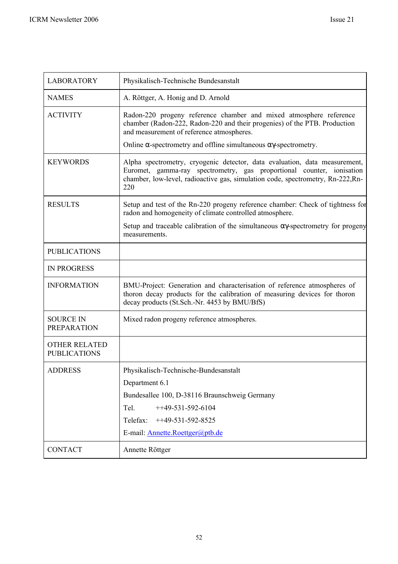| <b>LABORATORY</b>                           | Physikalisch-Technische Bundesanstalt                                                                                                                                                                                                         |
|---------------------------------------------|-----------------------------------------------------------------------------------------------------------------------------------------------------------------------------------------------------------------------------------------------|
| <b>NAMES</b>                                | A. Röttger, A. Honig and D. Arnold                                                                                                                                                                                                            |
| <b>ACTIVITY</b>                             | Radon-220 progeny reference chamber and mixed atmosphere reference<br>chamber (Radon-222, Radon-220 and their progenies) of the PTB. Production<br>and measurement of reference atmospheres.                                                  |
|                                             | Online $\alpha$ -spectrometry and offline simultaneous $\alpha \gamma$ -spectrometry.                                                                                                                                                         |
| <b>KEYWORDS</b>                             | Alpha spectrometry, cryogenic detector, data evaluation, data measurement,<br>Euromet, gamma-ray spectrometry, gas proportional counter, ionisation<br>chamber, low-level, radioactive gas, simulation code, spectrometry, Rn-222, Rn-<br>220 |
| <b>RESULTS</b>                              | Setup and test of the Rn-220 progeny reference chamber: Check of tightness for<br>radon and homogeneity of climate controlled atmosphere.                                                                                                     |
|                                             | Setup and traceable calibration of the simultaneous $\alpha$ <sup>y</sup> -spectrometry for progeny<br>measurements.                                                                                                                          |
| <b>PUBLICATIONS</b>                         |                                                                                                                                                                                                                                               |
| <b>IN PROGRESS</b>                          |                                                                                                                                                                                                                                               |
| <b>INFORMATION</b>                          | BMU-Project: Generation and characterisation of reference atmospheres of<br>thoron decay products for the calibration of measuring devices for thoron<br>decay products (St.Sch.-Nr. 4453 by BMU/BfS)                                         |
| <b>SOURCE IN</b><br><b>PREPARATION</b>      | Mixed radon progeny reference atmospheres.                                                                                                                                                                                                    |
| <b>OTHER RELATED</b><br><b>PUBLICATIONS</b> |                                                                                                                                                                                                                                               |
| <b>ADDRESS</b>                              | Physikalisch-Technische-Bundesanstalt                                                                                                                                                                                                         |
|                                             | Department 6.1                                                                                                                                                                                                                                |
|                                             | Bundesallee 100, D-38116 Braunschweig Germany                                                                                                                                                                                                 |
|                                             | Tel.<br>$++49-531-592-6104$                                                                                                                                                                                                                   |
|                                             | Telefax:<br>$++49-531-592-8525$                                                                                                                                                                                                               |
|                                             | E-mail: <b>Annette.Roettger@ptb.de</b>                                                                                                                                                                                                        |
| <b>CONTACT</b>                              | Annette Röttger                                                                                                                                                                                                                               |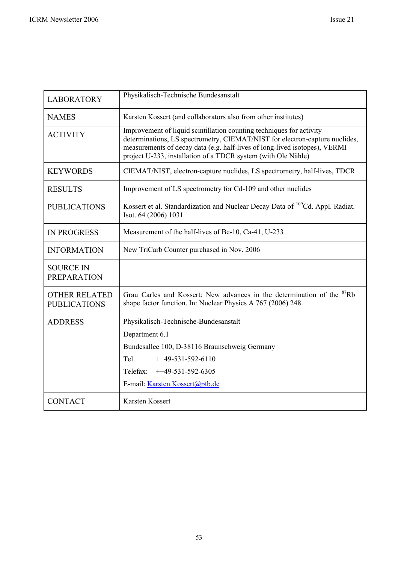| <b>LABORATORY</b>                           | Physikalisch-Technische Bundesanstalt                                                                                                                                                                                                                                                              |
|---------------------------------------------|----------------------------------------------------------------------------------------------------------------------------------------------------------------------------------------------------------------------------------------------------------------------------------------------------|
| <b>NAMES</b>                                | Karsten Kossert (and collaborators also from other institutes)                                                                                                                                                                                                                                     |
| <b>ACTIVITY</b>                             | Improvement of liquid scintillation counting techniques for activity<br>determinations, LS spectrometry, CIEMAT/NIST for electron-capture nuclides,<br>measurements of decay data (e.g. half-lives of long-lived isotopes), VERMI<br>project U-233, installation of a TDCR system (with Ole Nähle) |
| <b>KEYWORDS</b>                             | CIEMAT/NIST, electron-capture nuclides, LS spectrometry, half-lives, TDCR                                                                                                                                                                                                                          |
| <b>RESULTS</b>                              | Improvement of LS spectrometry for Cd-109 and other nuclides                                                                                                                                                                                                                                       |
| <b>PUBLICATIONS</b>                         | Kossert et al. Standardization and Nuclear Decay Data of <sup>109</sup> Cd. Appl. Radiat.<br>Isot. 64 (2006) 1031                                                                                                                                                                                  |
| <b>IN PROGRESS</b>                          | Measurement of the half-lives of Be-10, Ca-41, U-233                                                                                                                                                                                                                                               |
| <b>INFORMATION</b>                          | New TriCarb Counter purchased in Nov. 2006                                                                                                                                                                                                                                                         |
| <b>SOURCE IN</b><br><b>PREPARATION</b>      |                                                                                                                                                                                                                                                                                                    |
| <b>OTHER RELATED</b><br><b>PUBLICATIONS</b> | Grau Carles and Kossert: New advances in the determination of the <sup>87</sup> Rb<br>shape factor function. In: Nuclear Physics A 767 (2006) 248.                                                                                                                                                 |
| <b>ADDRESS</b>                              | Physikalisch-Technische-Bundesanstalt                                                                                                                                                                                                                                                              |
|                                             | Department 6.1                                                                                                                                                                                                                                                                                     |
|                                             | Bundesallee 100, D-38116 Braunschweig Germany                                                                                                                                                                                                                                                      |
|                                             | Tel.<br>$++49-531-592-6110$                                                                                                                                                                                                                                                                        |
|                                             | Telefax:<br>$++49-531-592-6305$                                                                                                                                                                                                                                                                    |
|                                             | E-mail: Karsten.Kossert@ptb.de                                                                                                                                                                                                                                                                     |
| <b>CONTACT</b>                              | Karsten Kossert                                                                                                                                                                                                                                                                                    |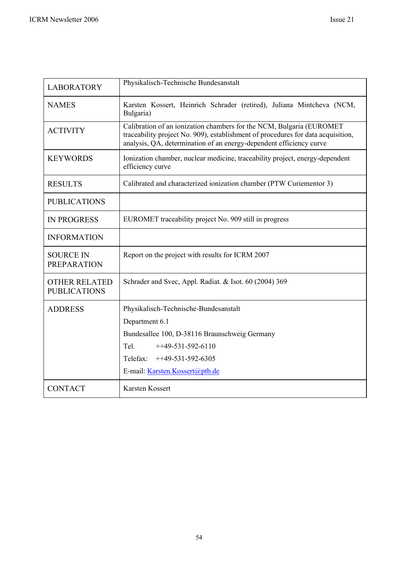| <b>LABORATORY</b>                           | Physikalisch-Technische Bundesanstalt                                                                                                                                                                                           |
|---------------------------------------------|---------------------------------------------------------------------------------------------------------------------------------------------------------------------------------------------------------------------------------|
| <b>NAMES</b>                                | Karsten Kossert, Heinrich Schrader (retired), Juliana Mintcheva (NCM,<br>Bulgaria)                                                                                                                                              |
| <b>ACTIVITY</b>                             | Calibration of an ionization chambers for the NCM, Bulgaria (EUROMET<br>traceability project No. 909), establishment of procedures for data acquisition,<br>analysis, QA, determination of an energy-dependent efficiency curve |
| <b>KEYWORDS</b>                             | Ionization chamber, nuclear medicine, traceability project, energy-dependent<br>efficiency curve                                                                                                                                |
| <b>RESULTS</b>                              | Calibrated and characterized ionization chamber (PTW Curiementor 3)                                                                                                                                                             |
| <b>PUBLICATIONS</b>                         |                                                                                                                                                                                                                                 |
| <b>IN PROGRESS</b>                          | EUROMET traceability project No. 909 still in progress                                                                                                                                                                          |
| <b>INFORMATION</b>                          |                                                                                                                                                                                                                                 |
| <b>SOURCE IN</b><br><b>PREPARATION</b>      | Report on the project with results for ICRM 2007                                                                                                                                                                                |
| <b>OTHER RELATED</b><br><b>PUBLICATIONS</b> | Schrader and Svec, Appl. Radiat. & Isot. 60 (2004) 369                                                                                                                                                                          |
| <b>ADDRESS</b>                              | Physikalisch-Technische-Bundesanstalt                                                                                                                                                                                           |
|                                             | Department 6.1                                                                                                                                                                                                                  |
|                                             | Bundesallee 100, D-38116 Braunschweig Germany                                                                                                                                                                                   |
|                                             | Tel.<br>$++49-531-592-6110$                                                                                                                                                                                                     |
|                                             | Telefax:<br>$++49-531-592-6305$                                                                                                                                                                                                 |
|                                             | E-mail: Karsten.Kossert@ptb.de                                                                                                                                                                                                  |
| <b>CONTACT</b>                              | Karsten Kossert                                                                                                                                                                                                                 |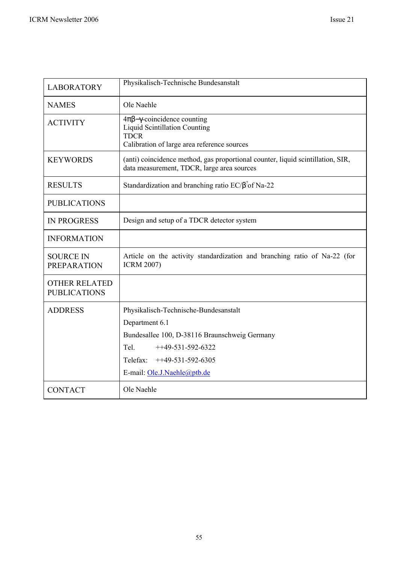| <b>LABORATORY</b>                           | Physikalisch-Technische Bundesanstalt                                                                                                          |
|---------------------------------------------|------------------------------------------------------------------------------------------------------------------------------------------------|
| <b>NAMES</b>                                | Ole Naehle                                                                                                                                     |
| <b>ACTIVITY</b>                             | $4\pi\beta-\gamma$ -coincidence counting<br><b>Liquid Scintillation Counting</b><br><b>TDCR</b><br>Calibration of large area reference sources |
| <b>KEYWORDS</b>                             | (anti) coincidence method, gas proportional counter, liquid scintillation, SIR,<br>data measurement, TDCR, large area sources                  |
| <b>RESULTS</b>                              | Standardization and branching ratio $EC/\beta^2$ of Na-22                                                                                      |
| <b>PUBLICATIONS</b>                         |                                                                                                                                                |
| <b>IN PROGRESS</b>                          | Design and setup of a TDCR detector system                                                                                                     |
| <b>INFORMATION</b>                          |                                                                                                                                                |
| <b>SOURCE IN</b><br><b>PREPARATION</b>      | Article on the activity standardization and branching ratio of Na-22 (for<br><b>ICRM 2007)</b>                                                 |
| <b>OTHER RELATED</b><br><b>PUBLICATIONS</b> |                                                                                                                                                |
| <b>ADDRESS</b>                              | Physikalisch-Technische-Bundesanstalt                                                                                                          |
|                                             | Department 6.1                                                                                                                                 |
|                                             | Bundesallee 100, D-38116 Braunschweig Germany                                                                                                  |
|                                             | $++49-531-592-6322$<br>Tel.                                                                                                                    |
|                                             | Telefax:<br>$++49-531-592-6305$                                                                                                                |
|                                             | E-mail: Ole.J.Naehle@ptb.de                                                                                                                    |
| <b>CONTACT</b>                              | Ole Naehle                                                                                                                                     |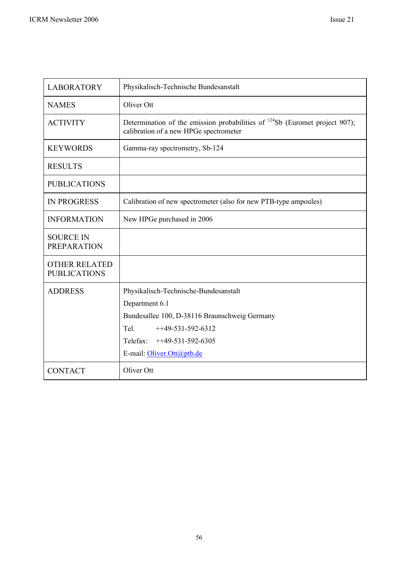$\mathbf \tau$ 

 $\mathbf{r}$ 

| <b>LABORATORY</b>                           | Physikalisch-Technische Bundesanstalt                                                                                             |
|---------------------------------------------|-----------------------------------------------------------------------------------------------------------------------------------|
| <b>NAMES</b>                                | Oliver Ott                                                                                                                        |
| <b>ACTIVITY</b>                             | Determination of the emission probabilities of <sup>124</sup> Sb (Euromet project 907);<br>calibration of a new HPGe spectrometer |
| <b>KEYWORDS</b>                             | Gamma-ray spectrometry, Sb-124                                                                                                    |
| <b>RESULTS</b>                              |                                                                                                                                   |
| <b>PUBLICATIONS</b>                         |                                                                                                                                   |
| <b>IN PROGRESS</b>                          | Calibration of new spectrometer (also for new PTB-type ampoules)                                                                  |
| <b>INFORMATION</b>                          | New HPGe purchased in 2006                                                                                                        |
| <b>SOURCE IN</b><br><b>PREPARATION</b>      |                                                                                                                                   |
| <b>OTHER RELATED</b><br><b>PUBLICATIONS</b> |                                                                                                                                   |
| <b>ADDRESS</b>                              | Physikalisch-Technische-Bundesanstalt                                                                                             |
|                                             | Department 6.1                                                                                                                    |
|                                             | Bundesallee 100, D-38116 Braunschweig Germany                                                                                     |
|                                             | Tel.<br>$++49-531-592-6312$                                                                                                       |
|                                             | Telefax:<br>$++49-531-592-6305$                                                                                                   |
|                                             | E-mail: Oliver.Ott@ptb.de                                                                                                         |
| <b>CONTACT</b>                              | Oliver Ott                                                                                                                        |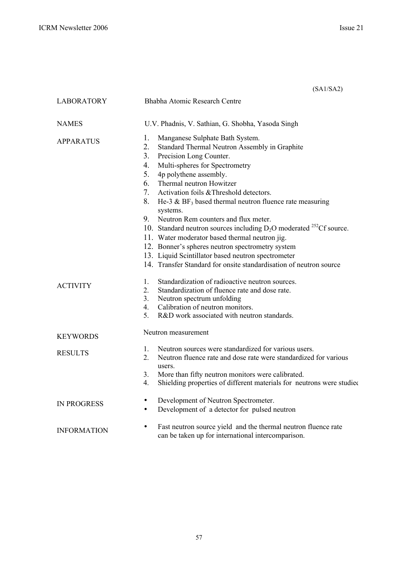|                    | (SA1/SA2)                                                                                                                                                                                                                                                                                                                                                                                                                                                                                                                                                                                                                                                                                                                                                 |
|--------------------|-----------------------------------------------------------------------------------------------------------------------------------------------------------------------------------------------------------------------------------------------------------------------------------------------------------------------------------------------------------------------------------------------------------------------------------------------------------------------------------------------------------------------------------------------------------------------------------------------------------------------------------------------------------------------------------------------------------------------------------------------------------|
| <b>LABORATORY</b>  | Bhabha Atomic Research Centre                                                                                                                                                                                                                                                                                                                                                                                                                                                                                                                                                                                                                                                                                                                             |
| <b>NAMES</b>       | U.V. Phadnis, V. Sathian, G. Shobha, Yasoda Singh                                                                                                                                                                                                                                                                                                                                                                                                                                                                                                                                                                                                                                                                                                         |
| <b>APPARATUS</b>   | 1.<br>Manganese Sulphate Bath System.<br>2.<br>Standard Thermal Neutron Assembly in Graphite<br>3.<br>Precision Long Counter.<br>4.<br>Multi-spheres for Spectrometry<br>5.<br>4p polythene assembly.<br>Thermal neutron Howitzer<br>6.<br>7.<br>Activation foils & Threshold detectors.<br>8.<br>He-3 $\&$ BF <sub>3</sub> based thermal neutron fluence rate measuring<br>systems.<br>Neutron Rem counters and flux meter.<br>9.<br>10. Standard neutron sources including $D_2O$ moderated <sup>252</sup> Cf source.<br>11. Water moderator based thermal neutron jig.<br>12. Bonner's spheres neutron spectrometry system<br>13. Liquid Scintillator based neutron spectrometer<br>14. Transfer Standard for onsite standardisation of neutron source |
| <b>ACTIVITY</b>    | Standardization of radioactive neutron sources.<br>1.<br>Standardization of fluence rate and dose rate.<br>2.<br>3.<br>Neutron spectrum unfolding<br>Calibration of neutron monitors.<br>4.<br>R&D work associated with neutron standards.<br>5.                                                                                                                                                                                                                                                                                                                                                                                                                                                                                                          |
| <b>KEYWORDS</b>    | Neutron measurement                                                                                                                                                                                                                                                                                                                                                                                                                                                                                                                                                                                                                                                                                                                                       |
| <b>RESULTS</b>     | Neutron sources were standardized for various users.<br>1.<br>Neutron fluence rate and dose rate were standardized for various<br>2.<br>users.<br>More than fifty neutron monitors were calibrated.<br>3.<br>Shielding properties of different materials for neutrons were studied<br>4.                                                                                                                                                                                                                                                                                                                                                                                                                                                                  |
| <b>IN PROGRESS</b> | Development of Neutron Spectrometer.<br>Development of a detector for pulsed neutron                                                                                                                                                                                                                                                                                                                                                                                                                                                                                                                                                                                                                                                                      |
| <b>INFORMATION</b> | Fast neutron source yield and the thermal neutron fluence rate<br>can be taken up for international intercomparison.                                                                                                                                                                                                                                                                                                                                                                                                                                                                                                                                                                                                                                      |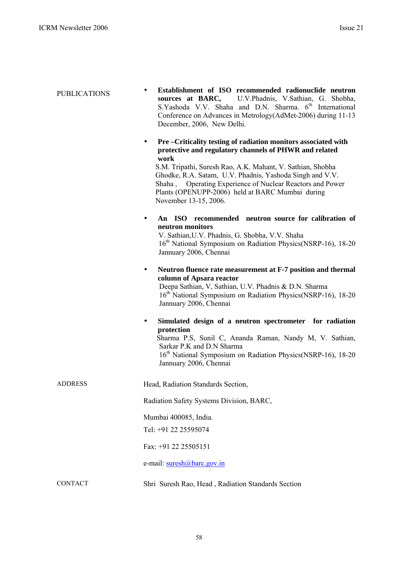- PUBLICATIONS  **Establishment of ISO recommended radionuclide neutron**<br>sources at BARC, U.V.Phadnis, V.Sathian, G. Shobha, U.V.Phadnis, V.Sathian, G. Shobha, S.Yashoda V.V. Shaha and D.N. Sharma. 6<sup>th</sup> International Conference on Advances in Metrology(AdMet-2006) during 11-13 December, 2006, New Delhi.
	- **Pre –Criticality testing of radiation monitors associated with protective and regulatory channels of PHWR and related work** S.M. Tripathi, Suresh Rao, A.K. Mahant, V. Sathian, Shobha Ghodke, R.A. Satam, U.V. Phadnis, Yashoda Singh and V.V. Shaha , Operating Experience of Nuclear Reactors and Power Plants (OPENUPP-2006) held at BARC Mumbai during November 13-15, 2006.
	- **An ISO recommended neutron source for calibration of neutron monitors** V. Sathian,U.V. Phadnis, G. Shobha, V.V. Shaha

16<sup>th</sup> National Symposium on Radiation Physics(NSRP-16), 18-20 Jannuary 2006, Chennai

- **Neutron fluence rate measurement at F-7 position and thermal column of Apsara reactor** Deepa Sathian, V, Sathian, U.V. Phadnis & D.N. Sharma 16<sup>th</sup> National Symposium on Radiation Physics(NSRP-16), 18-20 Jannuary 2006, Chennai
- **Simulated design of a neutron spectrometer for radiation protection** Sharma P.S, Sunil C, Ananda Raman, Nandy M, V. Sathian, Sarkar P.K and D.N Sharma 16<sup>th</sup> National Symposium on Radiation Physics(NSRP-16), 18-20 Jannuary 2006, Chennai

ADDRESS Head, Radiation Standards Section,

Radiation Safety Systems Division, BARC,

Mumbai 400085, India.

Tel: +91 22 25595074

Fax: +91 22 25505151

e-mail: suresh@barc.gov.in

CONTACT Shri Suresh Rao, Head , Radiation Standards Section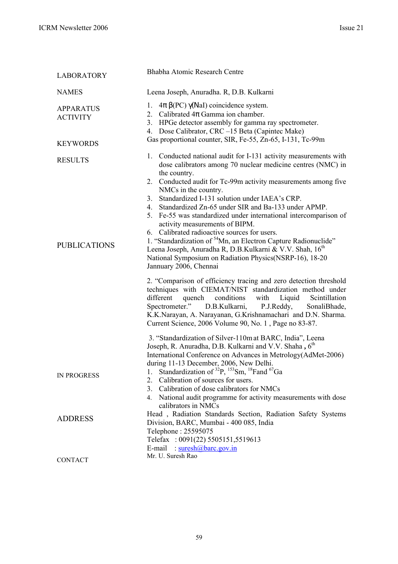| <b>LABORATORY</b>                     | Bhabha Atomic Research Centre                                                                                                                                                                                                                                                                                                                                                                                                                                                                                                                                                                                                                                                                                                     |
|---------------------------------------|-----------------------------------------------------------------------------------------------------------------------------------------------------------------------------------------------------------------------------------------------------------------------------------------------------------------------------------------------------------------------------------------------------------------------------------------------------------------------------------------------------------------------------------------------------------------------------------------------------------------------------------------------------------------------------------------------------------------------------------|
| <b>NAMES</b>                          | Leena Joseph, Anuradha. R, D.B. Kulkarni                                                                                                                                                                                                                                                                                                                                                                                                                                                                                                                                                                                                                                                                                          |
| <b>APPARATUS</b><br><b>ACTIVITY</b>   | $4\pi \beta$ (PC) $\gamma$ (NaI) coincidence system.<br>1.<br>2. Calibrated $4\pi$ Gamma ion chamber.<br>3. HPGe detector assembly for gamma ray spectrometer.<br>4. Dose Calibrator, CRC -15 Beta (Capintec Make)                                                                                                                                                                                                                                                                                                                                                                                                                                                                                                                |
| <b>KEYWORDS</b>                       | Gas proportional counter, SIR, Fe-55, Zn-65, I-131, Tc-99m                                                                                                                                                                                                                                                                                                                                                                                                                                                                                                                                                                                                                                                                        |
| <b>RESULTS</b><br><b>PUBLICATIONS</b> | 1. Conducted national audit for I-131 activity measurements with<br>dose calibrators among 70 nuclear medicine centres (NMC) in<br>the country.<br>2. Conducted audit for Tc-99m activity measurements among five<br>NMCs in the country.<br>Standardized I-131 solution under IAEA's CRP.<br>3 <sub>1</sub><br>4. Standardized Zn-65 under SIR and Ba-133 under APMP.<br>5. Fe-55 was standardized under international intercomparison of<br>activity measurements of BIPM.<br>6. Calibrated radioactive sources for users.<br>1. "Standardization of <sup>54</sup> Mn, an Electron Capture Radionuclide"<br>Leena Joseph, Anuradha R, D.B.Kulkarni & V.V. Shah, 16 <sup>th</sup>                                                |
|                                       | National Symposium on Radiation Physics(NSRP-16), 18-20<br>Jannuary 2006, Chennai<br>2. "Comparison of efficiency tracing and zero detection threshold<br>techniques with CIEMAT/NIST standardization method under<br>different<br>conditions<br>with<br>Liquid<br>quench<br>Scintillation<br>Spectrometer." D.B.Kulkarni,<br>P.J.Reddy,<br>SonaliBhade,<br>K.K.Narayan, A. Narayanan, G.Krishnamachari and D.N. Sharma.<br>Current Science, 2006 Volume 90, No. 1, Page no 83-87.<br>3. "Standardization of Silver-110m at BARC, India", Leena<br>Joseph, R. Anuradha, D.B. Kulkarni and V.V. Shaha, 6 <sup>th</sup><br>International Conference on Advances in Metrology(AdMet-2006)<br>during 11-13 December, 2006, New Delhi. |
| <b>IN PROGRESS</b>                    | Standardization of <sup>32</sup> P, <sup>153</sup> Sm, <sup>18</sup> Fand <sup>67</sup> Ga<br>1.<br>Calibration of sources for users.<br>$\overline{2}$ .<br>Calibration of dose calibrators for NMCs<br>$3_{-}$<br>National audit programme for activity measurements with dose<br>4.<br>calibrators in NMCs                                                                                                                                                                                                                                                                                                                                                                                                                     |
| <b>ADDRESS</b>                        | Head, Radiation Standards Section, Radiation Safety Systems<br>Division, BARC, Mumbai - 400 085, India<br>Telephone: 25595075<br>Telefax: 0091(22) 5505151,5519613<br>E-mail : $suresh@bare.gov.in$                                                                                                                                                                                                                                                                                                                                                                                                                                                                                                                               |
| <b>CONTACT</b>                        | Mr. U. Suresh Rao                                                                                                                                                                                                                                                                                                                                                                                                                                                                                                                                                                                                                                                                                                                 |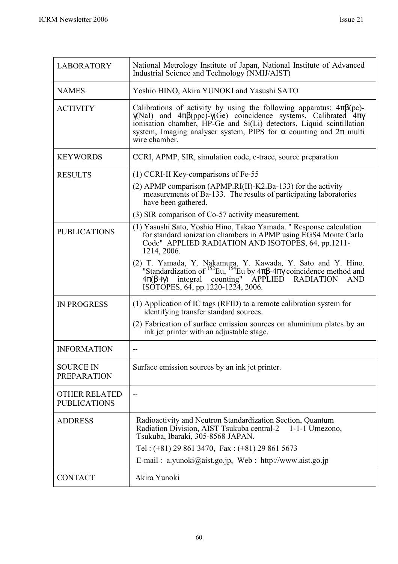| <b>LABORATORY</b>                           | National Metrology Institute of Japan, National Institute of Advanced<br>Industrial Science and Technology (NMIJ/AIST)                                                                                                                                                                                                                                   |  |
|---------------------------------------------|----------------------------------------------------------------------------------------------------------------------------------------------------------------------------------------------------------------------------------------------------------------------------------------------------------------------------------------------------------|--|
| <b>NAMES</b>                                | Yoshio HINO, Akira YUNOKI and Yasushi SATO                                                                                                                                                                                                                                                                                                               |  |
| <b>ACTIVITY</b>                             | Calibrations of activity by using the following apparatus; $4\pi\beta$ (pc)-<br>$\gamma(NaI)$ and $4\pi\beta (ppc)$ - $\gamma(Ge)$ coincidence systems, Calibrated $4\pi\gamma$<br>ionisation chamber, HP-Ge and Si(Li) detectors, Liquid scintillation<br>system, Imaging analyser system, PIPS for $\alpha$ counting and $2\pi$ multi<br>wire chamber. |  |
| <b>KEYWORDS</b>                             | CCRI, APMP, SIR, simulation code, e-trace, source preparation                                                                                                                                                                                                                                                                                            |  |
| <b>RESULTS</b>                              | (1) CCRI-II Key-comparisons of Fe-55                                                                                                                                                                                                                                                                                                                     |  |
|                                             | $(2)$ APMP comparison (APMP.RI(II)-K2.Ba-133) for the activity<br>measurements of Ba-133. The results of participating laboratories<br>have been gathered.                                                                                                                                                                                               |  |
|                                             | (3) SIR comparison of Co-57 activity measurement.                                                                                                                                                                                                                                                                                                        |  |
| <b>PUBLICATIONS</b>                         | (1) Yasushi Sato, Yoshio Hino, Takao Yamada. " Response calculation<br>for standard ionization chambers in APMP using EGS4 Monte Carlo<br>Code" APPLIED RADIATION AND ISOTOPES, 64, pp.1211-<br>1214, 2006.                                                                                                                                              |  |
|                                             | (2) T. Yamada, Y. Nakamura, Y. Kawada, Y. Sato and Y. Hino. "Standardization of $^{152}$ Eu, $^{154}$ Eu by $4\pi\beta$ - $4\pi\gamma$ coincidence method and<br>$4\pi(\beta+\gamma)$ integral counting" APPLIED RADIATION<br><b>AND</b><br>ISOTOPES, 64, pp.1220-1224, 2006.                                                                            |  |
| <b>IN PROGRESS</b>                          | (1) Application of IC tags (RFID) to a remote calibration system for<br>identifying transfer standard sources.                                                                                                                                                                                                                                           |  |
|                                             | (2) Fabrication of surface emission sources on aluminium plates by an<br>ink jet printer with an adjustable stage.                                                                                                                                                                                                                                       |  |
| <b>INFORMATION</b>                          |                                                                                                                                                                                                                                                                                                                                                          |  |
| <b>SOURCE IN</b><br><b>PREPARATION</b>      | Surface emission sources by an ink jet printer.                                                                                                                                                                                                                                                                                                          |  |
| <b>OTHER RELATED</b><br><b>PUBLICATIONS</b> | --                                                                                                                                                                                                                                                                                                                                                       |  |
| <b>ADDRESS</b>                              | Radioactivity and Neutron Standardization Section, Quantum<br>Radiation Division, AIST Tsukuba central-2  1-1-1 Umezono,<br>Tsukuba, Ibaraki, 305-8568 JAPAN.                                                                                                                                                                                            |  |
|                                             | Tel: $(+81)$ 29 861 3470, Fax: $(+81)$ 29 861 5673                                                                                                                                                                                                                                                                                                       |  |
|                                             | E-mail: $a$ .yunoki@aist.go.jp, Web: http://www.aist.go.jp                                                                                                                                                                                                                                                                                               |  |
| <b>CONTACT</b>                              | Akira Yunoki                                                                                                                                                                                                                                                                                                                                             |  |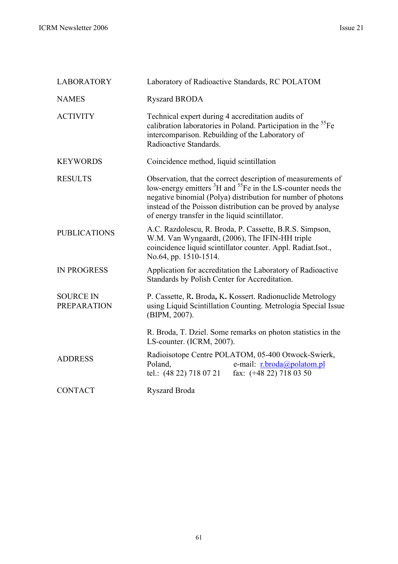| <b>LABORATORY</b>                      | Laboratory of Radioactive Standards, RC POLATOM                                                                                                                                                                                                                                                                                       |  |  |
|----------------------------------------|---------------------------------------------------------------------------------------------------------------------------------------------------------------------------------------------------------------------------------------------------------------------------------------------------------------------------------------|--|--|
| <b>NAMES</b>                           | <b>Ryszard BRODA</b>                                                                                                                                                                                                                                                                                                                  |  |  |
| <b>ACTIVITY</b>                        | Technical expert during 4 accreditation audits of<br>calibration laboratories in Poland. Participation in the <sup>55</sup> Fe<br>intercomparison. Rebuilding of the Laboratory of<br>Radioactive Standards.                                                                                                                          |  |  |
| <b>KEYWORDS</b>                        | Coincidence method, liquid scintillation                                                                                                                                                                                                                                                                                              |  |  |
| <b>RESULTS</b>                         | Observation, that the correct description of measurements of<br>low-energy emitters <sup>3</sup> H and <sup>55</sup> Fe in the LS-counter needs the<br>negative binomial (Polya) distribution for number of photons<br>instead of the Poisson distribution can be proved by analyse<br>of energy transfer in the liquid scintillator. |  |  |
| <b>PUBLICATIONS</b>                    | A.C. Razdolescu, R. Broda, P. Cassette, B.R.S. Simpson,<br>W.M. Van Wyngaardt, (2006), The IFIN-HH triple<br>coincidence liquid scintillator counter. Appl. Radiat.Isot.,<br>No.64, pp. 1510-1514.                                                                                                                                    |  |  |
| <b>IN PROGRESS</b>                     | Application for accreditation the Laboratory of Radioactive<br>Standards by Polish Center for Accreditation.                                                                                                                                                                                                                          |  |  |
| <b>SOURCE IN</b><br><b>PREPARATION</b> | P. Cassette, R. Broda, K. Kossert. Radionuclide Metrology<br>using Liquid Scintillation Counting. Metrologia Special Issue<br>(BIPM, 2007).                                                                                                                                                                                           |  |  |
|                                        | R. Broda, T. Dziel. Some remarks on photon statistics in the<br>LS-counter. (ICRM, 2007).                                                                                                                                                                                                                                             |  |  |
| <b>ADDRESS</b>                         | Radioisotope Centre POLATOM, 05-400 Otwock-Swierk,<br>e-mail: r.broda@polatom.pl<br>Poland,<br>fax: (+48 22) 718 03 50<br>tel.: (48 22) 718 07 21                                                                                                                                                                                     |  |  |
| <b>CONTACT</b>                         | Ryszard Broda                                                                                                                                                                                                                                                                                                                         |  |  |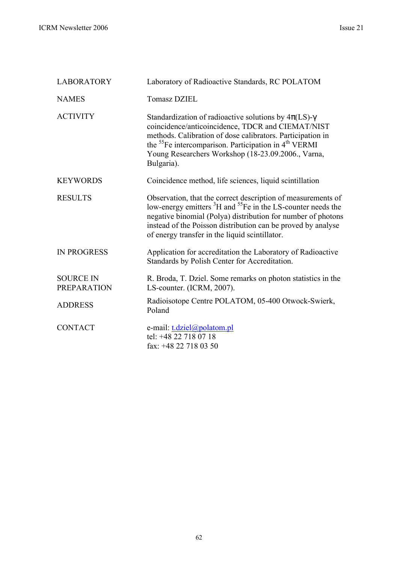| <b>LABORATORY</b>                      | Laboratory of Radioactive Standards, RC POLATOM                                                                                                                                                                                                                                                                                          |  |  |
|----------------------------------------|------------------------------------------------------------------------------------------------------------------------------------------------------------------------------------------------------------------------------------------------------------------------------------------------------------------------------------------|--|--|
| <b>NAMES</b>                           | <b>Tomasz DZIEL</b>                                                                                                                                                                                                                                                                                                                      |  |  |
| <b>ACTIVITY</b>                        | Standardization of radioactive solutions by $4\pi$ (LS)- $\gamma$<br>coincidence/anticoincidence, TDCR and CIEMAT/NIST<br>methods. Calibration of dose calibrators. Participation in<br>the <sup>55</sup> Fe intercomparison. Participation in 4 <sup>th</sup> VERMI<br>Young Researchers Workshop (18-23.09.2006., Varna,<br>Bulgaria). |  |  |
| <b>KEYWORDS</b>                        | Coincidence method, life sciences, liquid scintillation                                                                                                                                                                                                                                                                                  |  |  |
| <b>RESULTS</b>                         | Observation, that the correct description of measurements of<br>low-energy emitters <sup>3</sup> H and <sup>55</sup> Fe in the LS-counter needs the<br>negative binomial (Polya) distribution for number of photons<br>instead of the Poisson distribution can be proved by analyse<br>of energy transfer in the liquid scintillator.    |  |  |
| <b>IN PROGRESS</b>                     | Application for accreditation the Laboratory of Radioactive<br>Standards by Polish Center for Accreditation.                                                                                                                                                                                                                             |  |  |
| <b>SOURCE IN</b><br><b>PREPARATION</b> | R. Broda, T. Dziel. Some remarks on photon statistics in the<br>LS-counter. (ICRM, 2007).                                                                                                                                                                                                                                                |  |  |
| <b>ADDRESS</b>                         | Radioisotope Centre POLATOM, 05-400 Otwock-Swierk,<br>Poland                                                                                                                                                                                                                                                                             |  |  |
| <b>CONTACT</b>                         | e-mail: t.dziel@polatom.pl<br>tel: +48 22 718 07 18<br>fax: +48 22 718 03 50                                                                                                                                                                                                                                                             |  |  |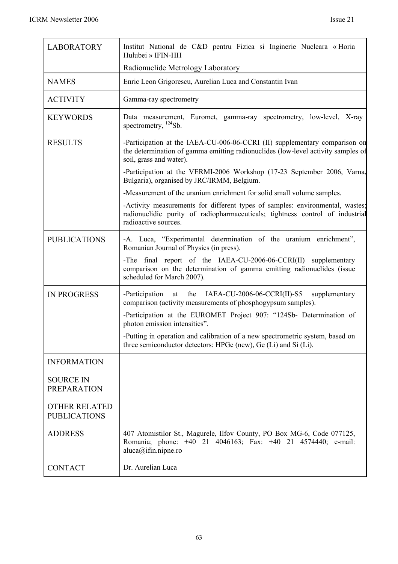| <b>LABORATORY</b>                           | Institut National de C&D pentru Fizica si Inginerie Nucleara « Horia<br>Hulubei » IFIN-HH                                                                                                 |  |  |
|---------------------------------------------|-------------------------------------------------------------------------------------------------------------------------------------------------------------------------------------------|--|--|
|                                             | Radionuclide Metrology Laboratory                                                                                                                                                         |  |  |
| <b>NAMES</b>                                | Enric Leon Grigorescu, Aurelian Luca and Constantin Ivan                                                                                                                                  |  |  |
| <b>ACTIVITY</b>                             | Gamma-ray spectrometry                                                                                                                                                                    |  |  |
| <b>KEYWORDS</b>                             | Data measurement, Euromet, gamma-ray spectrometry, low-level, X-ray<br>spectrometry, <sup>124</sup> Sb.                                                                                   |  |  |
| <b>RESULTS</b>                              | -Participation at the IAEA-CU-006-06-CCRI (II) supplementary comparison on<br>the determination of gamma emitting radionuclides (low-level activity samples of<br>soil, grass and water). |  |  |
|                                             | -Participation at the VERMI-2006 Workshop (17-23 September 2006, Varna,<br>Bulgaria), organised by JRC/IRMM, Belgium.                                                                     |  |  |
|                                             | -Measurement of the uranium enrichment for solid small volume samples.                                                                                                                    |  |  |
|                                             | -Activity measurements for different types of samples: environmental, wastes;<br>radionuclidic purity of radiopharmaceuticals; tightness control of industrial<br>radioactive sources.    |  |  |
| <b>PUBLICATIONS</b>                         | -A. Luca, "Experimental determination of the uranium enrichment",<br>Romanian Journal of Physics (in press).                                                                              |  |  |
|                                             | -The final report of the IAEA-CU-2006-06-CCRI(II) supplementary<br>comparison on the determination of gamma emitting radionuclides (issue<br>scheduled for March 2007).                   |  |  |
| <b>IN PROGRESS</b>                          | the IAEA-CU-2006-06-CCRI(II)-S5<br>-Participation<br>supplementary<br>at<br>comparison (activity measurements of phosphogypsum samples).                                                  |  |  |
|                                             | -Participation at the EUROMET Project 907: "124Sb- Determination of<br>photon emission intensities".                                                                                      |  |  |
|                                             | -Putting in operation and calibration of a new spectrometric system, based on<br>three semiconductor detectors: HPGe (new), Ge (Li) and Si (Li).                                          |  |  |
| <b>INFORMATION</b>                          |                                                                                                                                                                                           |  |  |
| <b>SOURCE IN</b><br><b>PREPARATION</b>      |                                                                                                                                                                                           |  |  |
| <b>OTHER RELATED</b><br><b>PUBLICATIONS</b> |                                                                                                                                                                                           |  |  |
| <b>ADDRESS</b>                              | 407 Atomistilor St., Magurele, Ilfov County, PO Box MG-6, Code 077125,<br>Romania; phone: +40 21 4046163; Fax: +40 21 4574440; e-mail:<br>$aluca@ifin.nipne-ro$                           |  |  |
| <b>CONTACT</b>                              | Dr. Aurelian Luca                                                                                                                                                                         |  |  |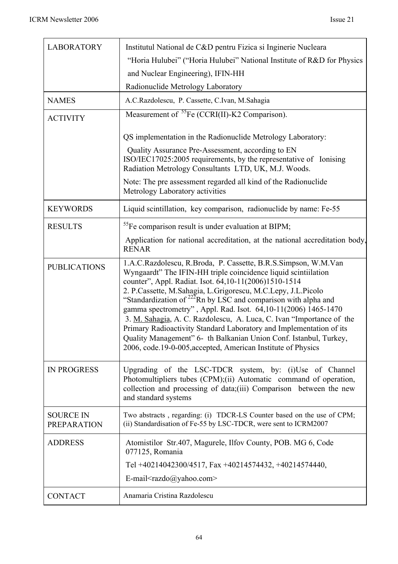| <b>LABORATORY</b>                      | Institutul National de C&D pentru Fizica si Inginerie Nucleara                                                                                                                                                                                                                                                                                                                                                                                                                                                                                                                                                                                                                                |  |
|----------------------------------------|-----------------------------------------------------------------------------------------------------------------------------------------------------------------------------------------------------------------------------------------------------------------------------------------------------------------------------------------------------------------------------------------------------------------------------------------------------------------------------------------------------------------------------------------------------------------------------------------------------------------------------------------------------------------------------------------------|--|
|                                        | "Horia Hulubei" ("Horia Hulubei" National Institute of R&D for Physics                                                                                                                                                                                                                                                                                                                                                                                                                                                                                                                                                                                                                        |  |
|                                        | and Nuclear Engineering), IFIN-HH                                                                                                                                                                                                                                                                                                                                                                                                                                                                                                                                                                                                                                                             |  |
|                                        | Radionuclide Metrology Laboratory                                                                                                                                                                                                                                                                                                                                                                                                                                                                                                                                                                                                                                                             |  |
| <b>NAMES</b>                           | A.C.Razdolescu, P. Cassette, C.Ivan, M.Sahagia                                                                                                                                                                                                                                                                                                                                                                                                                                                                                                                                                                                                                                                |  |
| <b>ACTIVITY</b>                        | Measurement of <sup>55</sup> Fe (CCRI(II)-K2 Comparison).                                                                                                                                                                                                                                                                                                                                                                                                                                                                                                                                                                                                                                     |  |
|                                        | QS implementation in the Radionuclide Metrology Laboratory:                                                                                                                                                                                                                                                                                                                                                                                                                                                                                                                                                                                                                                   |  |
|                                        | Quality Assurance Pre-Assessment, according to EN<br>ISO/IEC17025:2005 requirements, by the representative of Ionising<br>Radiation Metrology Consultants LTD, UK, M.J. Woods.                                                                                                                                                                                                                                                                                                                                                                                                                                                                                                                |  |
|                                        | Note: The pre assessment regarded all kind of the Radionuclide<br>Metrology Laboratory activities                                                                                                                                                                                                                                                                                                                                                                                                                                                                                                                                                                                             |  |
| <b>KEYWORDS</b>                        | Liquid scintillation, key comparison, radionuclide by name: Fe-55                                                                                                                                                                                                                                                                                                                                                                                                                                                                                                                                                                                                                             |  |
| <b>RESULTS</b>                         | <sup>55</sup> Fe comparison result is under evaluation at BIPM;                                                                                                                                                                                                                                                                                                                                                                                                                                                                                                                                                                                                                               |  |
|                                        | Application for national accreditation, at the national accreditation body,<br><b>RENAR</b>                                                                                                                                                                                                                                                                                                                                                                                                                                                                                                                                                                                                   |  |
| <b>PUBLICATIONS</b>                    | 1.A.C.Razdolescu, R.Broda, P. Cassette, B.R.S.Simpson, W.M.Van<br>Wyngaardt" The IFIN-HH triple coincidence liquid scintiilation<br>counter", Appl. Radiat. Isot. 64,10-11(2006)1510-1514<br>2. P.Cassette, M.Sahagia, L.Grigorescu, M.C.Lepy, J.L.Picolo<br>"Standardization of <sup>222</sup> Rn by LSC and comparison with alpha and<br>gamma spectrometry", Appl. Rad. Isot. 64,10-11(2006) 1465-1470<br>3. M. Sahagia, A. C. Razdolescu, A. Luca, C. Ivan "Importance of the<br>Primary Radioactivity Standard Laboratory and Implementation of its<br>Quality Management" 6- th Balkanian Union Conf. Istanbul, Turkey,<br>2006, code.19-0-005, accepted, American Institute of Physics |  |
| <b>IN PROGRESS</b>                     | Upgrading of the LSC-TDCR system, by: (i)Use of Channel<br>Photomultipliers tubes (CPM);(ii) Automatic command of operation,<br>collection and processing of data;(iii) Comparison between the new<br>and standard systems                                                                                                                                                                                                                                                                                                                                                                                                                                                                    |  |
| <b>SOURCE IN</b><br><b>PREPARATION</b> | Two abstracts, regarding: (i) TDCR-LS Counter based on the use of CPM;<br>(ii) Standardisation of Fe-55 by LSC-TDCR, were sent to ICRM2007                                                                                                                                                                                                                                                                                                                                                                                                                                                                                                                                                    |  |
| <b>ADDRESS</b>                         | Atomistilor Str.407, Magurele, Ilfov County, POB. MG 6, Code<br>077125, Romania                                                                                                                                                                                                                                                                                                                                                                                                                                                                                                                                                                                                               |  |
|                                        | Tel +40214042300/4517, Fax +40214574432, +40214574440,                                                                                                                                                                                                                                                                                                                                                                                                                                                                                                                                                                                                                                        |  |
|                                        | E-mail <razdo@yahoo.com></razdo@yahoo.com>                                                                                                                                                                                                                                                                                                                                                                                                                                                                                                                                                                                                                                                    |  |
| <b>CONTACT</b>                         | Anamaria Cristina Razdolescu                                                                                                                                                                                                                                                                                                                                                                                                                                                                                                                                                                                                                                                                  |  |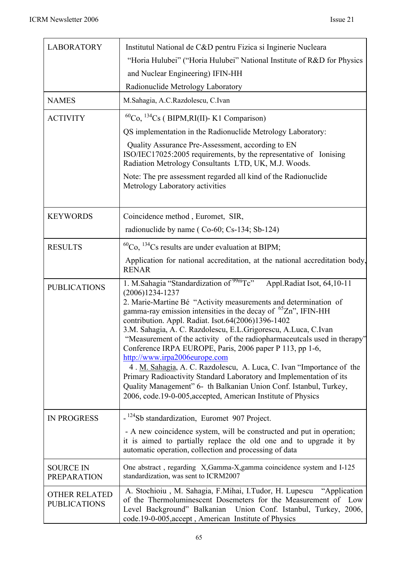| <b>LABORATORY</b>                           | Institutul National de C&D pentru Fizica si Inginerie Nucleara                                                                                                                                                                                                                                                                                                                                                                                                                                                                                                                                                                                                                                                                                                                                                                                 |  |  |
|---------------------------------------------|------------------------------------------------------------------------------------------------------------------------------------------------------------------------------------------------------------------------------------------------------------------------------------------------------------------------------------------------------------------------------------------------------------------------------------------------------------------------------------------------------------------------------------------------------------------------------------------------------------------------------------------------------------------------------------------------------------------------------------------------------------------------------------------------------------------------------------------------|--|--|
|                                             | "Horia Hulubei" ("Horia Hulubei" National Institute of R&D for Physics                                                                                                                                                                                                                                                                                                                                                                                                                                                                                                                                                                                                                                                                                                                                                                         |  |  |
|                                             | and Nuclear Engineering) IFIN-HH                                                                                                                                                                                                                                                                                                                                                                                                                                                                                                                                                                                                                                                                                                                                                                                                               |  |  |
|                                             | Radionuclide Metrology Laboratory                                                                                                                                                                                                                                                                                                                                                                                                                                                                                                                                                                                                                                                                                                                                                                                                              |  |  |
| <b>NAMES</b>                                | M.Sahagia, A.C.Razdolescu, C.Ivan                                                                                                                                                                                                                                                                                                                                                                                                                                                                                                                                                                                                                                                                                                                                                                                                              |  |  |
| <b>ACTIVITY</b>                             | ${}^{60}Co, {}^{134}Cs$ (BIPM, RI(II)- K1 Comparison)                                                                                                                                                                                                                                                                                                                                                                                                                                                                                                                                                                                                                                                                                                                                                                                          |  |  |
|                                             | QS implementation in the Radionuclide Metrology Laboratory:                                                                                                                                                                                                                                                                                                                                                                                                                                                                                                                                                                                                                                                                                                                                                                                    |  |  |
|                                             | Quality Assurance Pre-Assessment, according to EN<br>ISO/IEC17025:2005 requirements, by the representative of Ionising<br>Radiation Metrology Consultants LTD, UK, M.J. Woods.                                                                                                                                                                                                                                                                                                                                                                                                                                                                                                                                                                                                                                                                 |  |  |
|                                             | Note: The pre assessment regarded all kind of the Radionuclide<br>Metrology Laboratory activities                                                                                                                                                                                                                                                                                                                                                                                                                                                                                                                                                                                                                                                                                                                                              |  |  |
| <b>KEYWORDS</b>                             | Coincidence method, Euromet, SIR,                                                                                                                                                                                                                                                                                                                                                                                                                                                                                                                                                                                                                                                                                                                                                                                                              |  |  |
|                                             | radionuclide by name (Co-60; Cs-134; Sb-124)                                                                                                                                                                                                                                                                                                                                                                                                                                                                                                                                                                                                                                                                                                                                                                                                   |  |  |
| <b>RESULTS</b>                              | ${}^{60}Co$ , ${}^{134}Cs$ results are under evaluation at BIPM;                                                                                                                                                                                                                                                                                                                                                                                                                                                                                                                                                                                                                                                                                                                                                                               |  |  |
|                                             | Application for national accreditation, at the national accreditation body,<br><b>RENAR</b>                                                                                                                                                                                                                                                                                                                                                                                                                                                                                                                                                                                                                                                                                                                                                    |  |  |
| <b>PUBLICATIONS</b>                         | 1. M.Sahagia "Standardization of <sup>99m</sup> Tc"<br>Appl.Radiat Isot, 64,10-11<br>$(2006)1234 - 1237$<br>2. Marie-Martine Bé "Activity measurements and determination of<br>gamma-ray emission intensities in the decay of <sup>65</sup> Zn", IFIN-HH<br>contribution. Appl. Radiat. Isot.64(2006)1396-1402<br>3.M. Sahagia, A. C. Razdolescu, E.L. Grigorescu, A.Luca, C.Ivan<br>"Measurement of the activity of the radiopharmaceutcals used in therapy"<br>Conference IRPA EUROPE, Paris, 2006 paper P 113, pp 1-6,<br>http://www.irpa2006europe.com<br>4. M. Sahagia, A. C. Razdolescu, A. Luca, C. Ivan "Importance of the<br>Primary Radioactivity Standard Laboratory and Implementation of its<br>Quality Management" 6- th Balkanian Union Conf. Istanbul, Turkey,<br>2006, code.19-0-005, accepted, American Institute of Physics |  |  |
| <b>IN PROGRESS</b>                          | - <sup>124</sup> Sb standardization, Euromet 907 Project.<br>- A new coincidence system, will be constructed and put in operation;<br>it is aimed to partially replace the old one and to upgrade it by<br>automatic operation, collection and processing of data                                                                                                                                                                                                                                                                                                                                                                                                                                                                                                                                                                              |  |  |
| <b>SOURCE IN</b><br><b>PREPARATION</b>      | One abstract, regarding X, Gamma-X, gamma coincidence system and I-125<br>standardization, was sent to ICRM2007                                                                                                                                                                                                                                                                                                                                                                                                                                                                                                                                                                                                                                                                                                                                |  |  |
| <b>OTHER RELATED</b><br><b>PUBLICATIONS</b> | A. Stochioiu, M. Sahagia, F.Mihai, I.Tudor, H. Lupescu<br>"Application<br>of the Thermoluminescent Dosemeters for the Measurement of Low<br>Level Background" Balkanian<br>Union Conf. Istanbul, Turkey, 2006,<br>code.19-0-005, accept, American Institute of Physics                                                                                                                                                                                                                                                                                                                                                                                                                                                                                                                                                                         |  |  |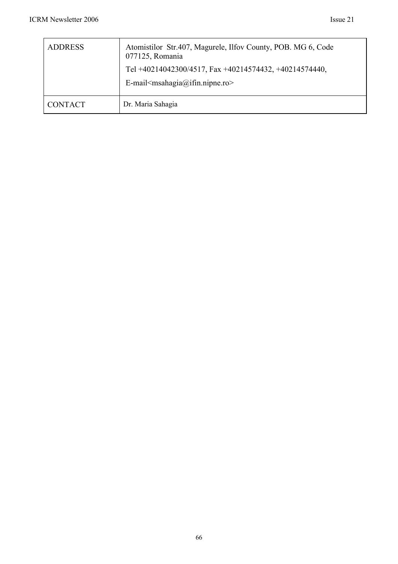| <b>ADDRESS</b> | Atomistilor Str.407, Magurele, Ilfov County, POB. MG 6, Code<br>077125, Romania<br>Tel +40214042300/4517, Fax +40214574432, +40214574440,<br>E-mail $\leq$ msahagia $\omega$ ifin.nipne.ro $\geq$ |
|----------------|---------------------------------------------------------------------------------------------------------------------------------------------------------------------------------------------------|
| <b>CONTACT</b> | Dr. Maria Sahagia                                                                                                                                                                                 |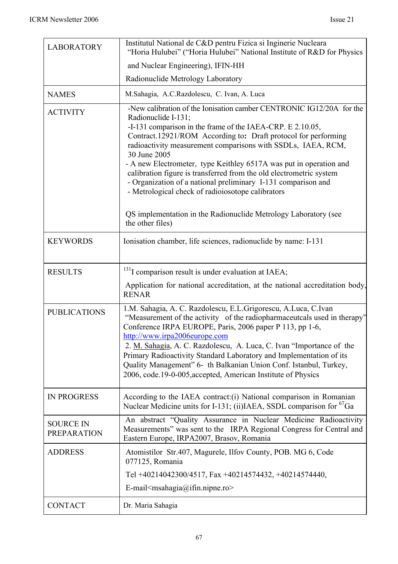| <b>LABORATORY</b>                      | Institutul National de C&D pentru Fizica si Inginerie Nucleara<br>"Horia Hulubei" ("Horia Hulubei" National Institute of R&D for Physics                                                                                                                                                                                                                                                                                                                                                                                                                                                                                                                              |
|----------------------------------------|-----------------------------------------------------------------------------------------------------------------------------------------------------------------------------------------------------------------------------------------------------------------------------------------------------------------------------------------------------------------------------------------------------------------------------------------------------------------------------------------------------------------------------------------------------------------------------------------------------------------------------------------------------------------------|
|                                        | and Nuclear Engineering), IFIN-HH                                                                                                                                                                                                                                                                                                                                                                                                                                                                                                                                                                                                                                     |
|                                        | Radionuclide Metrology Laboratory                                                                                                                                                                                                                                                                                                                                                                                                                                                                                                                                                                                                                                     |
| <b>NAMES</b>                           | M.Sahagia, A.C.Razdolescu, C. Ivan, A. Luca                                                                                                                                                                                                                                                                                                                                                                                                                                                                                                                                                                                                                           |
| <b>ACTIVITY</b>                        | -New calibration of the Ionisation camber CENTRONIC IG12/20A for the<br>Radionuclide I-131;<br>-I-131 comparison in the frame of the IAEA-CRP. E 2.10.05,<br>Contract.12921/ROM According to: Draft protocol for performing<br>radioactivity measurement comparisons with SSDLs, IAEA, RCM,<br>30 June 2005<br>- A new Electrometer, type Keithley 6517A was put in operation and<br>calibration figure is transferred from the old electrometric system<br>- Organization of a national preliminary I-131 comparison and<br>- Metrological check of radioiosotope calibrators<br>QS implementation in the Radionuclide Metrology Laboratory (see<br>the other files) |
|                                        |                                                                                                                                                                                                                                                                                                                                                                                                                                                                                                                                                                                                                                                                       |
| <b>KEYWORDS</b>                        | Ionisation chamber, life sciences, radionuclide by name: I-131                                                                                                                                                                                                                                                                                                                                                                                                                                                                                                                                                                                                        |
| <b>RESULTS</b>                         | <sup>131</sup> I comparison result is under evaluation at IAEA;                                                                                                                                                                                                                                                                                                                                                                                                                                                                                                                                                                                                       |
|                                        | Application for national accreditation, at the national accreditation body,<br><b>RENAR</b>                                                                                                                                                                                                                                                                                                                                                                                                                                                                                                                                                                           |
| <b>PUBLICATIONS</b>                    | 1.M. Sahagia, A. C. Razdolescu, E.L.Grigorescu, A.Luca, C.Ivan<br>"Measurement of the activity of the radiopharmaceut cals used in the rapy"<br>Conference IRPA EUROPE, Paris, 2006 paper P 113, pp 1-6,<br>http://www.irpa2006europe.com<br>2. M. Sahagia, A. C. Razdolescu, A. Luca, C. Ivan "Importance of the<br>Primary Radioactivity Standard Laboratory and Implementation of its<br>Quality Management" 6- th Balkanian Union Conf. Istanbul, Turkey,<br>2006, code.19-0-005, accepted, American Institute of Physics                                                                                                                                         |
| <b>IN PROGRESS</b>                     | According to the IAEA contract: (i) National comparison in Romanian<br>Nuclear Medicine units for I-131; (ii) IAEA, SSDL comparison for $^{67}$ Ga                                                                                                                                                                                                                                                                                                                                                                                                                                                                                                                    |
| <b>SOURCE IN</b><br><b>PREPARATION</b> | An abstract "Quality Assurance in Nuclear Medicine Radioactivity<br>Measurements" was sent to the IRPA Regional Congress for Central and<br>Eastern Europe, IRPA2007, Brasov, Romania                                                                                                                                                                                                                                                                                                                                                                                                                                                                                 |
| <b>ADDRESS</b>                         | Atomistilor Str.407, Magurele, Ilfov County, POB. MG 6, Code<br>077125, Romania                                                                                                                                                                                                                                                                                                                                                                                                                                                                                                                                                                                       |
|                                        | Tel +40214042300/4517, Fax +40214574432, +40214574440,                                                                                                                                                                                                                                                                                                                                                                                                                                                                                                                                                                                                                |
|                                        | E-mail <msahagia@ifin.nipne.ro></msahagia@ifin.nipne.ro>                                                                                                                                                                                                                                                                                                                                                                                                                                                                                                                                                                                                              |
| <b>CONTACT</b>                         | Dr. Maria Sahagia                                                                                                                                                                                                                                                                                                                                                                                                                                                                                                                                                                                                                                                     |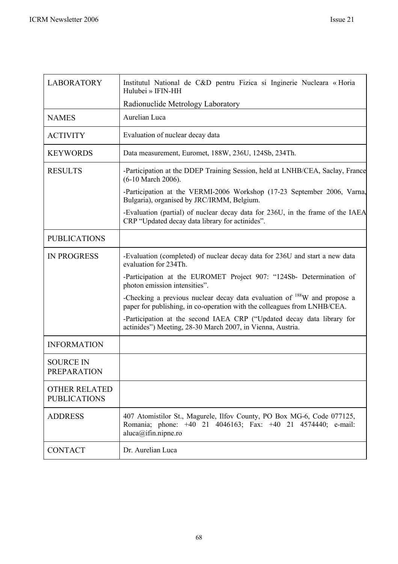| <b>LABORATORY</b>                           | Institutul National de C&D pentru Fizica si Inginerie Nucleara « Horia<br>Hulubei » IFIN-HH                                                                      |  |
|---------------------------------------------|------------------------------------------------------------------------------------------------------------------------------------------------------------------|--|
|                                             | Radionuclide Metrology Laboratory                                                                                                                                |  |
| <b>NAMES</b>                                | Aurelian Luca                                                                                                                                                    |  |
| <b>ACTIVITY</b>                             | Evaluation of nuclear decay data                                                                                                                                 |  |
| <b>KEYWORDS</b>                             | Data measurement, Euromet, 188W, 236U, 124Sb, 234Th.                                                                                                             |  |
| <b>RESULTS</b>                              | -Participation at the DDEP Training Session, held at LNHB/CEA, Saclay, France<br>(6-10 March 2006).                                                              |  |
|                                             | -Participation at the VERMI-2006 Workshop (17-23 September 2006, Varna,<br>Bulgaria), organised by JRC/IRMM, Belgium.                                            |  |
|                                             | -Evaluation (partial) of nuclear decay data for 236U, in the frame of the IAEA<br>CRP "Updated decay data library for actinides".                                |  |
| <b>PUBLICATIONS</b>                         |                                                                                                                                                                  |  |
| <b>IN PROGRESS</b>                          | -Evaluation (completed) of nuclear decay data for 236U and start a new data<br>evaluation for 234Th.                                                             |  |
|                                             | -Participation at the EUROMET Project 907: "124Sb- Determination of<br>photon emission intensities".                                                             |  |
|                                             | -Checking a previous nuclear decay data evaluation of <sup>188</sup> W and propose a<br>paper for publishing, in co-operation with the colleagues from LNHB/CEA. |  |
|                                             | -Participation at the second IAEA CRP ("Updated decay data library for<br>actinides") Meeting, 28-30 March 2007, in Vienna, Austria.                             |  |
| <b>INFORMATION</b>                          |                                                                                                                                                                  |  |
| <b>SOURCE IN</b><br><b>PREPARATION</b>      |                                                                                                                                                                  |  |
| <b>OTHER RELATED</b><br><b>PUBLICATIONS</b> |                                                                                                                                                                  |  |
| <b>ADDRESS</b>                              | 407 Atomistilor St., Magurele, Ilfov County, PO Box MG-6, Code 077125,<br>Romania; phone: +40 21 4046163; Fax: +40 21 4574440; e-mail:<br>$aluca@ifin.nipne-ro$  |  |
| <b>CONTACT</b>                              | Dr. Aurelian Luca                                                                                                                                                |  |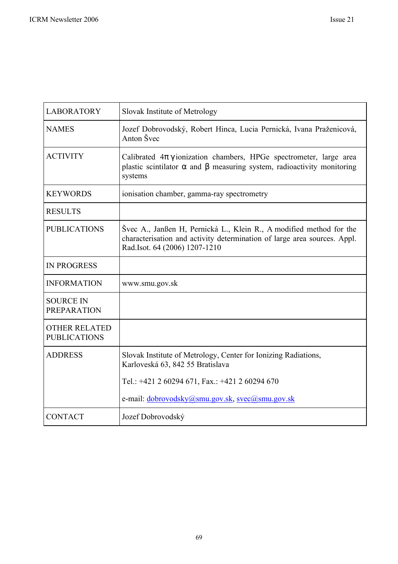| <b>LABORATORY</b>                           | Slovak Institute of Metrology                                                                                                                                                    |  |  |
|---------------------------------------------|----------------------------------------------------------------------------------------------------------------------------------------------------------------------------------|--|--|
| <b>NAMES</b>                                | Jozef Dobrovodský, Robert Hinca, Lucia Pernická, Ivana Praženicová,<br>Anton Švec                                                                                                |  |  |
| <b>ACTIVITY</b>                             | Calibrated $4\pi \gamma$ ionization chambers, HPGe spectrometer, large area<br>plastic scintilator $\alpha$ and $\beta$ measuring system, radioactivity monitoring<br>systems    |  |  |
| <b>KEYWORDS</b>                             | ionisation chamber, gamma-ray spectrometry                                                                                                                                       |  |  |
| <b>RESULTS</b>                              |                                                                                                                                                                                  |  |  |
| <b>PUBLICATIONS</b>                         | Švec A., Janßen H, Pernická L., Klein R., A modified method for the<br>characterisation and activity determination of large area sources. Appl.<br>Rad.Isot. 64 (2006) 1207-1210 |  |  |
| <b>IN PROGRESS</b>                          |                                                                                                                                                                                  |  |  |
| <b>INFORMATION</b>                          | www.smu.gov.sk                                                                                                                                                                   |  |  |
| <b>SOURCE IN</b><br><b>PREPARATION</b>      |                                                                                                                                                                                  |  |  |
| <b>OTHER RELATED</b><br><b>PUBLICATIONS</b> |                                                                                                                                                                                  |  |  |
| <b>ADDRESS</b>                              | Slovak Institute of Metrology, Center for Ionizing Radiations,<br>Karloveská 63, 842 55 Bratislava                                                                               |  |  |
|                                             | Tel.: +421 2 60294 671, Fax.: +421 2 60294 670                                                                                                                                   |  |  |
|                                             | e-mail: dobrovodsky@smu.gov.sk, svec@smu.gov.sk                                                                                                                                  |  |  |
| <b>CONTACT</b>                              | Jozef Dobrovodský                                                                                                                                                                |  |  |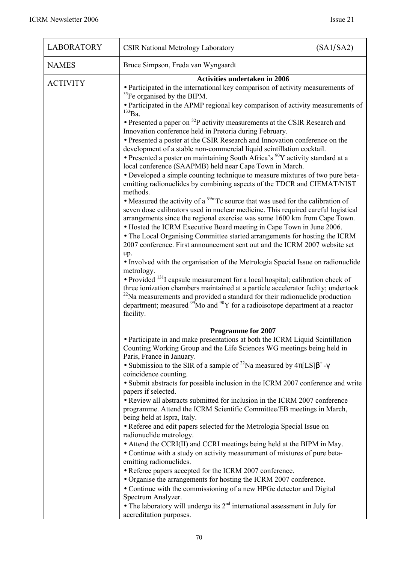| <b>LABORATORY</b> | <b>CSIR National Metrology Laboratory</b>                                                                                                                                                                                                                                                                                                                                                                                                                                                                          | (SA1/SA2) |  |
|-------------------|--------------------------------------------------------------------------------------------------------------------------------------------------------------------------------------------------------------------------------------------------------------------------------------------------------------------------------------------------------------------------------------------------------------------------------------------------------------------------------------------------------------------|-----------|--|
| <b>NAMES</b>      | Bruce Simpson, Freda van Wyngaardt                                                                                                                                                                                                                                                                                                                                                                                                                                                                                 |           |  |
| <b>ACTIVITY</b>   | <b>Activities undertaken in 2006</b><br>• Participated in the international key comparison of activity measurements of<br><sup>55</sup> Fe organised by the BIPM.<br>• Participated in the APMP regional key comparison of activity measurements of<br>$^{133}Ba.$<br>• Presented a paper on $^{32}P$ activity measurements at the CSIR Research and<br>Innovation conference held in Pretoria during February.                                                                                                    |           |  |
|                   | • Presented a poster at the CSIR Research and Innovation conference on the<br>development of a stable non-commercial liquid scintillation cocktail.<br>• Presented a poster on maintaining South Africa's $\frac{90}{Y}$ activity standard at a<br>local conference (SAAPMB) held near Cape Town in March.<br>• Developed a simple counting technique to measure mixtures of two pure beta-<br>emitting radionuclides by combining aspects of the TDCR and CIEMAT/NIST                                             |           |  |
|                   | methods.<br>$\bullet$ Measured the activity of a $\rm{^{99m}Tc}$ source that was used for the calibration of<br>seven dose calibrators used in nuclear medicine. This required careful logistical<br>arrangements since the regional exercise was some 1600 km from Cape Town.<br>• Hosted the ICRM Executive Board meeting in Cape Town in June 2006.<br>• The Local Organising Committee started arrangements for hosting the ICRM<br>2007 conference. First announcement sent out and the ICRM 2007 website set |           |  |
|                   | up.<br>• Involved with the organisation of the Metrologia Special Issue on radionuclide<br>metrology.<br>• Provided $^{131}$ I capsule measurement for a local hospital; calibration check of<br>three ionization chambers maintained at a particle accelerator faclity; undertook<br>$^{22}$ Na measurements and provided a standard for their radionuclide production<br>department; measured $\frac{99}{100}$ and $\frac{90}{100}$ for a radioisotope department at a reactor<br>facility.                      |           |  |
|                   | <b>Programme for 2007</b><br>• Participate in and make presentations at both the ICRM Liquid Scintillation<br>Counting Working Group and the Life Sciences WG meetings being held in<br>Paris, France in January.<br>• Submission to the SIR of a sample of <sup>22</sup> Na measured by $4\pi$ [LS] $\beta^+$ - $\gamma$                                                                                                                                                                                          |           |  |
|                   | coincidence counting.<br>• Submit abstracts for possible inclusion in the ICRM 2007 conference and write<br>papers if selected.<br>• Review all abstracts submitted for inclusion in the ICRM 2007 conference<br>programme. Attend the ICRM Scientific Committee/EB meetings in March,<br>being held at Ispra, Italy.                                                                                                                                                                                              |           |  |
|                   | • Referee and edit papers selected for the Metrologia Special Issue on<br>radionuclide metrology.<br>• Attend the CCRI(II) and CCRI meetings being held at the BIPM in May.<br>• Continue with a study on activity measurement of mixtures of pure beta-<br>emitting radionuclides.                                                                                                                                                                                                                                |           |  |
|                   | • Referee papers accepted for the ICRM 2007 conference.<br>• Organise the arrangements for hosting the ICRM 2007 conference.<br>• Continue with the commissioning of a new HPGe detector and Digital<br>Spectrum Analyzer.<br>• The laboratory will undergo its $2nd$ international assessment in July for<br>accreditation purposes.                                                                                                                                                                              |           |  |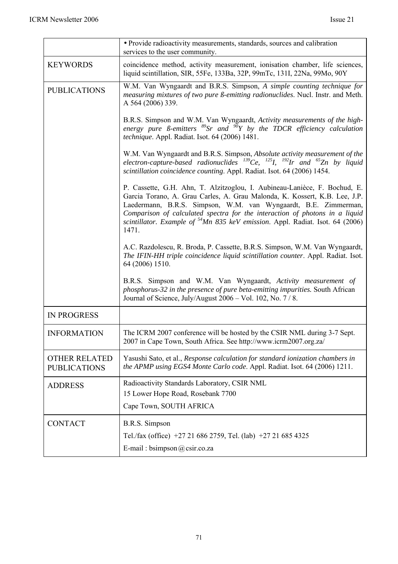|                                             | • Provide radioactivity measurements, standards, sources and calibration<br>services to the user community.                                                                                                                                                                                                                                                                                                     |
|---------------------------------------------|-----------------------------------------------------------------------------------------------------------------------------------------------------------------------------------------------------------------------------------------------------------------------------------------------------------------------------------------------------------------------------------------------------------------|
| <b>KEYWORDS</b>                             | coincidence method, activity measurement, ionisation chamber, life sciences,<br>liquid scintillation, SIR, 55Fe, 133Ba, 32P, 99mTc, 131I, 22Na, 99Mo, 90Y                                                                                                                                                                                                                                                       |
| <b>PUBLICATIONS</b>                         | W.M. Van Wyngaardt and B.R.S. Simpson, A simple counting technique for<br>measuring mixtures of two pure ß-emitting radionuclides. Nucl. Instr. and Meth.<br>A 564 (2006) 339.                                                                                                                                                                                                                                  |
|                                             | B.R.S. Simpson and W.M. Van Wyngaardt, Activity measurements of the high-<br>energy pure $\beta$ -emitters ${}^{89}Sr$ and ${}^{90}Y$ by the TDCR efficiency calculation<br>technique. Appl. Radiat. Isot. 64 (2006) 1481.                                                                                                                                                                                      |
|                                             | W.M. Van Wyngaardt and B.R.S. Simpson, Absolute activity measurement of the<br>electron-capture-based radionuclides $^{139}Ce$ , $^{125}I$ , $^{192}Ir$ and $^{65}Zn$ by liquid<br>scintillation coincidence counting. Appl. Radiat. Isot. 64 (2006) 1454.                                                                                                                                                      |
|                                             | P. Cassette, G.H. Ahn, T. Alzitzoglou, I. Aubineau-Lanièce, F. Bochud, E.<br>Garcia Torano, A. Grau Carles, A. Grau Malonda, K. Kossert, K.B. Lee, J.P.<br>Laedermann, B.R.S. Simpson, W.M. van Wyngaardt, B.E. Zimmerman,<br>Comparison of calculated spectra for the interaction of photons in a liquid<br>scintillator. Example of <sup>54</sup> Mn 835 keV emission. Appl. Radiat. Isot. 64 (2006)<br>1471. |
|                                             | A.C. Razdolescu, R. Broda, P. Cassette, B.R.S. Simpson, W.M. Van Wyngaardt,<br>The IFIN-HH triple coincidence liquid scintillation counter. Appl. Radiat. Isot.<br>64 (2006) 1510.                                                                                                                                                                                                                              |
|                                             | B.R.S. Simpson and W.M. Van Wyngaardt, Activity measurement of<br>phosphorus-32 in the presence of pure beta-emitting impurities. South African<br>Journal of Science, July/August 2006 – Vol. 102, No. 7/8.                                                                                                                                                                                                    |
| <b>IN PROGRESS</b>                          |                                                                                                                                                                                                                                                                                                                                                                                                                 |
| <b>INFORMATION</b>                          | The ICRM 2007 conference will be hosted by the CSIR NML during 3-7 Sept.<br>2007 in Cape Town, South Africa. See http://www.icrm2007.org.za/                                                                                                                                                                                                                                                                    |
| <b>OTHER RELATED</b><br><b>PUBLICATIONS</b> | Yasushi Sato, et al., Response calculation for standard ionization chambers in<br>the APMP using EGS4 Monte Carlo code. Appl. Radiat. Isot. 64 (2006) 1211.                                                                                                                                                                                                                                                     |
| <b>ADDRESS</b>                              | Radioactivity Standards Laboratory, CSIR NML<br>15 Lower Hope Road, Rosebank 7700<br>Cape Town, SOUTH AFRICA                                                                                                                                                                                                                                                                                                    |
|                                             |                                                                                                                                                                                                                                                                                                                                                                                                                 |
| <b>CONTACT</b>                              | B.R.S. Simpson<br>Tel./fax (office) +27 21 686 2759, Tel. (lab) +27 21 685 4325                                                                                                                                                                                                                                                                                                                                 |
|                                             | E-mail: bsimpson $@$ csir.co.za                                                                                                                                                                                                                                                                                                                                                                                 |
|                                             |                                                                                                                                                                                                                                                                                                                                                                                                                 |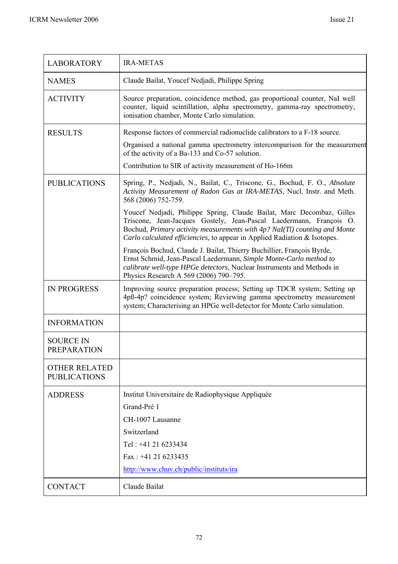| <b>LABORATORY</b>                           | <b>IRA-METAS</b>                                                                                                                                                                                                                                                                                       |
|---------------------------------------------|--------------------------------------------------------------------------------------------------------------------------------------------------------------------------------------------------------------------------------------------------------------------------------------------------------|
| <b>NAMES</b>                                | Claude Bailat, Youcef Nedjadi, Philippe Spring                                                                                                                                                                                                                                                         |
| <b>ACTIVITY</b>                             | Source preparation, coincidence method, gas proportional counter, NaI well<br>counter, liquid scintillation, alpha spectrometry, gamma-ray spectrometry,<br>ionisation chamber, Monte Carlo simulation.                                                                                                |
| <b>RESULTS</b>                              | Response factors of commercial radionuclide calibrators to a F-18 source.                                                                                                                                                                                                                              |
|                                             | Organised a national gamma spectrometry intercomparison for the measurement<br>of the activity of a Ba-133 and Co-57 solution.                                                                                                                                                                         |
|                                             | Contribution to SIR of activity measurement of Ho-166m                                                                                                                                                                                                                                                 |
| <b>PUBLICATIONS</b>                         | Spring, P., Nedjadi, N., Bailat, C., Triscone, G., Bochud, F. O., Absolute<br>Activity Measurement of Radon Gas at IRA-METAS, Nucl. Instr. and Meth.<br>568 (2006) 752-759.                                                                                                                            |
|                                             | Youcef Nedjadi, Philippe Spring, Claude Bailat, Marc Decombaz, Gilles<br>Triscone, Jean-Jacques Gostely, Jean-Pascal Laedermann, François O.<br>Bochud, Primary activity measurements with 4p? NaI(Tl) counting and Monte<br>Carlo calculated efficiencies, to appear in Applied Radiation & Isotopes. |
|                                             | François Bochud, Claude J. Bailat, Thierry Buchillier, François Byrde,<br>Ernst Schmid, Jean-Pascal Laedermann, Simple Monte-Carlo method to<br>calibrate well-type HPGe detectors, Nuclear Instruments and Methods in<br>Physics Research A 569 (2006) 790-795.                                       |
| <b>IN PROGRESS</b>                          | Improving source preparation process; Setting up TDCR system; Setting up<br>4pß-4p? coincidence system; Reviewing gamma spectrometry measurement<br>system; Characterising an HPGe well-detector for Monte Carlo simulation.                                                                           |
| <b>INFORMATION</b>                          |                                                                                                                                                                                                                                                                                                        |
| <b>SOURCE IN</b><br><b>PREPARATION</b>      |                                                                                                                                                                                                                                                                                                        |
| <b>OTHER RELATED</b><br><b>PUBLICATIONS</b> |                                                                                                                                                                                                                                                                                                        |
| <b>ADDRESS</b>                              | Institut Universitaire de Radiophysique Appliquée                                                                                                                                                                                                                                                      |
|                                             | Grand-Pré 1                                                                                                                                                                                                                                                                                            |
|                                             | CH-1007 Lausanne                                                                                                                                                                                                                                                                                       |
|                                             | Switzerland                                                                                                                                                                                                                                                                                            |
|                                             | Tel: +41 21 6233434                                                                                                                                                                                                                                                                                    |
|                                             | Fax: $+41$ 21 6233435                                                                                                                                                                                                                                                                                  |
|                                             | http://www.chuv.ch/public/instituts/ira                                                                                                                                                                                                                                                                |
| <b>CONTACT</b>                              | Claude Bailat                                                                                                                                                                                                                                                                                          |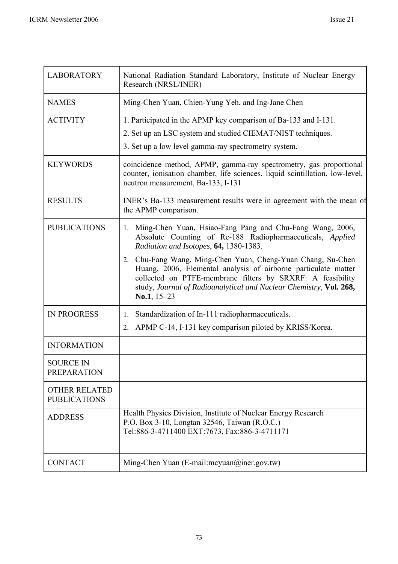| <b>LABORATORY</b>                           | National Radiation Standard Laboratory, Institute of Nuclear Energy<br>Research (NRSL/INER)                                                                                                                                                                                        |
|---------------------------------------------|------------------------------------------------------------------------------------------------------------------------------------------------------------------------------------------------------------------------------------------------------------------------------------|
| <b>NAMES</b>                                | Ming-Chen Yuan, Chien-Yung Yeh, and Ing-Jane Chen                                                                                                                                                                                                                                  |
| <b>ACTIVITY</b>                             | 1. Participated in the APMP key comparison of Ba-133 and I-131.<br>2. Set up an LSC system and studied CIEMAT/NIST techniques.<br>3. Set up a low level gamma-ray spectrometry system.                                                                                             |
| <b>KEYWORDS</b>                             | coincidence method, APMP, gamma-ray spectrometry, gas proportional<br>counter, ionisation chamber, life sciences, liquid scintillation, low-level,<br>neutron measurement, Ba-133, I-131                                                                                           |
| <b>RESULTS</b>                              | INER's Ba-133 measurement results were in agreement with the mean of<br>the APMP comparison.                                                                                                                                                                                       |
| <b>PUBLICATIONS</b>                         | Ming-Chen Yuan, Hsiao-Fang Pang and Chu-Fang Wang, 2006,<br>1.<br>Absolute Counting of Re-188 Radiopharmaceuticals, Applied<br>Radiation and Isotopes, 64, 1380-1383.                                                                                                              |
|                                             | 2. Chu-Fang Wang, Ming-Chen Yuan, Cheng-Yuan Chang, Su-Chen<br>Huang, 2006, Elemental analysis of airborne particulate matter<br>collected on PTFE-membrane filters by SRXRF: A feasibility<br>study, Journal of Radioanalytical and Nuclear Chemistry, Vol. 268,<br>No.1, $15-23$ |
| <b>IN PROGRESS</b>                          | 1. Standardization of In-111 radiopharmaceuticals.                                                                                                                                                                                                                                 |
|                                             | APMP C-14, I-131 key comparison piloted by KRISS/Korea.<br>$2_{-}$                                                                                                                                                                                                                 |
| <b>INFORMATION</b>                          |                                                                                                                                                                                                                                                                                    |
| <b>SOURCE IN</b><br><b>PREPARATION</b>      |                                                                                                                                                                                                                                                                                    |
| <b>OTHER RELATED</b><br><b>PUBLICATIONS</b> |                                                                                                                                                                                                                                                                                    |
| <b>ADDRESS</b>                              | Health Physics Division, Institute of Nuclear Energy Research<br>P.O. Box 3-10, Longtan 32546, Taiwan (R.O.C.)<br>Tel:886-3-4711400 EXT:7673, Fax:886-3-4711171                                                                                                                    |
| <b>CONTACT</b>                              | Ming-Chen Yuan (E-mail:mcyuan@iner.gov.tw)                                                                                                                                                                                                                                         |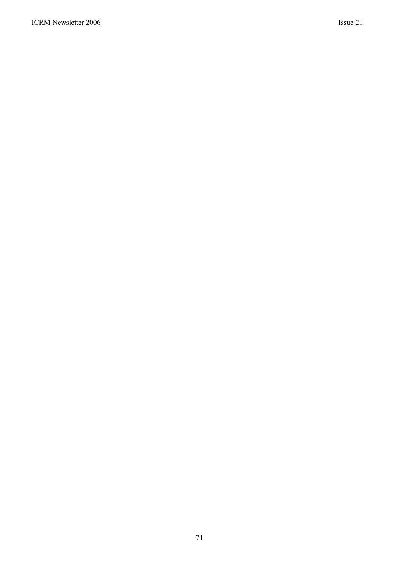ICRM Newsletter 2006 Issue 21